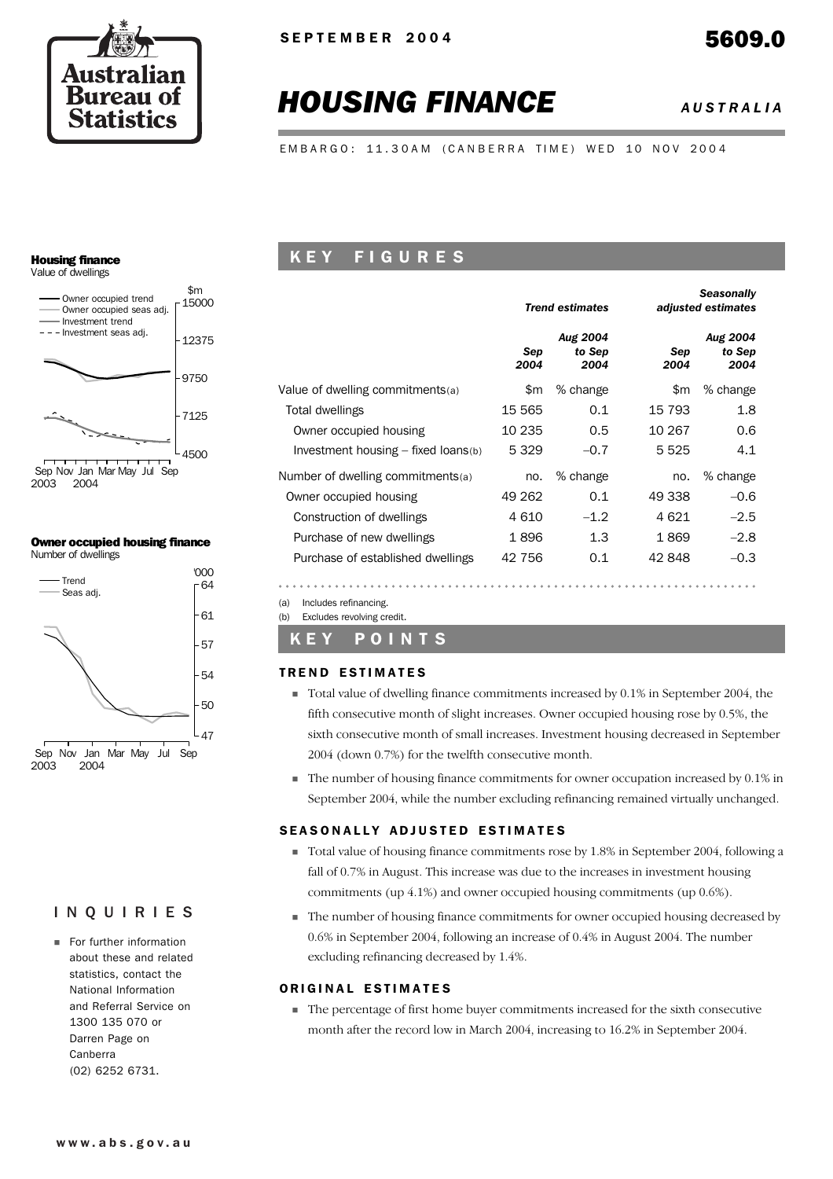

# *HOUSING FINANCE AUSTRALIA*

EMBARGO: 11.30AM (CANBERRA TIME) WED 10 NOV 2004

# Housing finance

Value of dwellings



### Owner occupied housing finance Number of dwellings



# INQUIRIES

**Example 1** For further information about these and related statistics, contact the National Information and Referral Service on 1300 135 070 or Darren Page on Canberra (02) 6252 6731.

# K E Y F I G U R E S

|                                       |             | <b>Trend estimates</b>            |             | <b>Seasonally</b><br>adjusted estimates |  |  |
|---------------------------------------|-------------|-----------------------------------|-------------|-----------------------------------------|--|--|
|                                       | Sep<br>2004 | <b>Aug 2004</b><br>to Sep<br>2004 | Sep<br>2004 | <b>Aug 2004</b><br>to Sep<br>2004       |  |  |
| Value of dwelling commitments(a)      | \$m         | % change                          | \$m         | % change                                |  |  |
| Total dwellings                       | 15 565      | 0.1                               | 15 793      | 1.8                                     |  |  |
| Owner occupied housing                | 10 235      | 0.5                               | 10 267      | 0.6                                     |  |  |
| Investment housing $-$ fixed loans(b) | 5 3 2 9     | $-0.7$                            | 5 5 2 5     | 4.1                                     |  |  |
| Number of dwelling commitments(a)     | no.         | % change                          | no.         | % change                                |  |  |
| Owner occupied housing                | 49 262      | 0.1                               | 49 338      | $-0.6$                                  |  |  |
| Construction of dwellings             | 4 610       | $-1.2$                            | 4 6 2 1     | $-2.5$                                  |  |  |
| Purchase of new dwellings             | 1896        | 1.3                               | 1869        | $-2.8$                                  |  |  |
| Purchase of established dwellings     | 42 756      | 0.1                               | 42 848      | $-0.3$                                  |  |  |

(a) Includes refinancing. (b) Excludes revolving credit.

# K E Y P O I N T S

### **TREND ESTIMATES**

- ! Total value of dwelling finance commitments increased by 0.1% in September 2004, the fifth consecutive month of slight increases. Owner occupied housing rose by 0.5%, the sixth consecutive month of small increases. Investment housing decreased in September 2004 (down 0.7%) for the twelfth consecutive month.
- ! The number of housing finance commitments for owner occupation increased by 0.1% in September 2004, while the number excluding refinancing remained virtually unchanged.

### SEASONALLY ADJUSTED ESTIMATES

- ! Total value of housing finance commitments rose by 1.8% in September 2004, following a fall of 0.7% in August. This increase was due to the increases in investment housing commitments (up 4.1%) and owner occupied housing commitments (up 0.6%).
- ! The number of housing finance commitments for owner occupied housing decreased by 0.6% in September 2004, following an increase of 0.4% in August 2004. The number excluding refinancing decreased by 1.4%.

### ORIGINAL ESTIMATES

! The percentage of first home buyer commitments increased for the sixth consecutive month after the record low in March 2004, increasing to 16.2% in September 2004.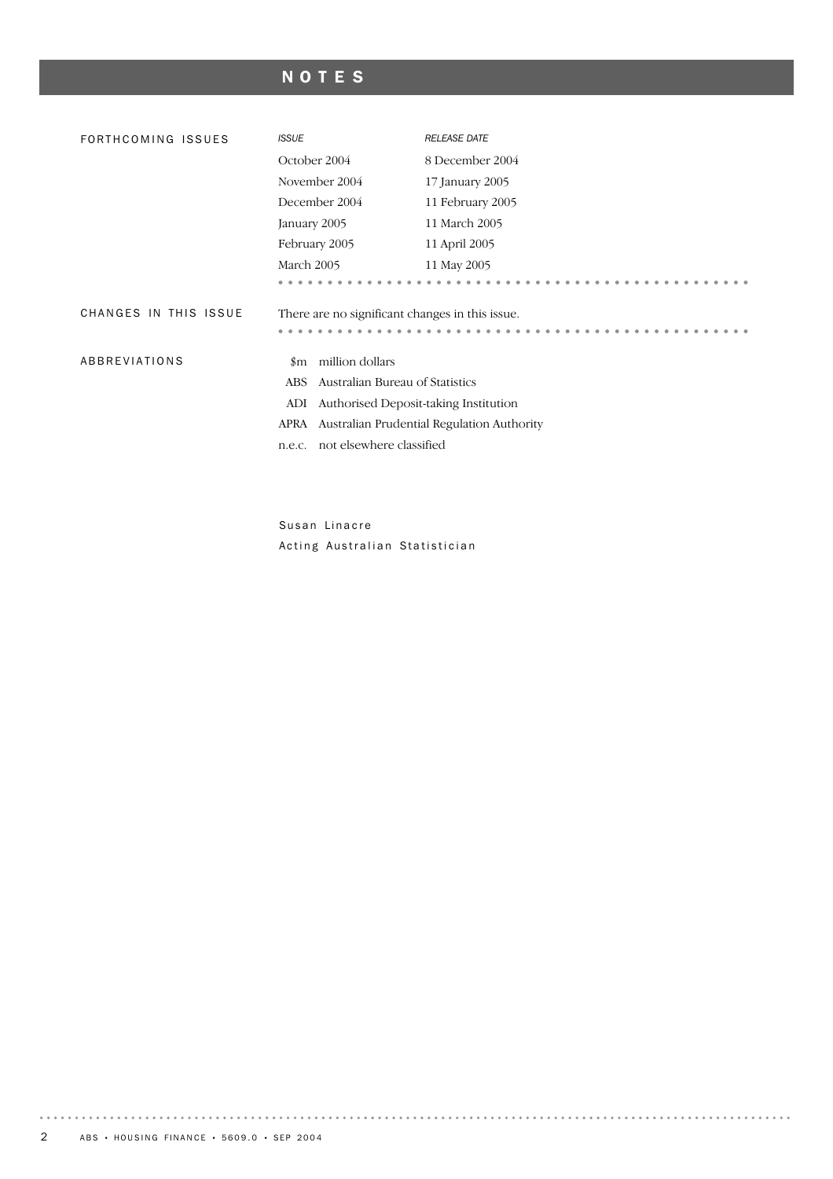# NOTES

| FORTHCOMING ISSUES    | <b>ISSUE</b>                                    | <b>RELEASE DATE</b>                        |  |  |  |  |  |  |
|-----------------------|-------------------------------------------------|--------------------------------------------|--|--|--|--|--|--|
|                       | October 2004                                    | 8 December 2004                            |  |  |  |  |  |  |
|                       | November 2004                                   | 17 January 2005                            |  |  |  |  |  |  |
|                       | December 2004                                   | 11 February 2005                           |  |  |  |  |  |  |
|                       | January 2005                                    | 11 March 2005                              |  |  |  |  |  |  |
|                       | February 2005                                   | 11 April 2005                              |  |  |  |  |  |  |
|                       | March 2005                                      | 11 May 2005                                |  |  |  |  |  |  |
|                       |                                                 |                                            |  |  |  |  |  |  |
| CHANGES IN THIS ISSUE | There are no significant changes in this issue. |                                            |  |  |  |  |  |  |
|                       |                                                 |                                            |  |  |  |  |  |  |
| ABBREVIATIONS         | million dollars<br>$\,\mathrm{Im}$              |                                            |  |  |  |  |  |  |
|                       | Australian Bureau of Statistics<br><b>ABS</b>   |                                            |  |  |  |  |  |  |
|                       | Authorised Deposit-taking Institution<br>ADI    |                                            |  |  |  |  |  |  |
|                       | APRA                                            | Australian Prudential Regulation Authority |  |  |  |  |  |  |
|                       | not elsewhere classified<br>n.e.c.              |                                            |  |  |  |  |  |  |
|                       |                                                 |                                            |  |  |  |  |  |  |

Susan Linacre Acting Australian Statistician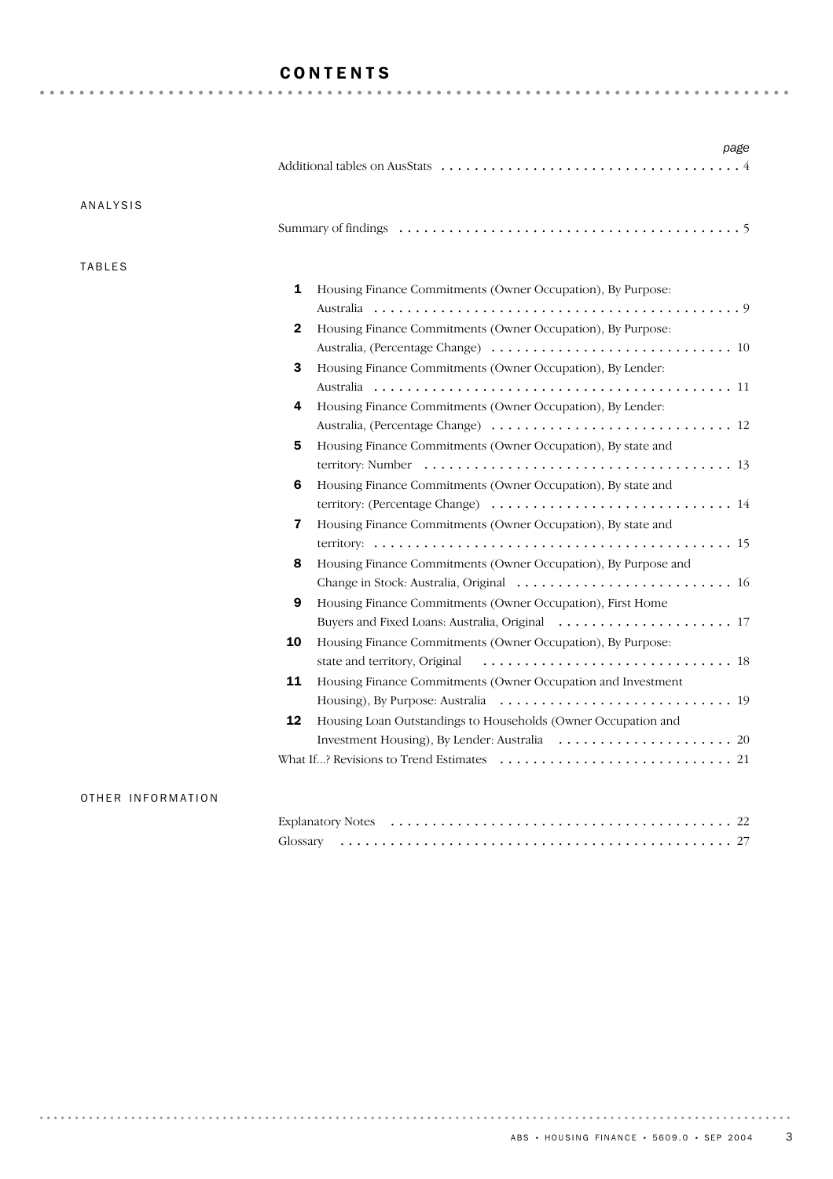# CONTENTS

| <b>ANALYSIS</b> |                                                                     |
|-----------------|---------------------------------------------------------------------|
|                 |                                                                     |
| <b>TABLES</b>   |                                                                     |
|                 | 1<br>Housing Finance Commitments (Owner Occupation), By Purpose:    |
|                 |                                                                     |
|                 | 2<br>Housing Finance Commitments (Owner Occupation), By Purpose:    |
|                 |                                                                     |
|                 | Housing Finance Commitments (Owner Occupation), By Lender:<br>3     |
|                 |                                                                     |
|                 | Housing Finance Commitments (Owner Occupation), By Lender:<br>4     |
|                 |                                                                     |
|                 | Housing Finance Commitments (Owner Occupation), By state and<br>5   |
|                 |                                                                     |
|                 | Housing Finance Commitments (Owner Occupation), By state and<br>6   |
|                 |                                                                     |
|                 | 7<br>Housing Finance Commitments (Owner Occupation), By state and   |
|                 |                                                                     |
|                 | Housing Finance Commitments (Owner Occupation), By Purpose and<br>8 |
|                 |                                                                     |
|                 | 9<br>Housing Finance Commitments (Owner Occupation), First Home     |
|                 |                                                                     |
|                 | Housing Finance Commitments (Owner Occupation), By Purpose:<br>10   |
|                 |                                                                     |
|                 | 11<br>Housing Finance Commitments (Owner Occupation and Investment  |
|                 |                                                                     |
|                 | 12<br>Housing Loan Outstandings to Households (Owner Occupation and |
|                 |                                                                     |
|                 |                                                                     |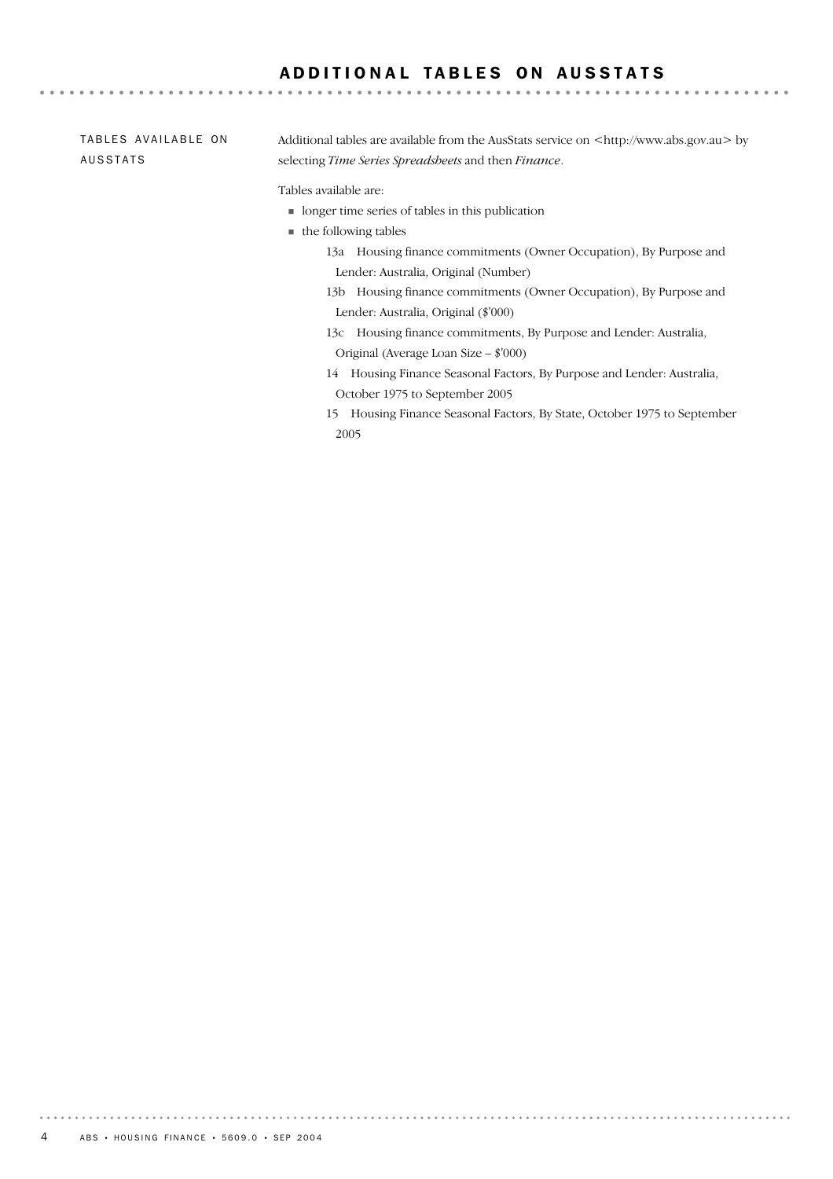## ADDITIONAL TABLES ON AUSSTATS

### Additional tables are available from the AusStats service on <http://www.abs.gov.au> by selecting *Time Series Spreadsheets* and then *Finance*. TABLES AVAILABLE ON AUSSTATS

Tables available are:

- ! longer time series of tables in this publication
- $\blacksquare$  the following tables
	- 13a Housing finance commitments (Owner Occupation), By Purpose and Lender: Australia, Original (Number)
	- 13b Housing finance commitments (Owner Occupation), By Purpose and Lender: Australia, Original (\$'000)
	- 13c Housing finance commitments, By Purpose and Lender: Australia, Original (Average Loan Size – \$'000)
	- 14 Housing Finance Seasonal Factors, By Purpose and Lender: Australia, October 1975 to September 2005
	- 15 Housing Finance Seasonal Factors, By State, October 1975 to September 2005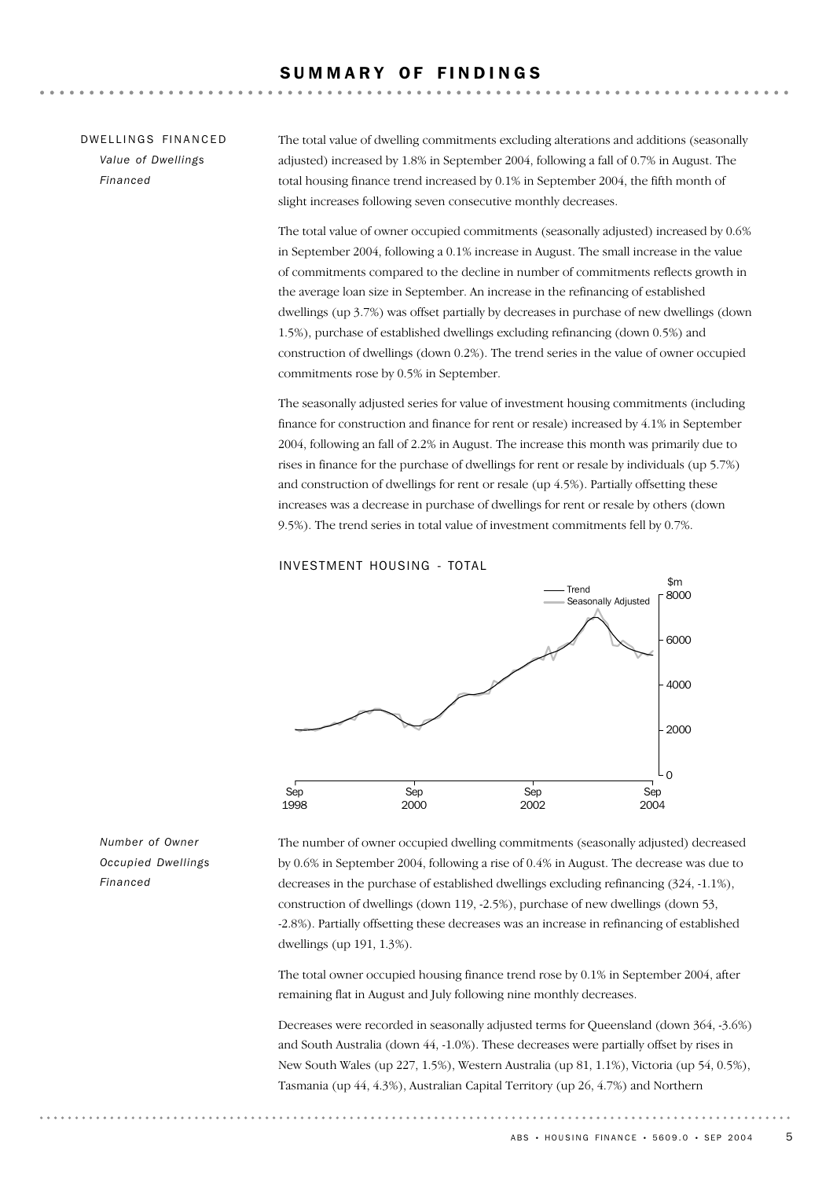### SUMMARY OF FINDINGS

### DW FILINGS FINANCED *Value of Dwellings Financed*

The total value of dwelling commitments excluding alterations and additions (seasonally adjusted) increased by 1.8% in September 2004, following a fall of 0.7% in August. The total housing finance trend increased by 0.1% in September 2004, the fifth month of slight increases following seven consecutive monthly decreases.

The total value of owner occupied commitments (seasonally adjusted) increased by 0.6% in September 2004, following a 0.1% increase in August. The small increase in the value of commitments compared to the decline in number of commitments reflects growth in the average loan size in September. An increase in the refinancing of established dwellings (up 3.7%) was offset partially by decreases in purchase of new dwellings (down 1.5%), purchase of established dwellings excluding refinancing (down 0.5%) and construction of dwellings (down 0.2%). The trend series in the value of owner occupied commitments rose by 0.5% in September.

The seasonally adjusted series for value of investment housing commitments (including finance for construction and finance for rent or resale) increased by 4.1% in September 2004, following an fall of 2.2% in August. The increase this month was primarily due to rises in finance for the purchase of dwellings for rent or resale by individuals (up 5.7%) and construction of dwellings for rent or resale (up 4.5%). Partially offsetting these increases was a decrease in purchase of dwellings for rent or resale by others (down 9.5%). The trend series in total value of investment commitments fell by 0.7%.

### INVESTMENT HOUSING - TOTAL



*Number of Owner Occupied Dwellings Financed*

The number of owner occupied dwelling commitments (seasonally adjusted) decreased by 0.6% in September 2004, following a rise of 0.4% in August. The decrease was due to decreases in the purchase of established dwellings excluding refinancing (324, -1.1%), construction of dwellings (down 119, -2.5%), purchase of new dwellings (down 53, -2.8%). Partially offsetting these decreases was an increase in refinancing of established dwellings (up 191, 1.3%).

The total owner occupied housing finance trend rose by 0.1% in September 2004, after remaining flat in August and July following nine monthly decreases.

Decreases were recorded in seasonally adjusted terms for Queensland (down 364, -3.6%) and South Australia (down 44, -1.0%). These decreases were partially offset by rises in New South Wales (up 227, 1.5%), Western Australia (up 81, 1.1%), Victoria (up 54, 0.5%), Tasmania (up 44, 4.3%), Australian Capital Territory (up 26, 4.7%) and Northern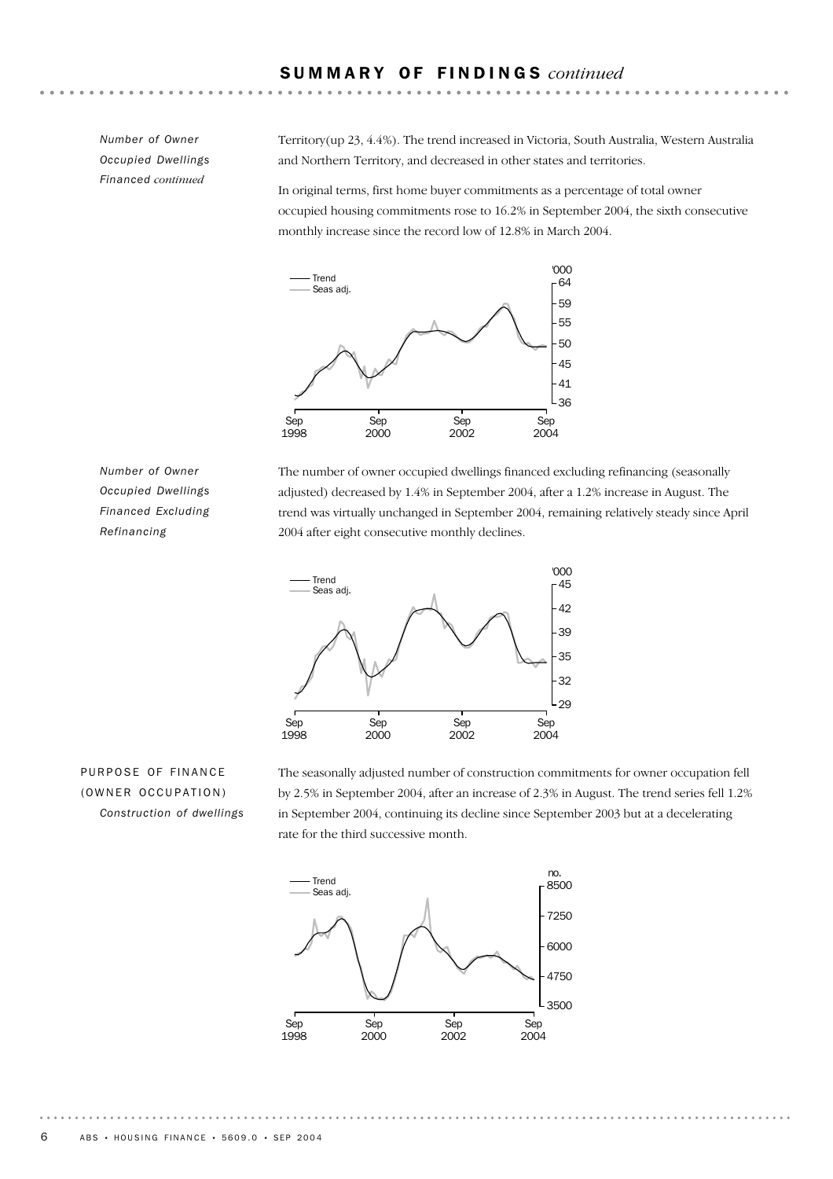*Number of Owner Occupied Dwellings Financed continued*

Territory(up 23, 4.4%). The trend increased in Victoria, South Australia, Western Australia and Northern Territory, and decreased in other states and territories.

In original terms, first home buyer commitments as a percentage of total owner occupied housing commitments rose to 16.2% in September 2004, the sixth consecutive monthly increase since the record low of 12.8% in March 2004.



*Number of Owner Occupied Dwellings Financed Excluding Refinancing*

The number of owner occupied dwellings financed excluding refinancing (seasonally adjusted) decreased by 1.4% in September 2004, after a 1.2% increase in August. The trend was virtually unchanged in September 2004, remaining relatively steady since April 2004 after eight consecutive monthly declines.



PURPOSE OF FINANCE (OWNER OCCUPATION) *Construction of dwellings* The seasonally adjusted number of construction commitments for owner occupation fell by 2.5% in September 2004, after an increase of 2.3% in August. The trend series fell 1.2% in September 2004, continuing its decline since September 2003 but at a decelerating rate for the third successive month.

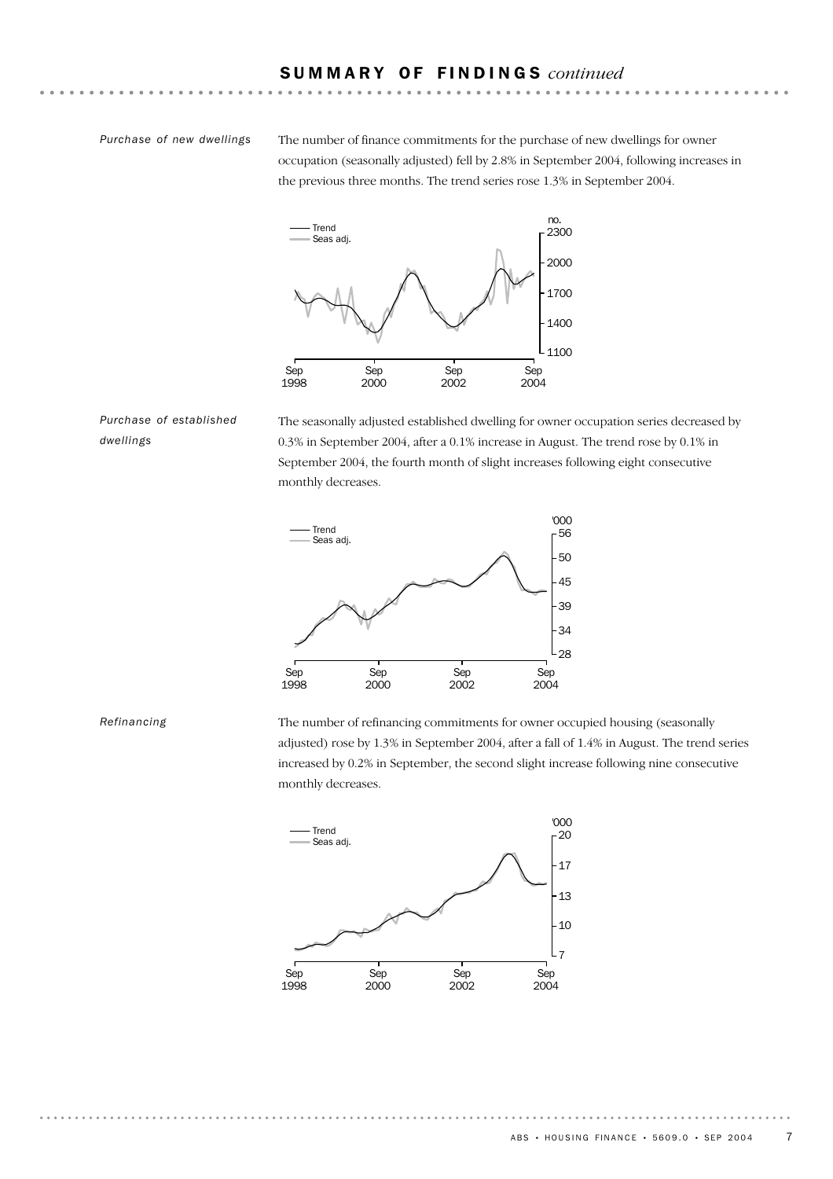### *Purchase of new dwellings*

The number of finance commitments for the purchase of new dwellings for owner occupation (seasonally adjusted) fell by 2.8% in September 2004, following increases in the previous three months. The trend series rose 1.3% in September 2004.



*Purchase of established dwellings*

The seasonally adjusted established dwelling for owner occupation series decreased by 0.3% in September 2004, after a 0.1% increase in August. The trend rose by 0.1% in September 2004, the fourth month of slight increases following eight consecutive monthly decreases.



*Refinancing*

The number of refinancing commitments for owner occupied housing (seasonally adjusted) rose by 1.3% in September 2004, after a fall of 1.4% in August. The trend series increased by 0.2% in September, the second slight increase following nine consecutive monthly decreases.

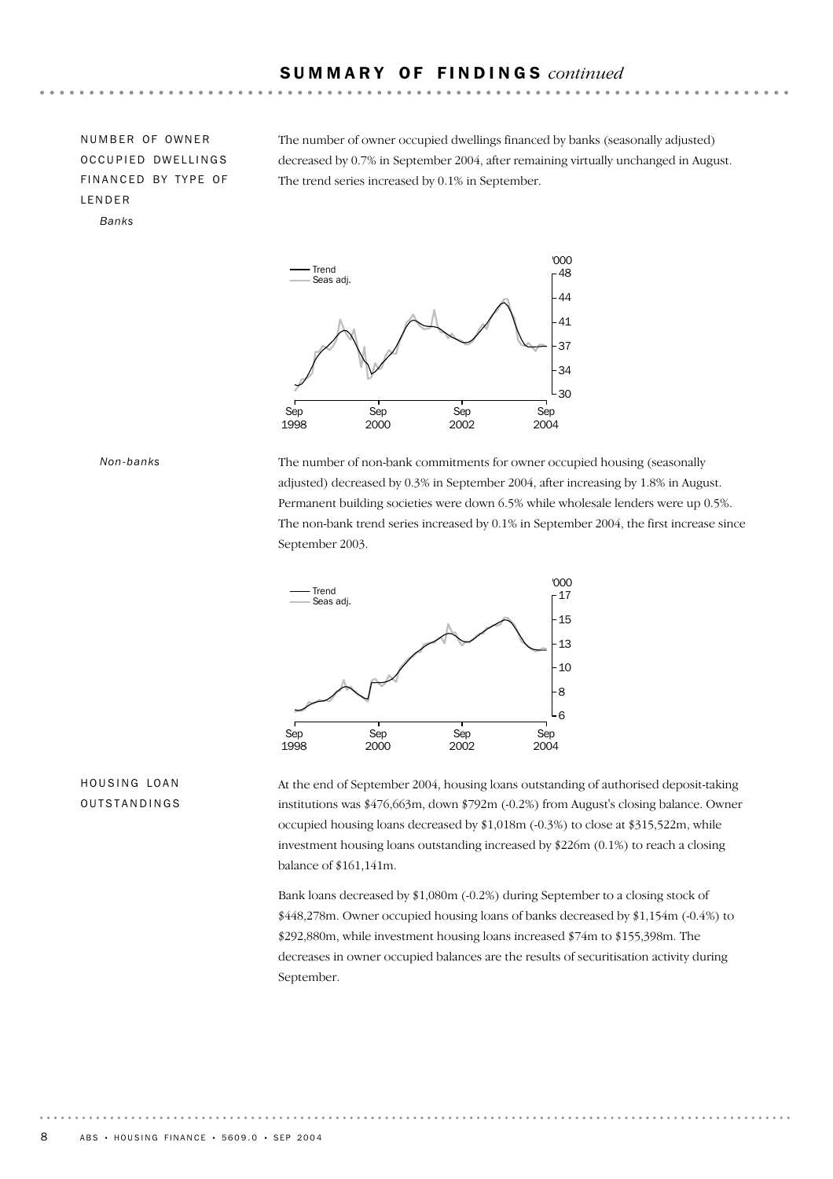NUMBER OF OWNER OCCUPIED DWELLINGS FINANCED BY TYPE OF LENDER *Banks*

The number of owner occupied dwellings financed by banks (seasonally adjusted) decreased by 0.7% in September 2004, after remaining virtually unchanged in August. The trend series increased by 0.1% in September.



*Non-banks*

The number of non-bank commitments for owner occupied housing (seasonally adjusted) decreased by 0.3% in September 2004, after increasing by 1.8% in August. Permanent building societies were down 6.5% while wholesale lenders were up 0.5%. The non-bank trend series increased by 0.1% in September 2004, the first increase since September 2003.



### HOUSING LOAN OUTSTANDINGS

At the end of September 2004, housing loans outstanding of authorised deposit-taking institutions was \$476,663m, down \$792m (-0.2%) from August's closing balance. Owner occupied housing loans decreased by \$1,018m (-0.3%) to close at \$315,522m, while investment housing loans outstanding increased by \$226m (0.1%) to reach a closing balance of \$161,141m.

Bank loans decreased by \$1,080m (-0.2%) during September to a closing stock of \$448,278m. Owner occupied housing loans of banks decreased by \$1,154m (-0.4%) to \$292,880m, while investment housing loans increased \$74m to \$155,398m. The decreases in owner occupied balances are the results of securitisation activity during September.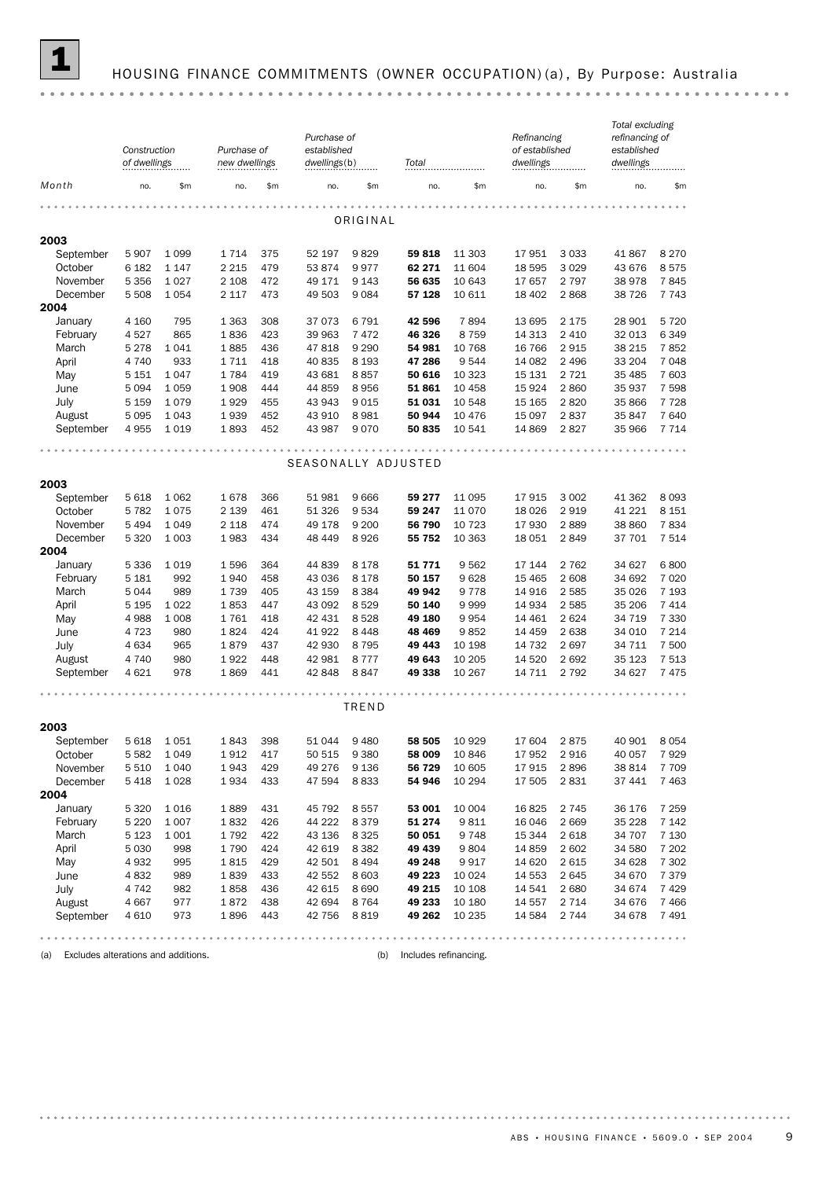

### 1 HOUSING FINANCE COMMITMENTS (OWNER OCCUPATION) (a) , By Purpose: Australia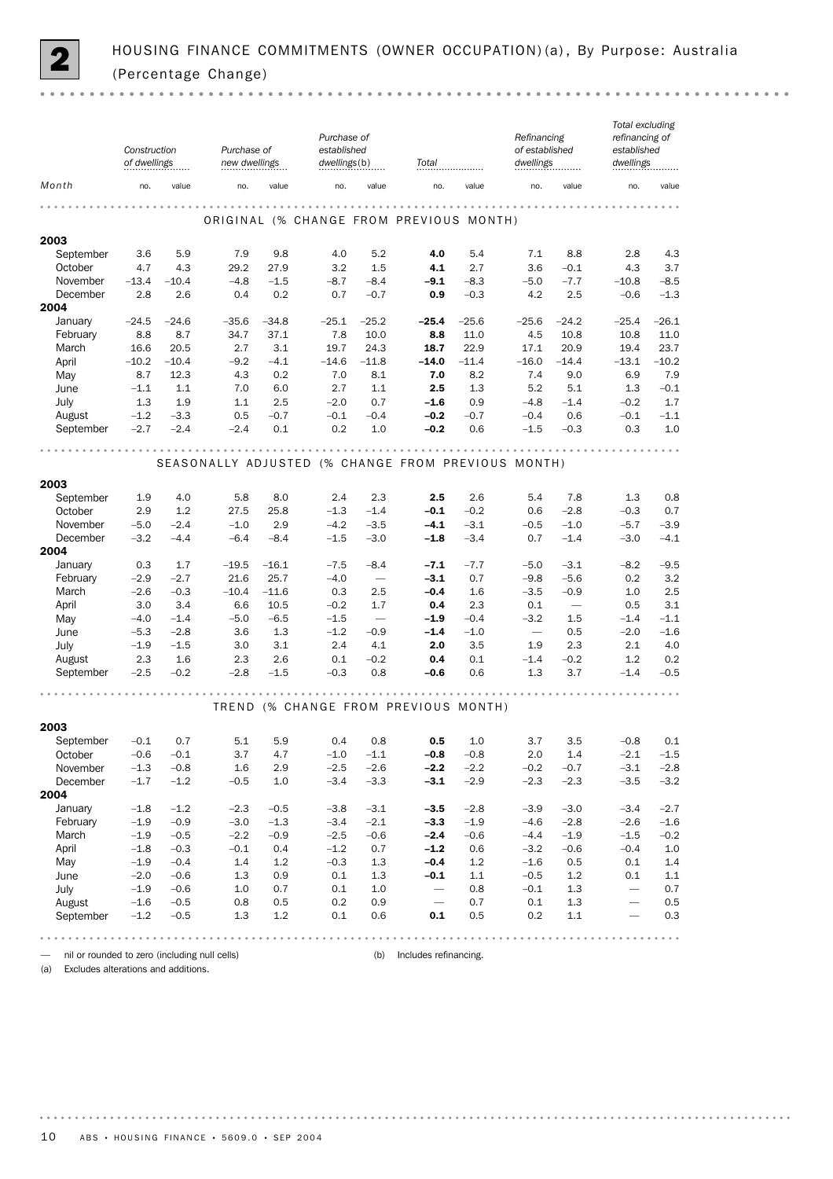

|                                                                           | Construction<br>of dwellings |                  | Purchase of<br>new dwellings |                  | Purchase of<br>established<br>dwellings(b) |                                    | Total                                              |                  | Refinancing<br>of established<br>dwellings |                          | Total excluding<br>refinancing of<br>established<br>dwellings |                  |
|---------------------------------------------------------------------------|------------------------------|------------------|------------------------------|------------------|--------------------------------------------|------------------------------------|----------------------------------------------------|------------------|--------------------------------------------|--------------------------|---------------------------------------------------------------|------------------|
| Month                                                                     | no.                          | value            | no.                          | value            | no.                                        | value                              | no.                                                | value            | no.                                        | value                    | no.                                                           | value            |
|                                                                           |                              |                  |                              |                  |                                            |                                    | ORIGINAL (% CHANGE FROM PREVIOUS MONTH)            |                  |                                            |                          |                                                               |                  |
| 2003                                                                      |                              |                  |                              |                  |                                            |                                    |                                                    |                  |                                            |                          |                                                               |                  |
| September                                                                 | 3.6                          | 5.9              | 7.9                          | 9.8              | 4.0                                        | 5.2                                | 4.0                                                | 5.4              | 7.1                                        | 8.8                      | 2.8                                                           | 4.3              |
| October<br>November                                                       | 4.7<br>$-13.4$               | 4.3<br>$-10.4$   | 29.2<br>$-4.8$               | 27.9<br>$-1.5$   | 3.2<br>$-8.7$                              | 1.5<br>$-8.4$                      | 4.1<br>$-9.1$                                      | 2.7<br>$-8.3$    | 3.6<br>$-5.0$                              | $-0.1$<br>$-7.7$         | 4.3<br>$-10.8$                                                | 3.7<br>$-8.5$    |
| December                                                                  | 2.8                          | 2.6              | 0.4                          | 0.2              | 0.7                                        | $-0.7$                             | 0.9                                                | $-0.3$           | 4.2                                        | 2.5                      | $-0.6$                                                        | $-1.3$           |
| 2004                                                                      |                              |                  |                              |                  |                                            |                                    |                                                    |                  |                                            |                          |                                                               |                  |
| January                                                                   | $-24.5$                      | $-24.6$          | $-35.6$                      | $-34.8$          | $-25.1$                                    | $-25.2$                            | $-25.4$                                            | $-25.6$          | $-25.6$                                    | $-24.2$                  | $-25.4$                                                       | $-26.1$          |
| February                                                                  | 8.8                          | 8.7              | 34.7                         | 37.1             | 7.8                                        | 10.0                               | 8.8                                                | 11.0             | 4.5                                        | 10.8                     | 10.8                                                          | 11.0             |
| March                                                                     | 16.6                         | 20.5             | 2.7                          | 3.1              | 19.7                                       | 24.3                               | 18.7                                               | 22.9             | 17.1                                       | 20.9                     | 19.4                                                          | 23.7             |
| April<br>May                                                              | $-10.2$<br>8.7               | $-10.4$<br>12.3  | $-9.2$<br>4.3                | $-4.1$<br>0.2    | $-14.6$<br>7.0                             | $-11.8$<br>8.1                     | $-14.0$<br>7.0                                     | $-11.4$<br>8.2   | $-16.0$<br>7.4                             | $-14.4$<br>9.0           | $-13.1$<br>6.9                                                | $-10.2$<br>7.9   |
| June                                                                      | $-1.1$                       | 1.1              | 7.0                          | 6.0              | 2.7                                        | 1.1                                | 2.5                                                | 1.3              | 5.2                                        | 5.1                      | 1.3                                                           | $-0.1$           |
| July                                                                      | 1.3                          | 1.9              | 1.1                          | 2.5              | $-2.0$                                     | 0.7                                | $-1.6$                                             | 0.9              | $-4.8$                                     | $-1.4$                   | $-0.2$                                                        | 1.7              |
| August                                                                    | $-1.2$                       | $-3.3$           | 0.5                          | $-0.7$           | $-0.1$                                     | $-0.4$                             | $-0.2$                                             | $-0.7$           | $-0.4$                                     | 0.6                      | $-0.1$                                                        | $-1.1$           |
| September                                                                 | $-2.7$                       | $-2.4$           | $-2.4$                       | 0.1              | 0.2                                        | 1.0                                | $-0.2$                                             | 0.6              | $-1.5$                                     | $-0.3$                   | 0.3                                                           | 1.0              |
|                                                                           |                              |                  |                              |                  |                                            |                                    | SEASONALLY ADJUSTED (% CHANGE FROM PREVIOUS MONTH) |                  |                                            |                          |                                                               |                  |
| 2003                                                                      |                              |                  |                              |                  |                                            |                                    |                                                    |                  |                                            |                          |                                                               |                  |
| September                                                                 | 1.9                          | 4.0              | 5.8                          | 8.0              | 2.4                                        | 2.3                                | 2.5                                                | 2.6              | 5.4                                        | 7.8                      | 1.3                                                           | 0.8              |
| October                                                                   | 2.9                          | 1.2              | 27.5                         | 25.8             | $-1.3$                                     | $-1.4$                             | $-0.1$                                             | $-0.2$           | 0.6                                        | $-2.8$                   | $-0.3$                                                        | 0.7              |
| November                                                                  | $-5.0$                       | $-2.4$           | $-1.0$                       | 2.9              | $-4.2$                                     | $-3.5$                             | $-4.1$                                             | $-3.1$           | $-0.5$                                     | $-1.0$                   | $-5.7$                                                        | $-3.9$           |
| December<br>2004                                                          | $-3.2$                       | $-4.4$           | $-6.4$                       | $-8.4$           | $-1.5$                                     | $-3.0$                             | $-1.8$                                             | $-3.4$           | 0.7                                        | $-1.4$                   | $-3.0$                                                        | $-4.1$           |
| January                                                                   | 0.3                          | 1.7              | $-19.5$                      | $-16.1$          | $-7.5$                                     | $-8.4$                             | $-7.1$                                             | $-7.7$           | $-5.0$                                     | $-3.1$                   | $-8.2$                                                        | $-9.5$           |
| February                                                                  | $-2.9$                       | $-2.7$           | 21.6                         | 25.7             | $-4.0$                                     |                                    | $-3.1$                                             | 0.7              | $-9.8$                                     | $-5.6$                   | 0.2                                                           | 3.2              |
| March                                                                     | $-2.6$                       | $-0.3$           | $-10.4$                      | $-11.6$          | 0.3                                        | 2.5                                | $-0.4$                                             | 1.6              | $-3.5$                                     | $-0.9$                   | 1.0                                                           | 2.5              |
| April                                                                     | 3.0                          | 3.4              | 6.6                          | 10.5             | $-0.2$                                     | 1.7                                | 0.4                                                | 2.3              | 0.1                                        | $\overline{\phantom{m}}$ | 0.5                                                           | 3.1              |
| May<br>June                                                               | $-4.0$<br>$-5.3$             | $-1.4$<br>$-2.8$ | $-5.0$<br>3.6                | $-6.5$<br>1.3    | $-1.5$<br>$-1.2$                           | $\overline{\phantom{m}}$<br>$-0.9$ | $-1.9$<br>$-1.4$                                   | $-0.4$<br>$-1.0$ | $-3.2$<br>$\overline{\phantom{m}}$         | 1.5<br>0.5               | $-1.4$<br>$-2.0$                                              | $-1.1$<br>$-1.6$ |
| July                                                                      | $-1.9$                       | $-1.5$           | 3.0                          | 3.1              | 2.4                                        | 4.1                                | 2.0                                                | 3.5              | 1.9                                        | 2.3                      | 2.1                                                           | 4.0              |
| August                                                                    | 2.3                          | 1.6              | 2.3                          | 2.6              | 0.1                                        | $-0.2$                             | 0.4                                                | 0.1              | $-1.4$                                     | $-0.2$                   | 1.2                                                           | 0.2              |
| September                                                                 | $-2.5$                       | $-0.2$           | $-2.8$                       | $-1.5$           | $-0.3$                                     | 0.8                                | $-0.6$                                             | 0.6              | 1.3                                        | 3.7                      | $-1.4$                                                        | $-0.5$           |
|                                                                           |                              |                  |                              |                  |                                            |                                    | TREND (% CHANGE FROM PREVIOUS MONTH)               |                  |                                            |                          |                                                               |                  |
|                                                                           |                              |                  |                              |                  |                                            |                                    |                                                    |                  |                                            |                          |                                                               |                  |
| 2003<br>September                                                         | $-0.1$                       | 0.7              | 5.1                          | 5.9              | 0.4                                        | 0.8                                | 0.5                                                | 1.0              | 3.7                                        | 3.5                      | $-0.8$                                                        | 0.1              |
| October                                                                   | $-0.6$                       | $-0.1$           | 3.7                          | 4.7              | $-1.0$                                     | $-1.1$                             | $-0.8$                                             | $-0.8$           | 2.0                                        | 1.4                      | $-2.1$                                                        | $-1.5$           |
| November                                                                  | $-1.3$                       | $-0.8$           | 1.6                          | 2.9              | $-2.5$                                     | $-2.6$                             | $-2.2$                                             | $-2.2$           | $-0.2$                                     | $-0.7$                   | $-3.1$                                                        | $-2.8$           |
| December                                                                  | $-1.7$                       | $-1.2$           | $-0.5$                       | 1.0              | $-3.4$                                     | $-3.3$                             | $-3.1$                                             | $-2.9$           | $-2.3$                                     | $-2.3$                   | $-3.5$                                                        | $-3.2$           |
| 2004                                                                      |                              |                  |                              |                  |                                            |                                    |                                                    |                  |                                            |                          |                                                               |                  |
| January<br>February                                                       | $-1.8$                       | $-1.2$           | $-2.3$                       | $-0.5$           | $-3.8$                                     | $-3.1$                             | $-3.5$                                             | $-2.8$           | $-3.9$                                     | $-3.0$                   | $-3.4$                                                        | $-2.7$           |
| March                                                                     | $-1.9$<br>$-1.9$             | $-0.9$<br>$-0.5$ | $-3.0$<br>$-2.2$             | $-1.3$<br>$-0.9$ | $-3.4$<br>$-2.5$                           | $-2.1$<br>$-0.6$                   | $-3.3$<br>$-2.4$                                   | $-1.9$<br>$-0.6$ | $-4.6$<br>$-4.4$                           | $-2.8$<br>$-1.9$         | $-2.6$<br>$-1.5$                                              | $-1.6$<br>$-0.2$ |
| April                                                                     | $-1.8$                       | $-0.3$           | $-0.1$                       | 0.4              | $-1.2$                                     | 0.7                                | $-1.2$                                             | 0.6              | $-3.2$                                     | $-0.6$                   | $-0.4$                                                        | 1.0              |
| May                                                                       | $-1.9$                       | $-0.4$           | 1.4                          | 1.2              | $-0.3$                                     | 1.3                                | $-0.4$                                             | 1.2              | $-1.6$                                     | 0.5                      | 0.1                                                           | 1.4              |
| June                                                                      | $-2.0$                       | $-0.6$           | 1.3                          | 0.9              | 0.1                                        | 1.3                                | $-0.1$                                             | 1.1              | $-0.5$                                     | 1.2                      | 0.1                                                           | 1.1              |
| July                                                                      | $-1.9$                       | $-0.6$           | 1.0                          | 0.7              | 0.1                                        | 1.0                                | $\overline{\phantom{m}}$                           | 0.8              | $-0.1$                                     | 1.3                      |                                                               | 0.7              |
| August                                                                    | $-1.6$                       | $-0.5$           | 0.8                          | 0.5              | 0.2                                        | 0.9                                | $\overline{\phantom{m}}$                           | 0.7              | 0.1                                        | 1.3                      | $\overline{\phantom{0}}$                                      | 0.5              |
| September                                                                 | $-1.2$                       | $-0.5$           | 1.3                          | 1.2              | 0.1                                        | 0.6                                | 0.1                                                | 0.5              | 0.2                                        | 1.1                      |                                                               | 0.3              |
|                                                                           |                              |                  |                              |                  |                                            |                                    |                                                    |                  |                                            |                          |                                                               |                  |
| nil or rounded to zero (including null cells)<br>$\overline{\phantom{0}}$ |                              |                  |                              |                  |                                            | (b)                                | Includes refinancing.                              |                  |                                            |                          |                                                               |                  |

(a) Excludes alterations and additions.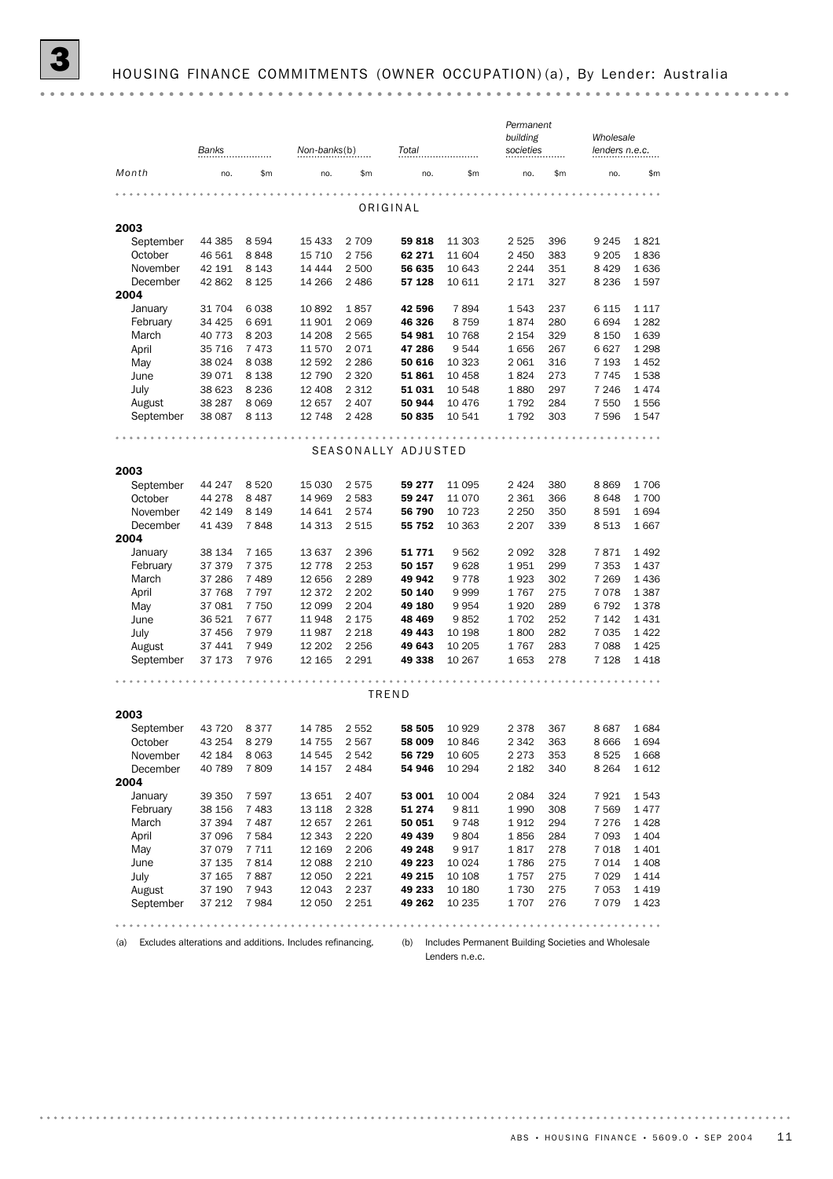|           | Banks<br>Non-banks(b) |         |          | Total   |                     |          | Permanent<br>societies |     | Wholesale<br>lenders n.e.c. |         |
|-----------|-----------------------|---------|----------|---------|---------------------|----------|------------------------|-----|-----------------------------|---------|
| Month     | no.                   | \$m     | no.      | \$m\$   | no.                 | \$m      | no.                    | \$m | no.                         | \$m     |
|           |                       |         |          |         | ORIGINAL            |          |                        |     |                             |         |
| 2003      |                       |         |          |         |                     |          |                        |     |                             |         |
| September | 44 385                | 8 5 9 4 | 15 4 33  | 2 7 0 9 | 59818               | 11 303   | 2 5 2 5                | 396 | 9 2 4 5                     | 1821    |
| October   | 46 561                | 8848    | 15 7 10  | 2 7 5 6 | 62 271              | 11 604   | 2 4 5 0                | 383 | 9 2 0 5                     | 1836    |
| November  | 42 191                | 8 1 4 3 | 14 444   | 2 500   | 56 635              | 10 643   | 2 2 4 4                | 351 | 8 4 2 9                     | 1636    |
| December  | 42 862                | 8 1 2 5 | 14 266   | 2 4 8 6 | 57 128              | 10 611   | 2 1 7 1                | 327 | 8 2 3 6                     | 1597    |
| 2004      |                       |         |          |         |                     |          |                        |     |                             |         |
| January   | 31 704                | 6038    | 10892    | 1857    | 42 596              | 7894     | 1543                   | 237 | 6 1 1 5                     | 1 1 1 7 |
| February  | 34 4 25               | 6 6 9 1 | 11 901   | 2 0 6 9 | 46 326              | 8759     | 1874                   | 280 | 6694                        | 1 2 8 2 |
| March     | 40 7 7 3              | 8 2 0 3 | 14 208   | 2 5 6 5 | 54 981              | 10 768   | 2 1 5 4                | 329 | 8 1 5 0                     | 1639    |
| April     | 35 7 16               | 7473    | 11 570   | 2071    | 47 286              | 9544     | 1656                   | 267 | 6627                        | 1 2 9 8 |
| May       | 38 0 24               | 8 0 3 8 | 12 592   | 2 2 8 6 | 50 616              | 10 3 23  | 2 0 6 1                | 316 | 7 1 9 3                     | 1 4 5 2 |
| June      | 39 0 7 1              | 8 1 3 8 | 12 790   | 2 3 2 0 | 51861               | 10 458   | 1824                   | 273 | 7745                        | 1538    |
| July      | 38 623                | 8 2 3 6 | 12 408   | 2 3 1 2 | 51 031              | 10 548   | 1880                   | 297 | 7 2 4 6                     | 1474    |
| August    | 38 287                | 8 0 6 9 | 12 657   | 2 4 0 7 | 50 944              | 10 4 7 6 | 1792                   | 284 | 7 5 5 0                     | 1556    |
| September | 38 087                | 8 1 1 3 | 12 748   | 2 4 2 8 | 50 835              | 10 541   | 1792                   | 303 | 7 5 9 6                     | 1547    |
|           |                       |         |          |         |                     |          |                        |     |                             |         |
|           |                       |         |          |         | SEASONALLY ADJUSTED |          |                        |     |                             |         |
| 2003      |                       |         |          |         |                     |          |                        |     |                             |         |
| September | 44 247                | 8520    | 15 0 30  | 2575    | 59 277              | 11 0 95  | 2 4 2 4                | 380 | 8869                        | 1706    |
| October   | 44 278                | 8 4 8 7 | 14 969   | 2583    | 59 247              | 11 0 70  | 2 3 6 1                | 366 | 8648                        | 1700    |
| November  | 42 149                | 8 1 4 9 | 14 641   | 2574    | 56 790              | 10 723   | 2 2 5 0                | 350 | 8591                        | 1694    |
| December  | 41 439                | 7848    | 14 313   | 2 5 1 5 | 55 752              | 10 363   | 2 2 0 7                | 339 | 8513                        | 1667    |
| 2004      |                       |         |          |         |                     |          |                        |     |                             |         |
| January   | 38 134                | 7 1 65  | 13 637   | 2 3 9 6 | 51 771              | 9 5 6 2  | 2092                   | 328 | 7871                        | 1 4 9 2 |
| February  | 37 379                | 7 3 7 5 | 12 7 78  | 2 2 5 3 | 50 157              | 9628     | 1951                   | 299 | 7 3 5 3                     | 1437    |
| March     | 37 286                | 7 4 8 9 | 12 656   | 2 2 8 9 | 49 942              | 9 7 7 8  | 1923                   | 302 | 7 2 6 9                     | 1436    |
| April     | 37 768                | 7 7 9 7 | 12 3 72  | 2 2 0 2 | 50 140              | 9999     | 1767                   | 275 | 7078                        | 1 3 8 7 |
| May       | 37 081                | 7 7 5 0 | 12 099   | 2 2 0 4 | 49 180              | 9954     | 1920                   | 289 | 6792                        | 1378    |
| June      | 36 521                | 7677    | 11948    | 2 1 7 5 | 48 469              | 9852     | 1702                   | 252 | 7 1 4 2                     | 1 4 3 1 |
| July      | 37 456                | 7979    | 11 987   | 2 2 1 8 | 49 443              | 10 198   | 1800                   | 282 | 7 0 3 5                     | 1422    |
| August    | 37 441                | 7949    | 12 202   | 2 2 5 6 | 49 643              | 10 205   | 1767                   | 283 | 7 0 8 8                     | 1425    |
| September | 37 173                | 7976    | 12 165   | 2 2 9 1 | 49 338              | 10 267   | 1653                   | 278 | 7 1 28                      | 1 4 1 8 |
|           |                       |         |          |         | TREND               |          |                        |     |                             |         |
| 2003      |                       |         |          |         |                     |          |                        |     |                             |         |
| September | 43 7 20               | 8377    | 14 785   | 2 5 5 2 | 58 505              | 10 9 29  | 2 3 7 8                | 367 | 8687                        | 1684    |
| October   | 43 254                | 8 2 7 9 | 14 7 5 5 | 2567    | 58 009              | 10846    | 2 3 4 2                | 363 | 8666                        | 1694    |
| November  | 42 184                | 8 0 63  | 14 545   | 2542    | 56 729              | 10 605   | 2 2 7 3                | 353 | 8525                        | 1668    |
| December  | 40 789                | 7809    | 14 157   | 2 4 8 4 | 54 946              | 10 294   | 2 1 8 2                | 340 | 8 2 6 4                     | 1612    |
| 2004      |                       |         |          |         |                     |          |                        |     |                             |         |
| January   | 39 350                | 7 5 9 7 | 13 651   | 2 4 0 7 | 53 001              | 10 004   | 2084                   | 324 | 7921                        | 1 543   |
| February  | 38 156                | 7 4 8 3 | 13 118   | 2 3 2 8 | 51 274              | 9811     | 1990                   | 308 | 7 5 6 9                     | 1 477   |
| March     | 37 394                | 7487    | 12 657   | 2 2 6 1 | 50 051              | 9748     | 1912                   | 294 | 7 2 7 6                     | 1428    |
| April     | 37 096                | 7 5 8 4 | 12 343   | 2 2 2 0 | 49 439              | 9804     | 1856                   | 284 | 7 0 9 3                     | 1 4 0 4 |
| May       | 37 0 79               | 7711    | 12 169   | 2 2 0 6 | 49 248              | 9917     | 1817                   | 278 | 7018                        | 1 4 0 1 |
| June      | 37 135                | 7814    | 12 088   | 2 2 1 0 | 49 223              | 10 0 24  | 1786                   | 275 | 7014                        | 1 4 0 8 |
| July      | 37 165                | 7887    | 12 050   | 2 2 2 1 | 49 215              | 10 108   | 1757                   | 275 | 7 0 2 9                     | 1 4 1 4 |
| August    | 37 190                | 7943    | 12 043   | 2 2 3 7 | 49 233              | 10 180   | 1730                   | 275 | 7 0 5 3                     | 1 4 1 9 |
| September | 37 212                | 7984    | 12 050   | 2 2 5 1 | 49 262              | 10 235   | 1707                   | 276 | 7079                        | 1 4 2 3 |
|           |                       |         |          |         |                     |          |                        |     |                             |         |

(a) Excludes alterations and additions. Includes refinancing. (b) Includes Permanent Building Societies and Wholesale Lenders n.e.c.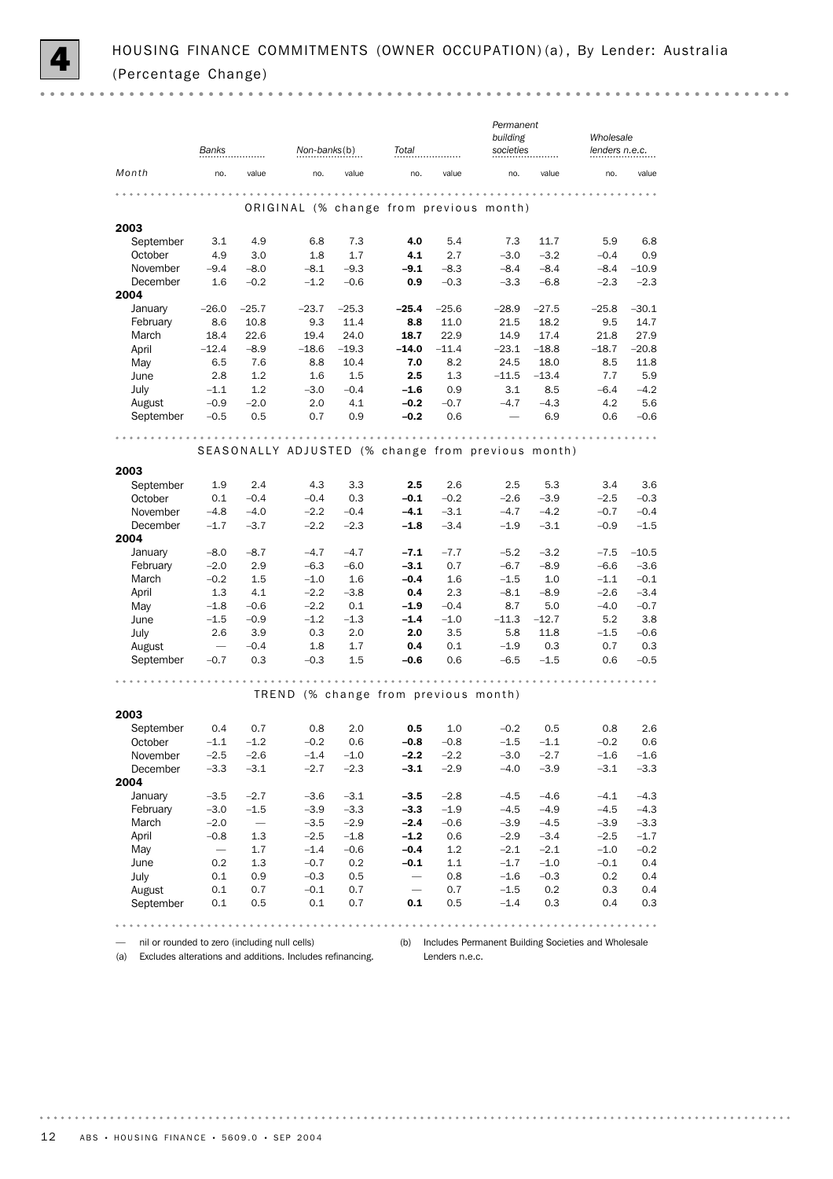|                   |                  |                          |                                      |               |                          |              | Permanent                                          |                  |                  |                  |
|-------------------|------------------|--------------------------|--------------------------------------|---------------|--------------------------|--------------|----------------------------------------------------|------------------|------------------|------------------|
|                   |                  |                          |                                      |               |                          |              | building                                           |                  | Wholesale        |                  |
|                   | Banks            |                          | Non-banks(b)                         |               | Total                    |              | societies                                          |                  | lenders n.e.c.   |                  |
| Month             | no.              | value                    | no.                                  | value         | no.                      | value        | no.                                                | value            | no.              | value            |
|                   |                  |                          |                                      |               |                          |              |                                                    |                  |                  |                  |
|                   |                  |                          |                                      |               |                          |              | ORIGINAL (% change from previous month)            |                  |                  |                  |
| 2003              |                  |                          |                                      |               |                          |              |                                                    |                  |                  |                  |
| September         | 3.1              | 4.9                      | 6.8                                  | 7.3           | 4.0                      | 5.4          | 7.3                                                | 11.7             | 5.9              | 6.8              |
| October           | 4.9              | 3.0                      | 1.8                                  | 1.7           | 4.1                      | 2.7          | $-3.0$                                             | $-3.2$           | $-0.4$           | 0.9              |
| November          | $-9.4$           | $-8.0$                   | $-8.1$                               | $-9.3$        | -9.1                     | $-8.3$       | $-8.4$                                             | $-8.4$           | $-8.4$           | $-10.9$          |
| December          | 1.6              | $-0.2$                   | $-1.2$                               | $-0.6$        | 0.9                      | $-0.3$       | $-3.3$                                             | $-6.8$           | $-2.3$           | $-2.3$           |
| 2004              |                  |                          |                                      |               |                          |              |                                                    |                  |                  |                  |
| January           | $-26.0$          | $-25.7$                  | $-23.7$                              | $-25.3$       | $-25.4$                  | $-25.6$      | $-28.9$                                            | $-27.5$          | $-25.8$          | $-30.1$          |
| February          | 8.6              | 10.8<br>22.6             | 9.3<br>19.4                          | 11.4<br>24.0  | 8.8<br>18.7              | 11.0<br>22.9 | 21.5<br>14.9                                       | 18.2<br>17.4     | 9.5              | 14.7<br>27.9     |
| March<br>April    | 18.4<br>$-12.4$  | $-8.9$                   | $-18.6$                              | $-19.3$       | $-14.0$                  | $-11.4$      | $-23.1$                                            | $-18.8$          | 21.8<br>$-18.7$  | $-20.8$          |
| May               | 6.5              | 7.6                      | 8.8                                  | 10.4          | 7.0                      | 8.2          | 24.5                                               | 18.0             | 8.5              | 11.8             |
| June              | 2.8              | 1.2                      | 1.6                                  | 1.5           | 2.5                      | 1.3          | $-11.5$                                            | $-13.4$          | 7.7              | 5.9              |
| July              | $-1.1$           | 1.2                      | $-3.0$                               | $-0.4$        | $-1.6$                   | 0.9          | 3.1                                                | 8.5              | $-6.4$           | $-4.2$           |
| August            | $-0.9$           | $-2.0$                   | 2.0                                  | 4.1           | $-0.2$                   | $-0.7$       | $-4.7$                                             | $-4.3$           | 4.2              | 5.6              |
| September         | $-0.5$           | 0.5                      | 0.7                                  | 0.9           | $-0.2$                   | 0.6          |                                                    | 6.9              | 0.6              | $-0.6$           |
|                   |                  |                          |                                      |               |                          |              |                                                    |                  |                  |                  |
|                   |                  |                          |                                      |               |                          | .            |                                                    |                  |                  |                  |
|                   |                  |                          |                                      |               |                          |              | SEASONALLY ADJUSTED (% change from previous month) |                  |                  |                  |
| 2003              |                  |                          |                                      |               |                          |              |                                                    |                  |                  |                  |
| September         | 1.9              | 2.4                      | 4.3                                  | 3.3           | 2.5                      | 2.6          | 2.5                                                | 5.3              | 3.4              | 3.6              |
| October           | 0.1              | $-0.4$                   | $-0.4$                               | 0.3           | $-0.1$                   | $-0.2$       | $-2.6$                                             | $-3.9$           | $-2.5$           | $-0.3$           |
| November          | $-4.8$           | $-4.0$                   | $-2.2$                               | $-0.4$        | $-4.1$                   | $-3.1$       | $-4.7$                                             | $-4.2$           | $-0.7$           | $-0.4$           |
| December          | $-1.7$           | $-3.7$                   | $-2.2$                               | $-2.3$        | $-1.8$                   | $-3.4$       | $-1.9$                                             | $-3.1$           | $-0.9$           | $-1.5$           |
| 2004              |                  |                          |                                      |               |                          |              |                                                    |                  |                  |                  |
| January           | $-8.0$           | $-8.7$                   | $-4.7$                               | $-4.7$        | $-7.1$                   | $-7.7$       | $-5.2$                                             | $-3.2$<br>$-8.9$ | $-7.5$           | $-10.5$          |
| February<br>March | $-2.0$<br>$-0.2$ | 2.9<br>1.5               | $-6.3$<br>$-1.0$                     | $-6.0$<br>1.6 | $-3.1$<br>$-0.4$         | 0.7<br>1.6   | $-6.7$<br>$-1.5$                                   | 1.0              | $-6.6$<br>$-1.1$ | $-3.6$<br>$-0.1$ |
| April             | 1.3              | 4.1                      | $-2.2$                               | $-3.8$        | 0.4                      | 2.3          | $-8.1$                                             | $-8.9$           | $-2.6$           | $-3.4$           |
| May               | $-1.8$           | $-0.6$                   | $-2.2$                               | 0.1           | $-1.9$                   | $-0.4$       | 8.7                                                | 5.0              | $-4.0$           | $-0.7$           |
| June              | $-1.5$           | $-0.9$                   | $-1.2$                               | $-1.3$        | $-1.4$                   | $-1.0$       | $-11.3$                                            | $-12.7$          | 5.2              | 3.8              |
| July              | 2.6              | 3.9                      | 0.3                                  | 2.0           | 2.0                      | 3.5          | 5.8                                                | 11.8             | $-1.5$           | $-0.6$           |
| August            |                  | $-0.4$                   | 1.8                                  | 1.7           | 0.4                      | 0.1          | $-1.9$                                             | 0.3              | 0.7              | 0.3              |
| September         | $-0.7$           | 0.3                      | $-0.3$                               | 1.5           | $-0.6$                   | 0.6          | $-6.5$                                             | $-1.5$           | 0.6              | $-0.5$           |
|                   |                  |                          |                                      |               |                          |              |                                                    |                  |                  |                  |
|                   |                  |                          | TREND (% change from previous month) |               |                          |              |                                                    |                  |                  |                  |
|                   |                  |                          |                                      |               |                          |              |                                                    |                  |                  |                  |
| 2003              |                  |                          |                                      |               |                          |              |                                                    |                  |                  |                  |
| September         | 0.4              | 0.7                      | 0.8                                  | 2.0           | 0.5                      | 1.0          | $-0.2$                                             | 0.5              | 0.8              | 2.6              |
| October           | $-1.1$           | $-1.2$                   | $-0.2$                               | 0.6           | $-0.8$                   | $-0.8$       | $-1.5$                                             | $-1.1$           | $-0.2$           | 0.6              |
| November          | $-2.5$           | $-2.6$                   | $-1.4$                               | $-1.0$        | $-2.2$                   | $-2.2$       | $-3.0$                                             | $-2.7$           | $-1.6$           | $-1.6$           |
| December<br>2004  | $-3.3$           | $-3.1$                   | $-2.7$                               | $-2.3$        | $-3.1$                   | $-2.9$       | $-4.0$                                             | $-3.9$           | $-3.1$           | $-3.3$           |
| January           | $-3.5$           | $-2.7$                   | $-3.6$                               | $-3.1$        | $-3.5$                   | $-2.8$       | $-4.5$                                             | $-4.6$           | $-4.1$           | $-4.3$           |
| February          | $-3.0$           | $-1.5$                   | $-3.9$                               | $-3.3$        | $-3.3$                   | $-1.9$       | $-4.5$                                             | $-4.9$           | $-4.5$           | $-4.3$           |
| March             | $-2.0$           | $\overline{\phantom{0}}$ | $-3.5$                               | $-2.9$        | $-2.4$                   | $-0.6$       | $-3.9$                                             | $-4.5$           | $-3.9$           | $-3.3$           |
| April             | $-0.8$           | 1.3                      | $-2.5$                               | $-1.8$        | $-1.2$                   | 0.6          | $-2.9$                                             | $-3.4$           | $-2.5$           | $-1.7$           |
| May               |                  | 1.7                      | $-1.4$                               | $-0.6$        | -0.4                     | 1.2          | $-2.1$                                             | $-2.1$           | $-1.0$           | $-0.2$           |
| June              | 0.2              | 1.3                      | $-0.7$                               | 0.2           | $-0.1$                   | $1.1\,$      | $-1.7$                                             | $-1.0$           | $-0.1$           | 0.4              |
| July              | 0.1              | 0.9                      | $-0.3$                               | 0.5           | $\overline{\phantom{0}}$ | 0.8          | $-1.6$                                             | $-0.3$           | 0.2              | 0.4              |
| August            | 0.1              | 0.7                      | $-0.1$                               | 0.7           | —                        | 0.7          | $-1.5$                                             | 0.2              | 0.3              | 0.4              |
| September         | $0.1\,$          | 0.5                      | $0.1\,$                              | 0.7           | 0.1                      | 0.5          | $-1.4$                                             | 0.3              | 0.4              | 0.3              |
|                   |                  |                          |                                      |               |                          |              |                                                    |                  |                  |                  |

— nil or rounded to zero (including null cells)

(a) Excludes alterations and additions. Includes refinancing.

(b) Includes Permanent Building Societies and Wholesale Lenders n.e.c.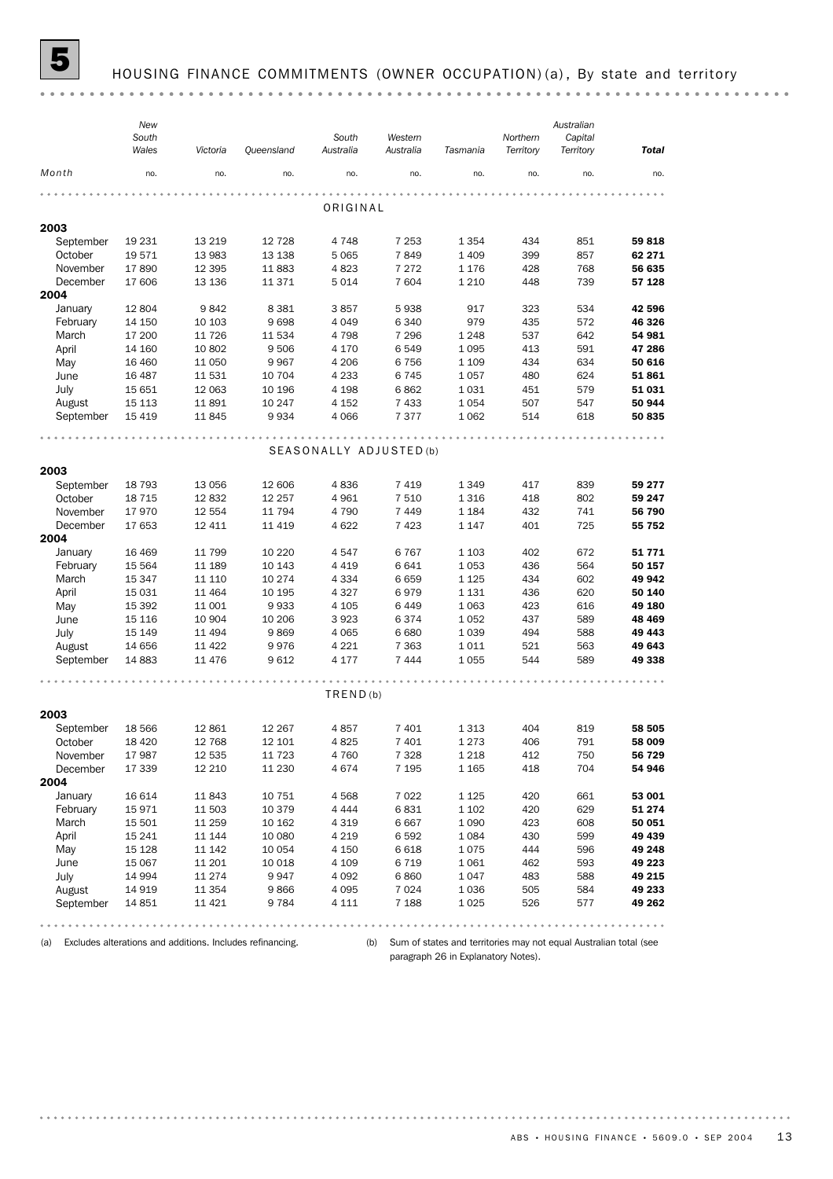

### HOUSING FINANCE COMMITMENTS (OWNER OCCUPATION) (a), By state and territory

(a) Excludes alterations and additions. Includes refinancing.

(b) Sum of states and territories may not equal Australian total (see paragraph 26 in Explanatory Notes).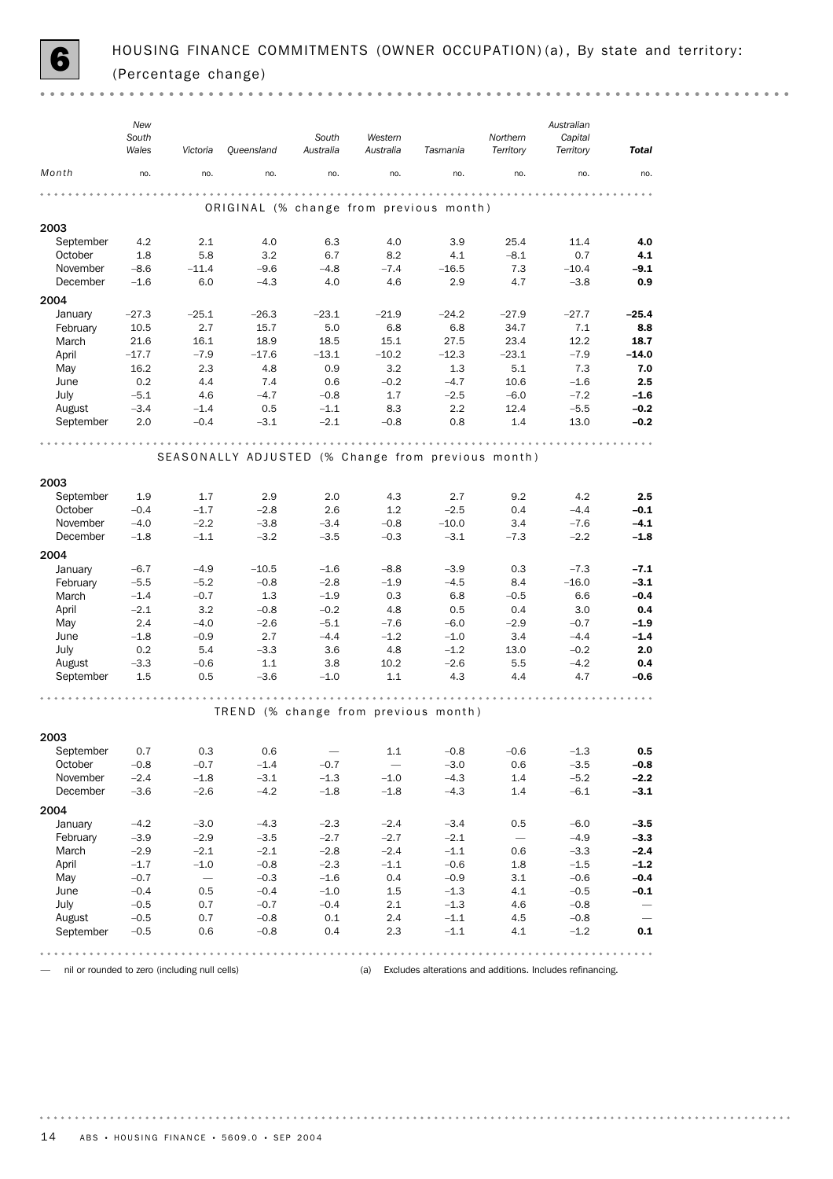

 $-0.0000$ 

|                      | New<br>South<br>Wales | Victoria                                      | Queensland                                         | South<br>Australia                 | Western<br>Australia            | Tasmania         | Northern<br>Territory    | Australian<br>Capital<br>Territory                        | Total                      |
|----------------------|-----------------------|-----------------------------------------------|----------------------------------------------------|------------------------------------|---------------------------------|------------------|--------------------------|-----------------------------------------------------------|----------------------------|
| Month                | no.                   | no.                                           | no.                                                | no.                                | no.                             | no.              | no.                      | no.                                                       | no.                        |
|                      |                       |                                               | ORIGINAL (% change from previous month)            |                                    |                                 |                  |                          |                                                           |                            |
| 2003                 |                       |                                               |                                                    |                                    |                                 |                  |                          |                                                           |                            |
| September            | 4.2                   | 2.1                                           | 4.0                                                | 6.3                                | 4.0                             | 3.9              | 25.4                     | 11.4                                                      | 4.0                        |
| October              | 1.8                   | 5.8                                           | 3.2                                                | 6.7                                | 8.2                             | 4.1              | $-8.1$                   | 0.7                                                       | 4.1                        |
| November             | $-8.6$                | $-11.4$                                       | $-9.6$                                             | $-4.8$                             | $-7.4$                          | $-16.5$          | 7.3                      | $-10.4$                                                   | $-9.1$                     |
| December             | $-1.6$                | 6.0                                           | $-4.3$                                             | 4.0                                | 4.6                             | 2.9              | 4.7                      | $-3.8$                                                    | 0.9                        |
| 2004                 |                       |                                               |                                                    |                                    |                                 |                  |                          |                                                           |                            |
| January              | $-27.3$               | $-25.1$                                       | $-26.3$                                            | $-23.1$                            | $-21.9$                         | $-24.2$          | $-27.9$                  | $-27.7$                                                   | $-25.4$                    |
| February             | 10.5                  | 2.7                                           | 15.7                                               | 5.0                                | 6.8                             | 6.8              | 34.7                     | 7.1                                                       | 8.8                        |
| March                | 21.6                  | 16.1                                          | 18.9                                               | 18.5                               | 15.1                            | 27.5             | 23.4                     | 12.2                                                      | 18.7                       |
| April                | $-17.7$               | $-7.9$                                        | $-17.6$                                            | $-13.1$                            | $-10.2$                         | $-12.3$          | $-23.1$                  | $-7.9$                                                    | $-14.0$                    |
| May                  | 16.2                  | 2.3                                           | 4.8                                                | 0.9                                | 3.2                             | 1.3              | 5.1                      | 7.3                                                       | 7.0                        |
| June<br>July         | 0.2<br>$-5.1$         | 4.4<br>4.6                                    | 7.4<br>$-4.7$                                      | 0.6<br>$-0.8$                      | $-0.2$<br>1.7                   | $-4.7$<br>$-2.5$ | 10.6<br>$-6.0$           | $-1.6$<br>$-7.2$                                          | 2.5<br>$-1.6$              |
| August               | $-3.4$                | $-1.4$                                        | 0.5                                                | $-1.1$                             | 8.3                             | 2.2              | 12.4                     | $-5.5$                                                    | $-0.2$                     |
| September            | 2.0                   | $-0.4$                                        | $-3.1$                                             | $-2.1$                             | $-0.8$                          | 0.8              | 1.4                      | 13.0                                                      | $-0.2$                     |
|                      |                       |                                               |                                                    |                                    |                                 |                  |                          |                                                           |                            |
|                      |                       |                                               | SEASONALLY ADJUSTED (% Change from previous month) |                                    | .                               | .                |                          |                                                           |                            |
| 2003                 |                       |                                               |                                                    |                                    |                                 |                  |                          |                                                           |                            |
|                      |                       | 1.7                                           | 2.9                                                | 2.0                                | 4.3                             | 2.7              | 9.2                      | 4.2                                                       | 2.5                        |
| September<br>October | 1.9<br>$-0.4$         | $-1.7$                                        | $-2.8$                                             | 2.6                                | 1.2                             | $-2.5$           | 0.4                      | $-4.4$                                                    | $-0.1$                     |
| November             | $-4.0$                | $-2.2$                                        | $-3.8$                                             | $-3.4$                             | $-0.8$                          | $-10.0$          | 3.4                      | $-7.6$                                                    | $-4.1$                     |
| December             | $-1.8$                | $-1.1$                                        | $-3.2$                                             | $-3.5$                             | $-0.3$                          | $-3.1$           | $-7.3$                   | $-2.2$                                                    | $-1.8$                     |
| 2004                 |                       |                                               |                                                    |                                    |                                 |                  |                          |                                                           |                            |
| January              | $-6.7$                | $-4.9$                                        | $-10.5$                                            | $-1.6$                             | $-8.8$                          | $-3.9$           | 0.3                      | $-7.3$                                                    | $-7.1$                     |
| February             | $-5.5$                | $-5.2$                                        | $-0.8$                                             | $-2.8$                             | $-1.9$                          | $-4.5$           | 8.4                      | $-16.0$                                                   | $-3.1$                     |
| March                | $-1.4$                | $-0.7$                                        | 1.3                                                | $-1.9$                             | 0.3                             | 6.8              | $-0.5$                   | 6.6                                                       | $-0.4$                     |
| April                | $-2.1$                | 3.2                                           | $-0.8$                                             | $-0.2$                             | 4.8                             | 0.5              | 0.4                      | 3.0                                                       | 0.4                        |
| May                  | 2.4                   | $-4.0$                                        | $-2.6$                                             | $-5.1$                             | $-7.6$                          | $-6.0$           | $-2.9$                   | $-0.7$                                                    | $-1.9$                     |
| June                 | $-1.8$                | $-0.9$                                        | 2.7                                                | $-4.4$                             | $-1.2$                          | $-1.0$           | 3.4                      | $-4.4$                                                    | $-1.4$                     |
| July                 | 0.2                   | 5.4                                           | $-3.3$                                             | 3.6                                | 4.8                             | $-1.2$           | 13.0                     | $-0.2$                                                    | 2.0                        |
| August               | $-3.3$                | $-0.6$                                        | 1.1                                                | 3.8                                | 10.2                            | $-2.6$           | 5.5                      | $-4.2$                                                    | 0.4                        |
| September            | 1.5                   | 0.5                                           | $-3.6$                                             | $-1.0$                             | 1.1                             | 4.3              | 4.4                      | 4.7                                                       | $-0.6$                     |
|                      |                       |                                               | TREND (% change from previous month)               |                                    |                                 |                  | .                        |                                                           |                            |
|                      |                       |                                               |                                                    |                                    |                                 |                  |                          |                                                           |                            |
| 2003                 |                       |                                               |                                                    |                                    |                                 |                  |                          |                                                           |                            |
| September<br>October | 0.7<br>$-0.8$         | 0.3<br>$-0.7$                                 | 0.6<br>$-1.4$                                      | $\overline{\phantom{m}}$<br>$-0.7$ | 1.1<br>$\overline{\phantom{m}}$ | $-0.8$<br>$-3.0$ | $-0.6$<br>0.6            | $-1.3$<br>$-3.5$                                          | 0.5<br>$-0.8$              |
| November             | $-2.4$                | $-1.8$                                        | $-3.1$                                             | $-1.3$                             | $-1.0$                          | $-4.3$           | 1.4                      | $-5.2$                                                    | $-2.2$                     |
| December             | $-3.6$                | $-2.6$                                        | $-4.2$                                             | $-1.8$                             | $-1.8$                          | $-4.3$           | 1.4                      | $-6.1$                                                    | $-3.1$                     |
|                      |                       |                                               |                                                    |                                    |                                 |                  |                          |                                                           |                            |
| 2004<br>January      | $-4.2$                | $-3.0$                                        | $-4.3$                                             | $-2.3$                             | $-2.4$                          | $-3.4$           | 0.5                      | $-6.0$                                                    | $-3.5$                     |
| February             | $-3.9$                | $-2.9$                                        | $-3.5$                                             | $-2.7$                             | $-2.7$                          | $-2.1$           | $\overline{\phantom{0}}$ | $-4.9$                                                    | $-3.3$                     |
| March                | $-2.9$                | $-2.1$                                        | $-2.1$                                             | $-2.8$                             | $-2.4$                          | $-1.1$           | 0.6                      | $-3.3$                                                    | $-2.4$                     |
| April                | $-1.7$                | $-1.0$                                        | $-0.8$                                             | $-2.3$                             | $-1.1$                          | $-0.6$           | 1.8                      | $-1.5$                                                    | $-1.2$                     |
| May                  | $-0.7$                | $\overline{\phantom{0}}$                      | $-0.3$                                             | $-1.6$                             | 0.4                             | $-0.9$           | 3.1                      | $-0.6$                                                    | $-0.4$                     |
| June                 | $-0.4$                | 0.5                                           | $-0.4$                                             | $-1.0$                             | 1.5                             | $-1.3$           | 4.1                      | $-0.5$                                                    | $-0.1$                     |
| July                 | $-0.5$                | 0.7                                           | $-0.7$                                             | $-0.4$                             | 2.1                             | $-1.3$           | 4.6                      | $-0.8$                                                    | $\overline{\phantom{m}}$   |
| August               | $-0.5$                | 0.7                                           | $-0.8$                                             | 0.1                                | 2.4                             | $-1.1$           | 4.5                      | $-0.8$                                                    |                            |
| September            | $-0.5$                | 0.6                                           | $-0.8$                                             | 0.4                                | 2.3                             | $-1.1$           | 4.1                      | $-1.2$                                                    | 0.1                        |
|                      |                       |                                               |                                                    |                                    |                                 |                  | $- - - -$                |                                                           | $\alpha = \alpha - \alpha$ |
|                      |                       | nil or rounded to zero (including null cells) |                                                    |                                    | (a)                             |                  |                          | Excludes alterations and additions. Includes refinancing. |                            |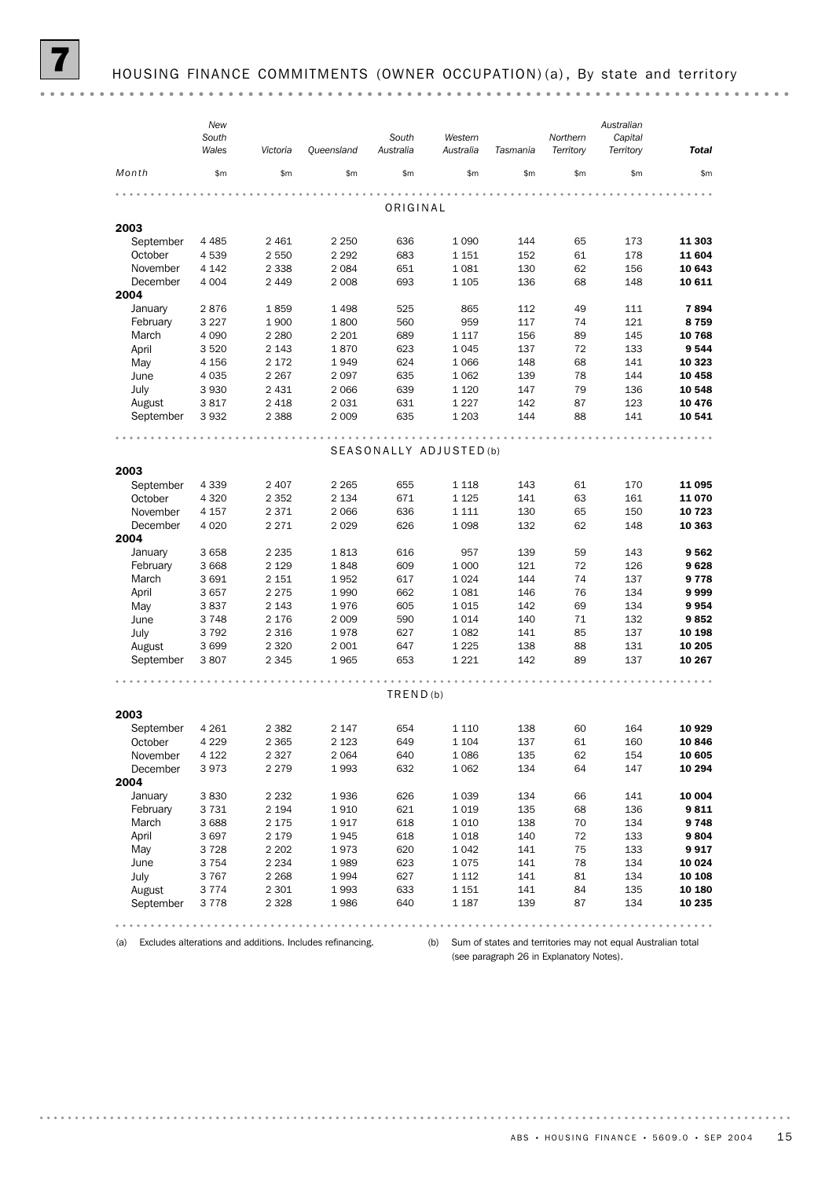| Territory<br>Wales<br>Queensland<br>Australia<br>Australia<br>Territory<br><b>Total</b><br>Victoria<br>Tasmania<br>Month<br>\$m<br>\$m\$<br>\$m\$<br>\$m\$<br>\$m\$<br>\$m\$<br>\$m\$<br>\$m\$<br>\$m\$<br>ORIGINAL<br>2003<br>September<br>2 4 6 1<br>1 0 9 0<br>144<br>11 303<br>4 4 8 5<br>2 2 5 0<br>636<br>65<br>173<br>11 604<br>October<br>4539<br>2 5 5 0<br>2 2 9 2<br>683<br>1 1 5 1<br>152<br>61<br>178<br>1081<br>November<br>4 1 4 2<br>2 3 3 8<br>2 0 8 4<br>651<br>130<br>62<br>156<br>10 643<br>December<br>693<br>136<br>68<br>148<br>4 0 0 4<br>2 4 4 9<br>2 0 0 8<br>1 1 0 5<br>10 611<br>2004<br>49<br>January<br>2876<br>1859<br>1498<br>525<br>865<br>112<br>111<br>7894<br>February<br>3 2 2 7<br>560<br>959<br>117<br>121<br>8759<br>1900<br>1800<br>74<br>89<br>10 768<br>March<br>4 0 9 0<br>2 2 8 0<br>2 2 0 1<br>689<br>1 1 1 7<br>156<br>145<br>April<br>623<br>137<br>72<br>133<br>9544<br>3 5 20<br>2 1 4 3<br>1870<br>1045<br>624<br>148<br>68<br>141<br>May<br>4 1 5 6<br>2 1 7 2<br>1949<br>1 0 6 6<br>10 323<br>2 2 6 7<br>635<br>1 0 6 2<br>139<br>78<br>144<br>10 458<br>June<br>4 0 3 5<br>2097<br>July<br>3 9 3 0<br>2 4 3 1<br>639<br>1 1 2 0<br>147<br>79<br>136<br>10 548<br>2 0 6 6<br>631<br>1 2 2 7<br>142<br>August<br>3817<br>2 4 1 8<br>2 0 3 1<br>87<br>123<br>10 476<br>September<br>2 3 8 8<br>2 0 0 9<br>635<br>1 2 0 3<br>144<br>88<br>141<br>3932<br>10 541<br>.<br>.<br>0.0.0<br>SEASONALLY ADJUSTED (b)<br>2003<br>September<br>4 3 3 9<br>143<br>11 095<br>2 4 0 7<br>2 2 6 5<br>655<br>1 1 1 8<br>61<br>170<br>October<br>4 3 2 0<br>2 3 5 2<br>671<br>1 1 2 5<br>141<br>63<br>11070<br>2 1 3 4<br>161<br>November<br>4 1 5 7<br>2 3 7 1<br>2 0 6 6<br>636<br>1 1 1 1<br>130<br>65<br>150<br>10 723<br>December<br>2 2 7 1<br>626<br>1098<br>132<br>62<br>4 0 2 0<br>2 0 2 9<br>148<br>10 363<br>2004<br>139<br>59<br>January<br>3 6 5 8<br>2 2 3 5<br>1813<br>616<br>957<br>143<br>9562<br>February<br>3 6 6 8<br>609<br>1 0 0 0<br>121<br>72<br>9628<br>2 1 2 9<br>1848<br>126<br>1 0 2 4<br>144<br>74<br>March<br>3691<br>2 1 5 1<br>1952<br>617<br>137<br>9778<br>April<br>2 2 7 5<br>662<br>1081<br>146<br>76<br>134<br>3657<br>1990<br>9999<br>605<br>142<br>69<br>134<br>May<br>3837<br>2 1 4 3<br>1976<br>1015<br>9954<br>590<br>1014<br>140<br>71<br>132<br>9852<br>June<br>3748<br>2 1 7 6<br>2 0 0 9<br>July<br>3792<br>627<br>1 0 8 2<br>141<br>85<br>10 198<br>2 3 1 6<br>1978<br>137<br>1 2 2 5<br>August<br>3699<br>2 3 2 0<br>2 0 0 1<br>647<br>138<br>88<br>131<br>10 205<br>September<br>2 3 4 5<br>653<br>1 2 2 1<br>142<br>89<br>137<br>3807<br>1965<br>10 267<br>$-0.00000$<br>TRED(b)<br>2003<br>September<br>4 2 6 1<br>2 1 4 7<br>654<br>1 1 1 0<br>138<br>10 929<br>2 3 8 2<br>60<br>164<br>137<br>4 2 2 9<br>2 3 6 5<br>2 1 2 3<br>649<br>61<br>160<br>10846<br>October<br>1 1 0 4<br>November<br>4 1 2 2<br>2 3 2 7<br>2 0 6 4<br>640<br>1086<br>135<br>62<br>10 605<br>154<br>632<br>1 0 6 2<br>December<br>3973<br>2 2 7 9<br>1993<br>134<br>64<br>147<br>10 294<br>2004<br>January<br>1 0 3 9<br>134<br>10 004<br>3830<br>2 2 3 2<br>1936<br>626<br>66<br>141<br>9811<br>February<br>3731<br>2 1 9 4<br>1910<br>621<br>1019<br>135<br>68<br>136<br>March<br>618<br>1010<br>138<br>70<br>9748<br>3688<br>2 1 7 5<br>1917<br>134<br>April<br>3697<br>2 1 7 9<br>1945<br>618<br>1018<br>140<br>72<br>133<br>9804<br>May<br>3728<br>2 2 0 2<br>1973<br>620<br>1 0 4 2<br>141<br>75<br>133<br>9917<br>June<br>2 2 3 4<br>1989<br>623<br>1075<br>141<br>78<br>134<br>10 0 24<br>3 7 5 4<br>July<br>3767<br>2 2 6 8<br>1994<br>627<br>1 1 1 2<br>141<br>81<br>134<br>10 108<br>633<br>84<br>August<br>3 7 7 4<br>2 3 0 1<br>1993<br>1 151<br>141<br>135<br>10 180<br>September<br>3778<br>2 3 2 8<br>1986<br>640<br>1 1 8 7<br>139<br>87<br>134<br>10 235 | New   |  |       |         |          | Australian |  |
|--------------------------------------------------------------------------------------------------------------------------------------------------------------------------------------------------------------------------------------------------------------------------------------------------------------------------------------------------------------------------------------------------------------------------------------------------------------------------------------------------------------------------------------------------------------------------------------------------------------------------------------------------------------------------------------------------------------------------------------------------------------------------------------------------------------------------------------------------------------------------------------------------------------------------------------------------------------------------------------------------------------------------------------------------------------------------------------------------------------------------------------------------------------------------------------------------------------------------------------------------------------------------------------------------------------------------------------------------------------------------------------------------------------------------------------------------------------------------------------------------------------------------------------------------------------------------------------------------------------------------------------------------------------------------------------------------------------------------------------------------------------------------------------------------------------------------------------------------------------------------------------------------------------------------------------------------------------------------------------------------------------------------------------------------------------------------------------------------------------------------------------------------------------------------------------------------------------------------------------------------------------------------------------------------------------------------------------------------------------------------------------------------------------------------------------------------------------------------------------------------------------------------------------------------------------------------------------------------------------------------------------------------------------------------------------------------------------------------------------------------------------------------------------------------------------------------------------------------------------------------------------------------------------------------------------------------------------------------------------------------------------------------------------------------------------------------------------------------------------------------------------------------------------------------------------------------------------------------------------------------------------------------------------------------------------------------------------------------------------------------------------------------------------------------------------------------------------------------------------------------------------------------------------------------------------------------------------------------------------------------------------------------------------------------------------------------------------------------------------------------------------------------------------------------------------------------------------------|-------|--|-------|---------|----------|------------|--|
|                                                                                                                                                                                                                                                                                                                                                                                                                                                                                                                                                                                                                                                                                                                                                                                                                                                                                                                                                                                                                                                                                                                                                                                                                                                                                                                                                                                                                                                                                                                                                                                                                                                                                                                                                                                                                                                                                                                                                                                                                                                                                                                                                                                                                                                                                                                                                                                                                                                                                                                                                                                                                                                                                                                                                                                                                                                                                                                                                                                                                                                                                                                                                                                                                                                                                                                                                                                                                                                                                                                                                                                                                                                                                                                                                                                                                                            | South |  | South | Western | Northern | Capital    |  |
|                                                                                                                                                                                                                                                                                                                                                                                                                                                                                                                                                                                                                                                                                                                                                                                                                                                                                                                                                                                                                                                                                                                                                                                                                                                                                                                                                                                                                                                                                                                                                                                                                                                                                                                                                                                                                                                                                                                                                                                                                                                                                                                                                                                                                                                                                                                                                                                                                                                                                                                                                                                                                                                                                                                                                                                                                                                                                                                                                                                                                                                                                                                                                                                                                                                                                                                                                                                                                                                                                                                                                                                                                                                                                                                                                                                                                                            |       |  |       |         |          |            |  |
|                                                                                                                                                                                                                                                                                                                                                                                                                                                                                                                                                                                                                                                                                                                                                                                                                                                                                                                                                                                                                                                                                                                                                                                                                                                                                                                                                                                                                                                                                                                                                                                                                                                                                                                                                                                                                                                                                                                                                                                                                                                                                                                                                                                                                                                                                                                                                                                                                                                                                                                                                                                                                                                                                                                                                                                                                                                                                                                                                                                                                                                                                                                                                                                                                                                                                                                                                                                                                                                                                                                                                                                                                                                                                                                                                                                                                                            |       |  |       |         |          |            |  |
|                                                                                                                                                                                                                                                                                                                                                                                                                                                                                                                                                                                                                                                                                                                                                                                                                                                                                                                                                                                                                                                                                                                                                                                                                                                                                                                                                                                                                                                                                                                                                                                                                                                                                                                                                                                                                                                                                                                                                                                                                                                                                                                                                                                                                                                                                                                                                                                                                                                                                                                                                                                                                                                                                                                                                                                                                                                                                                                                                                                                                                                                                                                                                                                                                                                                                                                                                                                                                                                                                                                                                                                                                                                                                                                                                                                                                                            |       |  |       |         |          |            |  |
|                                                                                                                                                                                                                                                                                                                                                                                                                                                                                                                                                                                                                                                                                                                                                                                                                                                                                                                                                                                                                                                                                                                                                                                                                                                                                                                                                                                                                                                                                                                                                                                                                                                                                                                                                                                                                                                                                                                                                                                                                                                                                                                                                                                                                                                                                                                                                                                                                                                                                                                                                                                                                                                                                                                                                                                                                                                                                                                                                                                                                                                                                                                                                                                                                                                                                                                                                                                                                                                                                                                                                                                                                                                                                                                                                                                                                                            |       |  |       |         |          |            |  |
|                                                                                                                                                                                                                                                                                                                                                                                                                                                                                                                                                                                                                                                                                                                                                                                                                                                                                                                                                                                                                                                                                                                                                                                                                                                                                                                                                                                                                                                                                                                                                                                                                                                                                                                                                                                                                                                                                                                                                                                                                                                                                                                                                                                                                                                                                                                                                                                                                                                                                                                                                                                                                                                                                                                                                                                                                                                                                                                                                                                                                                                                                                                                                                                                                                                                                                                                                                                                                                                                                                                                                                                                                                                                                                                                                                                                                                            |       |  |       |         |          |            |  |
|                                                                                                                                                                                                                                                                                                                                                                                                                                                                                                                                                                                                                                                                                                                                                                                                                                                                                                                                                                                                                                                                                                                                                                                                                                                                                                                                                                                                                                                                                                                                                                                                                                                                                                                                                                                                                                                                                                                                                                                                                                                                                                                                                                                                                                                                                                                                                                                                                                                                                                                                                                                                                                                                                                                                                                                                                                                                                                                                                                                                                                                                                                                                                                                                                                                                                                                                                                                                                                                                                                                                                                                                                                                                                                                                                                                                                                            |       |  |       |         |          |            |  |
|                                                                                                                                                                                                                                                                                                                                                                                                                                                                                                                                                                                                                                                                                                                                                                                                                                                                                                                                                                                                                                                                                                                                                                                                                                                                                                                                                                                                                                                                                                                                                                                                                                                                                                                                                                                                                                                                                                                                                                                                                                                                                                                                                                                                                                                                                                                                                                                                                                                                                                                                                                                                                                                                                                                                                                                                                                                                                                                                                                                                                                                                                                                                                                                                                                                                                                                                                                                                                                                                                                                                                                                                                                                                                                                                                                                                                                            |       |  |       |         |          |            |  |
|                                                                                                                                                                                                                                                                                                                                                                                                                                                                                                                                                                                                                                                                                                                                                                                                                                                                                                                                                                                                                                                                                                                                                                                                                                                                                                                                                                                                                                                                                                                                                                                                                                                                                                                                                                                                                                                                                                                                                                                                                                                                                                                                                                                                                                                                                                                                                                                                                                                                                                                                                                                                                                                                                                                                                                                                                                                                                                                                                                                                                                                                                                                                                                                                                                                                                                                                                                                                                                                                                                                                                                                                                                                                                                                                                                                                                                            |       |  |       |         |          |            |  |
|                                                                                                                                                                                                                                                                                                                                                                                                                                                                                                                                                                                                                                                                                                                                                                                                                                                                                                                                                                                                                                                                                                                                                                                                                                                                                                                                                                                                                                                                                                                                                                                                                                                                                                                                                                                                                                                                                                                                                                                                                                                                                                                                                                                                                                                                                                                                                                                                                                                                                                                                                                                                                                                                                                                                                                                                                                                                                                                                                                                                                                                                                                                                                                                                                                                                                                                                                                                                                                                                                                                                                                                                                                                                                                                                                                                                                                            |       |  |       |         |          |            |  |
|                                                                                                                                                                                                                                                                                                                                                                                                                                                                                                                                                                                                                                                                                                                                                                                                                                                                                                                                                                                                                                                                                                                                                                                                                                                                                                                                                                                                                                                                                                                                                                                                                                                                                                                                                                                                                                                                                                                                                                                                                                                                                                                                                                                                                                                                                                                                                                                                                                                                                                                                                                                                                                                                                                                                                                                                                                                                                                                                                                                                                                                                                                                                                                                                                                                                                                                                                                                                                                                                                                                                                                                                                                                                                                                                                                                                                                            |       |  |       |         |          |            |  |
|                                                                                                                                                                                                                                                                                                                                                                                                                                                                                                                                                                                                                                                                                                                                                                                                                                                                                                                                                                                                                                                                                                                                                                                                                                                                                                                                                                                                                                                                                                                                                                                                                                                                                                                                                                                                                                                                                                                                                                                                                                                                                                                                                                                                                                                                                                                                                                                                                                                                                                                                                                                                                                                                                                                                                                                                                                                                                                                                                                                                                                                                                                                                                                                                                                                                                                                                                                                                                                                                                                                                                                                                                                                                                                                                                                                                                                            |       |  |       |         |          |            |  |
|                                                                                                                                                                                                                                                                                                                                                                                                                                                                                                                                                                                                                                                                                                                                                                                                                                                                                                                                                                                                                                                                                                                                                                                                                                                                                                                                                                                                                                                                                                                                                                                                                                                                                                                                                                                                                                                                                                                                                                                                                                                                                                                                                                                                                                                                                                                                                                                                                                                                                                                                                                                                                                                                                                                                                                                                                                                                                                                                                                                                                                                                                                                                                                                                                                                                                                                                                                                                                                                                                                                                                                                                                                                                                                                                                                                                                                            |       |  |       |         |          |            |  |
|                                                                                                                                                                                                                                                                                                                                                                                                                                                                                                                                                                                                                                                                                                                                                                                                                                                                                                                                                                                                                                                                                                                                                                                                                                                                                                                                                                                                                                                                                                                                                                                                                                                                                                                                                                                                                                                                                                                                                                                                                                                                                                                                                                                                                                                                                                                                                                                                                                                                                                                                                                                                                                                                                                                                                                                                                                                                                                                                                                                                                                                                                                                                                                                                                                                                                                                                                                                                                                                                                                                                                                                                                                                                                                                                                                                                                                            |       |  |       |         |          |            |  |
|                                                                                                                                                                                                                                                                                                                                                                                                                                                                                                                                                                                                                                                                                                                                                                                                                                                                                                                                                                                                                                                                                                                                                                                                                                                                                                                                                                                                                                                                                                                                                                                                                                                                                                                                                                                                                                                                                                                                                                                                                                                                                                                                                                                                                                                                                                                                                                                                                                                                                                                                                                                                                                                                                                                                                                                                                                                                                                                                                                                                                                                                                                                                                                                                                                                                                                                                                                                                                                                                                                                                                                                                                                                                                                                                                                                                                                            |       |  |       |         |          |            |  |
|                                                                                                                                                                                                                                                                                                                                                                                                                                                                                                                                                                                                                                                                                                                                                                                                                                                                                                                                                                                                                                                                                                                                                                                                                                                                                                                                                                                                                                                                                                                                                                                                                                                                                                                                                                                                                                                                                                                                                                                                                                                                                                                                                                                                                                                                                                                                                                                                                                                                                                                                                                                                                                                                                                                                                                                                                                                                                                                                                                                                                                                                                                                                                                                                                                                                                                                                                                                                                                                                                                                                                                                                                                                                                                                                                                                                                                            |       |  |       |         |          |            |  |
|                                                                                                                                                                                                                                                                                                                                                                                                                                                                                                                                                                                                                                                                                                                                                                                                                                                                                                                                                                                                                                                                                                                                                                                                                                                                                                                                                                                                                                                                                                                                                                                                                                                                                                                                                                                                                                                                                                                                                                                                                                                                                                                                                                                                                                                                                                                                                                                                                                                                                                                                                                                                                                                                                                                                                                                                                                                                                                                                                                                                                                                                                                                                                                                                                                                                                                                                                                                                                                                                                                                                                                                                                                                                                                                                                                                                                                            |       |  |       |         |          |            |  |
|                                                                                                                                                                                                                                                                                                                                                                                                                                                                                                                                                                                                                                                                                                                                                                                                                                                                                                                                                                                                                                                                                                                                                                                                                                                                                                                                                                                                                                                                                                                                                                                                                                                                                                                                                                                                                                                                                                                                                                                                                                                                                                                                                                                                                                                                                                                                                                                                                                                                                                                                                                                                                                                                                                                                                                                                                                                                                                                                                                                                                                                                                                                                                                                                                                                                                                                                                                                                                                                                                                                                                                                                                                                                                                                                                                                                                                            |       |  |       |         |          |            |  |
|                                                                                                                                                                                                                                                                                                                                                                                                                                                                                                                                                                                                                                                                                                                                                                                                                                                                                                                                                                                                                                                                                                                                                                                                                                                                                                                                                                                                                                                                                                                                                                                                                                                                                                                                                                                                                                                                                                                                                                                                                                                                                                                                                                                                                                                                                                                                                                                                                                                                                                                                                                                                                                                                                                                                                                                                                                                                                                                                                                                                                                                                                                                                                                                                                                                                                                                                                                                                                                                                                                                                                                                                                                                                                                                                                                                                                                            |       |  |       |         |          |            |  |
|                                                                                                                                                                                                                                                                                                                                                                                                                                                                                                                                                                                                                                                                                                                                                                                                                                                                                                                                                                                                                                                                                                                                                                                                                                                                                                                                                                                                                                                                                                                                                                                                                                                                                                                                                                                                                                                                                                                                                                                                                                                                                                                                                                                                                                                                                                                                                                                                                                                                                                                                                                                                                                                                                                                                                                                                                                                                                                                                                                                                                                                                                                                                                                                                                                                                                                                                                                                                                                                                                                                                                                                                                                                                                                                                                                                                                                            |       |  |       |         |          |            |  |
|                                                                                                                                                                                                                                                                                                                                                                                                                                                                                                                                                                                                                                                                                                                                                                                                                                                                                                                                                                                                                                                                                                                                                                                                                                                                                                                                                                                                                                                                                                                                                                                                                                                                                                                                                                                                                                                                                                                                                                                                                                                                                                                                                                                                                                                                                                                                                                                                                                                                                                                                                                                                                                                                                                                                                                                                                                                                                                                                                                                                                                                                                                                                                                                                                                                                                                                                                                                                                                                                                                                                                                                                                                                                                                                                                                                                                                            |       |  |       |         |          |            |  |
|                                                                                                                                                                                                                                                                                                                                                                                                                                                                                                                                                                                                                                                                                                                                                                                                                                                                                                                                                                                                                                                                                                                                                                                                                                                                                                                                                                                                                                                                                                                                                                                                                                                                                                                                                                                                                                                                                                                                                                                                                                                                                                                                                                                                                                                                                                                                                                                                                                                                                                                                                                                                                                                                                                                                                                                                                                                                                                                                                                                                                                                                                                                                                                                                                                                                                                                                                                                                                                                                                                                                                                                                                                                                                                                                                                                                                                            |       |  |       |         |          |            |  |
|                                                                                                                                                                                                                                                                                                                                                                                                                                                                                                                                                                                                                                                                                                                                                                                                                                                                                                                                                                                                                                                                                                                                                                                                                                                                                                                                                                                                                                                                                                                                                                                                                                                                                                                                                                                                                                                                                                                                                                                                                                                                                                                                                                                                                                                                                                                                                                                                                                                                                                                                                                                                                                                                                                                                                                                                                                                                                                                                                                                                                                                                                                                                                                                                                                                                                                                                                                                                                                                                                                                                                                                                                                                                                                                                                                                                                                            |       |  |       |         |          |            |  |
|                                                                                                                                                                                                                                                                                                                                                                                                                                                                                                                                                                                                                                                                                                                                                                                                                                                                                                                                                                                                                                                                                                                                                                                                                                                                                                                                                                                                                                                                                                                                                                                                                                                                                                                                                                                                                                                                                                                                                                                                                                                                                                                                                                                                                                                                                                                                                                                                                                                                                                                                                                                                                                                                                                                                                                                                                                                                                                                                                                                                                                                                                                                                                                                                                                                                                                                                                                                                                                                                                                                                                                                                                                                                                                                                                                                                                                            |       |  |       |         |          |            |  |
|                                                                                                                                                                                                                                                                                                                                                                                                                                                                                                                                                                                                                                                                                                                                                                                                                                                                                                                                                                                                                                                                                                                                                                                                                                                                                                                                                                                                                                                                                                                                                                                                                                                                                                                                                                                                                                                                                                                                                                                                                                                                                                                                                                                                                                                                                                                                                                                                                                                                                                                                                                                                                                                                                                                                                                                                                                                                                                                                                                                                                                                                                                                                                                                                                                                                                                                                                                                                                                                                                                                                                                                                                                                                                                                                                                                                                                            |       |  |       |         |          |            |  |
|                                                                                                                                                                                                                                                                                                                                                                                                                                                                                                                                                                                                                                                                                                                                                                                                                                                                                                                                                                                                                                                                                                                                                                                                                                                                                                                                                                                                                                                                                                                                                                                                                                                                                                                                                                                                                                                                                                                                                                                                                                                                                                                                                                                                                                                                                                                                                                                                                                                                                                                                                                                                                                                                                                                                                                                                                                                                                                                                                                                                                                                                                                                                                                                                                                                                                                                                                                                                                                                                                                                                                                                                                                                                                                                                                                                                                                            |       |  |       |         |          |            |  |
|                                                                                                                                                                                                                                                                                                                                                                                                                                                                                                                                                                                                                                                                                                                                                                                                                                                                                                                                                                                                                                                                                                                                                                                                                                                                                                                                                                                                                                                                                                                                                                                                                                                                                                                                                                                                                                                                                                                                                                                                                                                                                                                                                                                                                                                                                                                                                                                                                                                                                                                                                                                                                                                                                                                                                                                                                                                                                                                                                                                                                                                                                                                                                                                                                                                                                                                                                                                                                                                                                                                                                                                                                                                                                                                                                                                                                                            |       |  |       |         |          |            |  |
|                                                                                                                                                                                                                                                                                                                                                                                                                                                                                                                                                                                                                                                                                                                                                                                                                                                                                                                                                                                                                                                                                                                                                                                                                                                                                                                                                                                                                                                                                                                                                                                                                                                                                                                                                                                                                                                                                                                                                                                                                                                                                                                                                                                                                                                                                                                                                                                                                                                                                                                                                                                                                                                                                                                                                                                                                                                                                                                                                                                                                                                                                                                                                                                                                                                                                                                                                                                                                                                                                                                                                                                                                                                                                                                                                                                                                                            |       |  |       |         |          |            |  |
|                                                                                                                                                                                                                                                                                                                                                                                                                                                                                                                                                                                                                                                                                                                                                                                                                                                                                                                                                                                                                                                                                                                                                                                                                                                                                                                                                                                                                                                                                                                                                                                                                                                                                                                                                                                                                                                                                                                                                                                                                                                                                                                                                                                                                                                                                                                                                                                                                                                                                                                                                                                                                                                                                                                                                                                                                                                                                                                                                                                                                                                                                                                                                                                                                                                                                                                                                                                                                                                                                                                                                                                                                                                                                                                                                                                                                                            |       |  |       |         |          |            |  |
|                                                                                                                                                                                                                                                                                                                                                                                                                                                                                                                                                                                                                                                                                                                                                                                                                                                                                                                                                                                                                                                                                                                                                                                                                                                                                                                                                                                                                                                                                                                                                                                                                                                                                                                                                                                                                                                                                                                                                                                                                                                                                                                                                                                                                                                                                                                                                                                                                                                                                                                                                                                                                                                                                                                                                                                                                                                                                                                                                                                                                                                                                                                                                                                                                                                                                                                                                                                                                                                                                                                                                                                                                                                                                                                                                                                                                                            |       |  |       |         |          |            |  |
|                                                                                                                                                                                                                                                                                                                                                                                                                                                                                                                                                                                                                                                                                                                                                                                                                                                                                                                                                                                                                                                                                                                                                                                                                                                                                                                                                                                                                                                                                                                                                                                                                                                                                                                                                                                                                                                                                                                                                                                                                                                                                                                                                                                                                                                                                                                                                                                                                                                                                                                                                                                                                                                                                                                                                                                                                                                                                                                                                                                                                                                                                                                                                                                                                                                                                                                                                                                                                                                                                                                                                                                                                                                                                                                                                                                                                                            |       |  |       |         |          |            |  |
|                                                                                                                                                                                                                                                                                                                                                                                                                                                                                                                                                                                                                                                                                                                                                                                                                                                                                                                                                                                                                                                                                                                                                                                                                                                                                                                                                                                                                                                                                                                                                                                                                                                                                                                                                                                                                                                                                                                                                                                                                                                                                                                                                                                                                                                                                                                                                                                                                                                                                                                                                                                                                                                                                                                                                                                                                                                                                                                                                                                                                                                                                                                                                                                                                                                                                                                                                                                                                                                                                                                                                                                                                                                                                                                                                                                                                                            |       |  |       |         |          |            |  |
|                                                                                                                                                                                                                                                                                                                                                                                                                                                                                                                                                                                                                                                                                                                                                                                                                                                                                                                                                                                                                                                                                                                                                                                                                                                                                                                                                                                                                                                                                                                                                                                                                                                                                                                                                                                                                                                                                                                                                                                                                                                                                                                                                                                                                                                                                                                                                                                                                                                                                                                                                                                                                                                                                                                                                                                                                                                                                                                                                                                                                                                                                                                                                                                                                                                                                                                                                                                                                                                                                                                                                                                                                                                                                                                                                                                                                                            |       |  |       |         |          |            |  |
|                                                                                                                                                                                                                                                                                                                                                                                                                                                                                                                                                                                                                                                                                                                                                                                                                                                                                                                                                                                                                                                                                                                                                                                                                                                                                                                                                                                                                                                                                                                                                                                                                                                                                                                                                                                                                                                                                                                                                                                                                                                                                                                                                                                                                                                                                                                                                                                                                                                                                                                                                                                                                                                                                                                                                                                                                                                                                                                                                                                                                                                                                                                                                                                                                                                                                                                                                                                                                                                                                                                                                                                                                                                                                                                                                                                                                                            |       |  |       |         |          |            |  |
|                                                                                                                                                                                                                                                                                                                                                                                                                                                                                                                                                                                                                                                                                                                                                                                                                                                                                                                                                                                                                                                                                                                                                                                                                                                                                                                                                                                                                                                                                                                                                                                                                                                                                                                                                                                                                                                                                                                                                                                                                                                                                                                                                                                                                                                                                                                                                                                                                                                                                                                                                                                                                                                                                                                                                                                                                                                                                                                                                                                                                                                                                                                                                                                                                                                                                                                                                                                                                                                                                                                                                                                                                                                                                                                                                                                                                                            |       |  |       |         |          |            |  |
|                                                                                                                                                                                                                                                                                                                                                                                                                                                                                                                                                                                                                                                                                                                                                                                                                                                                                                                                                                                                                                                                                                                                                                                                                                                                                                                                                                                                                                                                                                                                                                                                                                                                                                                                                                                                                                                                                                                                                                                                                                                                                                                                                                                                                                                                                                                                                                                                                                                                                                                                                                                                                                                                                                                                                                                                                                                                                                                                                                                                                                                                                                                                                                                                                                                                                                                                                                                                                                                                                                                                                                                                                                                                                                                                                                                                                                            |       |  |       |         |          |            |  |
|                                                                                                                                                                                                                                                                                                                                                                                                                                                                                                                                                                                                                                                                                                                                                                                                                                                                                                                                                                                                                                                                                                                                                                                                                                                                                                                                                                                                                                                                                                                                                                                                                                                                                                                                                                                                                                                                                                                                                                                                                                                                                                                                                                                                                                                                                                                                                                                                                                                                                                                                                                                                                                                                                                                                                                                                                                                                                                                                                                                                                                                                                                                                                                                                                                                                                                                                                                                                                                                                                                                                                                                                                                                                                                                                                                                                                                            |       |  |       |         |          |            |  |
|                                                                                                                                                                                                                                                                                                                                                                                                                                                                                                                                                                                                                                                                                                                                                                                                                                                                                                                                                                                                                                                                                                                                                                                                                                                                                                                                                                                                                                                                                                                                                                                                                                                                                                                                                                                                                                                                                                                                                                                                                                                                                                                                                                                                                                                                                                                                                                                                                                                                                                                                                                                                                                                                                                                                                                                                                                                                                                                                                                                                                                                                                                                                                                                                                                                                                                                                                                                                                                                                                                                                                                                                                                                                                                                                                                                                                                            |       |  |       |         |          |            |  |
|                                                                                                                                                                                                                                                                                                                                                                                                                                                                                                                                                                                                                                                                                                                                                                                                                                                                                                                                                                                                                                                                                                                                                                                                                                                                                                                                                                                                                                                                                                                                                                                                                                                                                                                                                                                                                                                                                                                                                                                                                                                                                                                                                                                                                                                                                                                                                                                                                                                                                                                                                                                                                                                                                                                                                                                                                                                                                                                                                                                                                                                                                                                                                                                                                                                                                                                                                                                                                                                                                                                                                                                                                                                                                                                                                                                                                                            |       |  |       |         |          |            |  |
|                                                                                                                                                                                                                                                                                                                                                                                                                                                                                                                                                                                                                                                                                                                                                                                                                                                                                                                                                                                                                                                                                                                                                                                                                                                                                                                                                                                                                                                                                                                                                                                                                                                                                                                                                                                                                                                                                                                                                                                                                                                                                                                                                                                                                                                                                                                                                                                                                                                                                                                                                                                                                                                                                                                                                                                                                                                                                                                                                                                                                                                                                                                                                                                                                                                                                                                                                                                                                                                                                                                                                                                                                                                                                                                                                                                                                                            |       |  |       |         |          |            |  |
|                                                                                                                                                                                                                                                                                                                                                                                                                                                                                                                                                                                                                                                                                                                                                                                                                                                                                                                                                                                                                                                                                                                                                                                                                                                                                                                                                                                                                                                                                                                                                                                                                                                                                                                                                                                                                                                                                                                                                                                                                                                                                                                                                                                                                                                                                                                                                                                                                                                                                                                                                                                                                                                                                                                                                                                                                                                                                                                                                                                                                                                                                                                                                                                                                                                                                                                                                                                                                                                                                                                                                                                                                                                                                                                                                                                                                                            |       |  |       |         |          |            |  |
|                                                                                                                                                                                                                                                                                                                                                                                                                                                                                                                                                                                                                                                                                                                                                                                                                                                                                                                                                                                                                                                                                                                                                                                                                                                                                                                                                                                                                                                                                                                                                                                                                                                                                                                                                                                                                                                                                                                                                                                                                                                                                                                                                                                                                                                                                                                                                                                                                                                                                                                                                                                                                                                                                                                                                                                                                                                                                                                                                                                                                                                                                                                                                                                                                                                                                                                                                                                                                                                                                                                                                                                                                                                                                                                                                                                                                                            |       |  |       |         |          |            |  |
|                                                                                                                                                                                                                                                                                                                                                                                                                                                                                                                                                                                                                                                                                                                                                                                                                                                                                                                                                                                                                                                                                                                                                                                                                                                                                                                                                                                                                                                                                                                                                                                                                                                                                                                                                                                                                                                                                                                                                                                                                                                                                                                                                                                                                                                                                                                                                                                                                                                                                                                                                                                                                                                                                                                                                                                                                                                                                                                                                                                                                                                                                                                                                                                                                                                                                                                                                                                                                                                                                                                                                                                                                                                                                                                                                                                                                                            |       |  |       |         |          |            |  |
|                                                                                                                                                                                                                                                                                                                                                                                                                                                                                                                                                                                                                                                                                                                                                                                                                                                                                                                                                                                                                                                                                                                                                                                                                                                                                                                                                                                                                                                                                                                                                                                                                                                                                                                                                                                                                                                                                                                                                                                                                                                                                                                                                                                                                                                                                                                                                                                                                                                                                                                                                                                                                                                                                                                                                                                                                                                                                                                                                                                                                                                                                                                                                                                                                                                                                                                                                                                                                                                                                                                                                                                                                                                                                                                                                                                                                                            |       |  |       |         |          |            |  |
|                                                                                                                                                                                                                                                                                                                                                                                                                                                                                                                                                                                                                                                                                                                                                                                                                                                                                                                                                                                                                                                                                                                                                                                                                                                                                                                                                                                                                                                                                                                                                                                                                                                                                                                                                                                                                                                                                                                                                                                                                                                                                                                                                                                                                                                                                                                                                                                                                                                                                                                                                                                                                                                                                                                                                                                                                                                                                                                                                                                                                                                                                                                                                                                                                                                                                                                                                                                                                                                                                                                                                                                                                                                                                                                                                                                                                                            |       |  |       |         |          |            |  |
|                                                                                                                                                                                                                                                                                                                                                                                                                                                                                                                                                                                                                                                                                                                                                                                                                                                                                                                                                                                                                                                                                                                                                                                                                                                                                                                                                                                                                                                                                                                                                                                                                                                                                                                                                                                                                                                                                                                                                                                                                                                                                                                                                                                                                                                                                                                                                                                                                                                                                                                                                                                                                                                                                                                                                                                                                                                                                                                                                                                                                                                                                                                                                                                                                                                                                                                                                                                                                                                                                                                                                                                                                                                                                                                                                                                                                                            |       |  |       |         |          |            |  |
|                                                                                                                                                                                                                                                                                                                                                                                                                                                                                                                                                                                                                                                                                                                                                                                                                                                                                                                                                                                                                                                                                                                                                                                                                                                                                                                                                                                                                                                                                                                                                                                                                                                                                                                                                                                                                                                                                                                                                                                                                                                                                                                                                                                                                                                                                                                                                                                                                                                                                                                                                                                                                                                                                                                                                                                                                                                                                                                                                                                                                                                                                                                                                                                                                                                                                                                                                                                                                                                                                                                                                                                                                                                                                                                                                                                                                                            |       |  |       |         |          |            |  |
|                                                                                                                                                                                                                                                                                                                                                                                                                                                                                                                                                                                                                                                                                                                                                                                                                                                                                                                                                                                                                                                                                                                                                                                                                                                                                                                                                                                                                                                                                                                                                                                                                                                                                                                                                                                                                                                                                                                                                                                                                                                                                                                                                                                                                                                                                                                                                                                                                                                                                                                                                                                                                                                                                                                                                                                                                                                                                                                                                                                                                                                                                                                                                                                                                                                                                                                                                                                                                                                                                                                                                                                                                                                                                                                                                                                                                                            |       |  |       |         |          |            |  |
|                                                                                                                                                                                                                                                                                                                                                                                                                                                                                                                                                                                                                                                                                                                                                                                                                                                                                                                                                                                                                                                                                                                                                                                                                                                                                                                                                                                                                                                                                                                                                                                                                                                                                                                                                                                                                                                                                                                                                                                                                                                                                                                                                                                                                                                                                                                                                                                                                                                                                                                                                                                                                                                                                                                                                                                                                                                                                                                                                                                                                                                                                                                                                                                                                                                                                                                                                                                                                                                                                                                                                                                                                                                                                                                                                                                                                                            |       |  |       |         |          |            |  |
|                                                                                                                                                                                                                                                                                                                                                                                                                                                                                                                                                                                                                                                                                                                                                                                                                                                                                                                                                                                                                                                                                                                                                                                                                                                                                                                                                                                                                                                                                                                                                                                                                                                                                                                                                                                                                                                                                                                                                                                                                                                                                                                                                                                                                                                                                                                                                                                                                                                                                                                                                                                                                                                                                                                                                                                                                                                                                                                                                                                                                                                                                                                                                                                                                                                                                                                                                                                                                                                                                                                                                                                                                                                                                                                                                                                                                                            |       |  |       |         |          |            |  |
|                                                                                                                                                                                                                                                                                                                                                                                                                                                                                                                                                                                                                                                                                                                                                                                                                                                                                                                                                                                                                                                                                                                                                                                                                                                                                                                                                                                                                                                                                                                                                                                                                                                                                                                                                                                                                                                                                                                                                                                                                                                                                                                                                                                                                                                                                                                                                                                                                                                                                                                                                                                                                                                                                                                                                                                                                                                                                                                                                                                                                                                                                                                                                                                                                                                                                                                                                                                                                                                                                                                                                                                                                                                                                                                                                                                                                                            |       |  |       |         |          |            |  |
|                                                                                                                                                                                                                                                                                                                                                                                                                                                                                                                                                                                                                                                                                                                                                                                                                                                                                                                                                                                                                                                                                                                                                                                                                                                                                                                                                                                                                                                                                                                                                                                                                                                                                                                                                                                                                                                                                                                                                                                                                                                                                                                                                                                                                                                                                                                                                                                                                                                                                                                                                                                                                                                                                                                                                                                                                                                                                                                                                                                                                                                                                                                                                                                                                                                                                                                                                                                                                                                                                                                                                                                                                                                                                                                                                                                                                                            |       |  |       |         |          |            |  |
|                                                                                                                                                                                                                                                                                                                                                                                                                                                                                                                                                                                                                                                                                                                                                                                                                                                                                                                                                                                                                                                                                                                                                                                                                                                                                                                                                                                                                                                                                                                                                                                                                                                                                                                                                                                                                                                                                                                                                                                                                                                                                                                                                                                                                                                                                                                                                                                                                                                                                                                                                                                                                                                                                                                                                                                                                                                                                                                                                                                                                                                                                                                                                                                                                                                                                                                                                                                                                                                                                                                                                                                                                                                                                                                                                                                                                                            |       |  |       |         |          |            |  |
|                                                                                                                                                                                                                                                                                                                                                                                                                                                                                                                                                                                                                                                                                                                                                                                                                                                                                                                                                                                                                                                                                                                                                                                                                                                                                                                                                                                                                                                                                                                                                                                                                                                                                                                                                                                                                                                                                                                                                                                                                                                                                                                                                                                                                                                                                                                                                                                                                                                                                                                                                                                                                                                                                                                                                                                                                                                                                                                                                                                                                                                                                                                                                                                                                                                                                                                                                                                                                                                                                                                                                                                                                                                                                                                                                                                                                                            |       |  |       |         |          |            |  |

(a) Excludes alterations and additions. Includes refinancing.

(b) Sum of states and territories may not equal Australian total (see paragraph 26 in Explanatory Notes).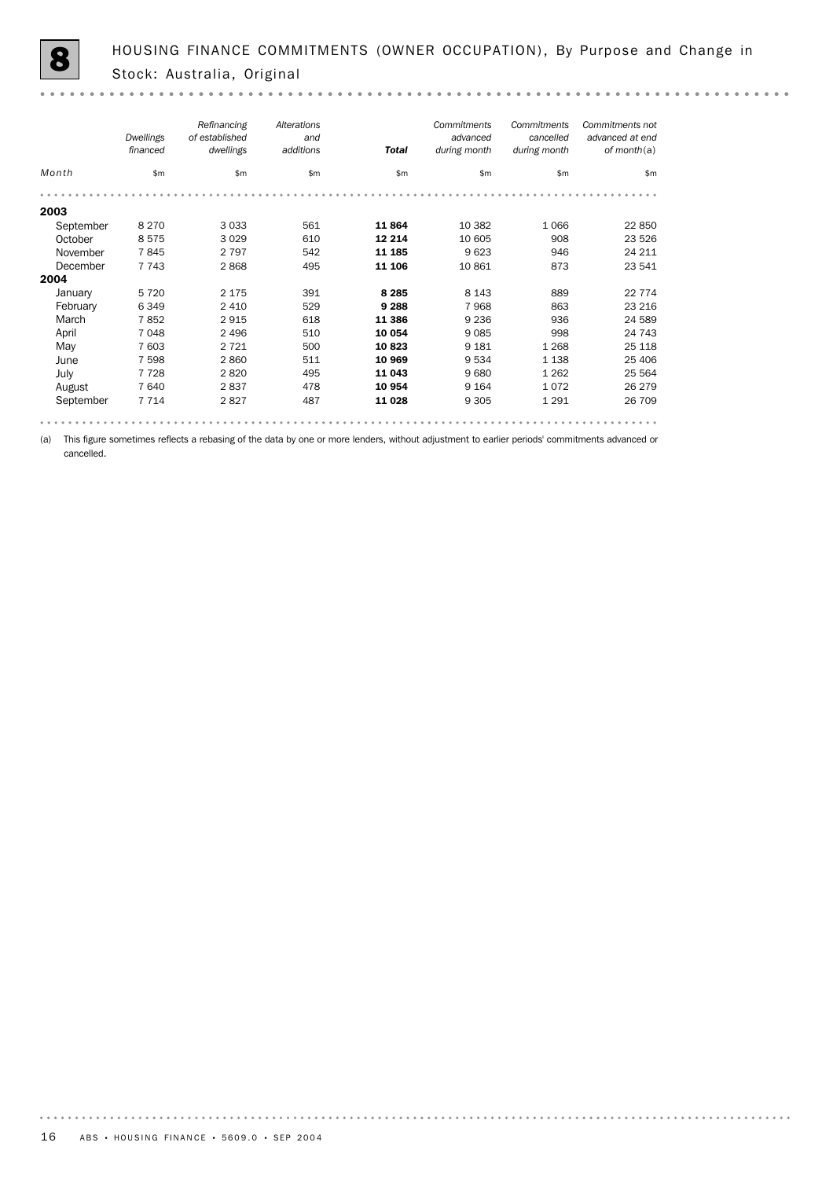$-0.00000$ 

|           | Dwellings<br>financed | Refinancing<br>of established<br>dwellings | Alterations<br>and<br>additions | <b>Total</b> | Commitments<br>advanced<br>during month | Commitments<br>cancelled<br>during month | Commitments not<br>advanced at end<br>of month $(a)$ |
|-----------|-----------------------|--------------------------------------------|---------------------------------|--------------|-----------------------------------------|------------------------------------------|------------------------------------------------------|
| Month     | \$m                   | \$m                                        | \$m                             | \$m\$        | \$m\$                                   | \$m                                      | \$m                                                  |
|           |                       |                                            |                                 |              |                                         |                                          |                                                      |
| 2003      |                       |                                            |                                 |              |                                         |                                          |                                                      |
| September | 8 2 7 0               | 3 0 3 3                                    | 561                             | 11864        | 10 3 82                                 | 1066                                     | 22 850                                               |
| October   | 8575                  | 3 0 2 9                                    | 610                             | 12 2 14      | 10 605                                  | 908                                      | 23 5 26                                              |
| November  | 7845                  | 2 7 9 7                                    | 542                             | 11 185       | 9623                                    | 946                                      | 24 211                                               |
| December  | 7 7 4 3               | 2868                                       | 495                             | 11 106       | 10 861                                  | 873                                      | 23 541                                               |
| 2004      |                       |                                            |                                 |              |                                         |                                          |                                                      |
| January   | 5720                  | 2 1 7 5                                    | 391                             | 8 2 8 5      | 8 1 4 3                                 | 889                                      | 22 7 7 4                                             |
| February  | 6349                  | 2 4 1 0                                    | 529                             | 9 2 8 8      | 7968                                    | 863                                      | 23 216                                               |
| March     | 7852                  | 2915                                       | 618                             | 11 386       | 9 2 3 6                                 | 936                                      | 24 589                                               |
| April     | 7048                  | 2 4 9 6                                    | 510                             | 10 054       | 9085                                    | 998                                      | 24 743                                               |
| May       | 7 603                 | 2 7 2 1                                    | 500                             | 10823        | 9 1 8 1                                 | 1 2 6 8                                  | 25 118                                               |
| June      | 7 5 9 8               | 2860                                       | 511                             | 10 969       | 9534                                    | 1 1 3 8                                  | 25 4 06                                              |
| July      | 7728                  | 2820                                       | 495                             | 11 043       | 9680                                    | 1 2 6 2                                  | 25 5 64                                              |
| August    | 7640                  | 2837                                       | 478                             | 10 954       | 9 1 6 4                                 | 1072                                     | 26 279                                               |
| September | 7 7 1 4               | 2827                                       | 487                             | 11 0 28      | 9 3 0 5                                 | 1 2 9 1                                  | 26 709                                               |
|           |                       |                                            |                                 |              |                                         |                                          |                                                      |

(a) This figure sometimes reflects a rebasing of the data by one or more lenders, without adjustment to earlier periods' commitments advanced or cancelled.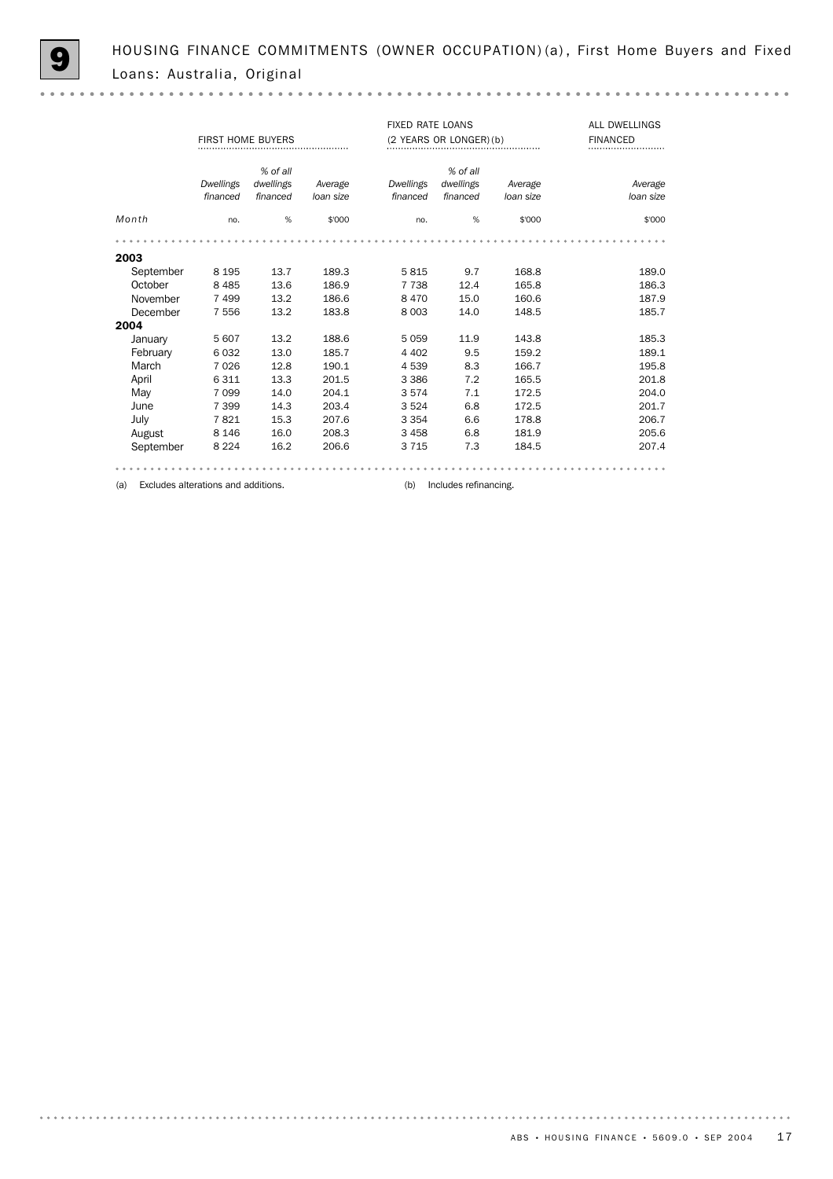$\sim$   $\sim$ 

|           |                       | <b>FIRST HOME BUYERS</b> |                      | <b>FIXED RATE LOANS</b> | (2 YEARS OR LONGER) (b) | ALL DWELLINGS<br><b>FINANCED</b> |                      |
|-----------|-----------------------|--------------------------|----------------------|-------------------------|-------------------------|----------------------------------|----------------------|
|           |                       | % of all                 |                      |                         | % of all                |                                  |                      |
|           | Dwellings<br>financed | dwellings<br>financed    | Average<br>loan size | Dwellings<br>financed   | dwellings<br>financed   | Average<br>loan size             | Average<br>loan size |
| Month     | no.                   | %                        | \$'000               | no.                     | %                       | \$'000                           | \$'000               |
|           |                       |                          |                      |                         |                         |                                  |                      |
| 2003      |                       |                          |                      |                         |                         |                                  |                      |
| September | 8 1 9 5               | 13.7                     | 189.3                | 5815                    | 9.7                     | 168.8                            | 189.0                |
| October   | 8 4 8 5               | 13.6                     | 186.9                | 7 7 3 8                 | 12.4                    | 165.8                            | 186.3                |
| November  | 7499                  | 13.2                     | 186.6                | 8 4 7 0                 | 15.0                    | 160.6                            | 187.9                |
| December  | 7556                  | 13.2                     | 183.8                | 8 0 0 3                 | 14.0                    | 148.5                            | 185.7                |
| 2004      |                       |                          |                      |                         |                         |                                  |                      |
| January   | 5607                  | 13.2                     | 188.6                | 5059                    | 11.9                    | 143.8                            | 185.3                |
| February  | 6032                  | 13.0                     | 185.7                | 4 4 0 2                 | 9.5                     | 159.2                            | 189.1                |
| March     | 7026                  | 12.8                     | 190.1                | 4539                    | 8.3                     | 166.7                            | 195.8                |
| April     | 6311                  | 13.3                     | 201.5                | 3 3 8 6                 | 7.2                     | 165.5                            | 201.8                |
| May       | 7 0 9 9               | 14.0                     | 204.1                | 3574                    | 7.1                     | 172.5                            | 204.0                |
| June      | 7 3 9 9               | 14.3                     | 203.4                | 3524                    | 6.8                     | 172.5                            | 201.7                |
| July      | 7821                  | 15.3                     | 207.6                | 3 3 5 4                 | 6.6                     | 178.8                            | 206.7                |
| August    | 8 1 4 6               | 16.0                     | 208.3                | 3 4 5 8                 | 6.8                     | 181.9                            | 205.6                |
| September | 8 2 2 4               | 16.2                     | 206.6                | 3 7 1 5                 | 7.3                     | 184.5                            | 207.4                |
|           |                       |                          |                      |                         |                         |                                  |                      |
|           |                       |                          |                      |                         |                         |                                  |                      |

(a) Excludes alterations and additions. (b) Includes refinancing.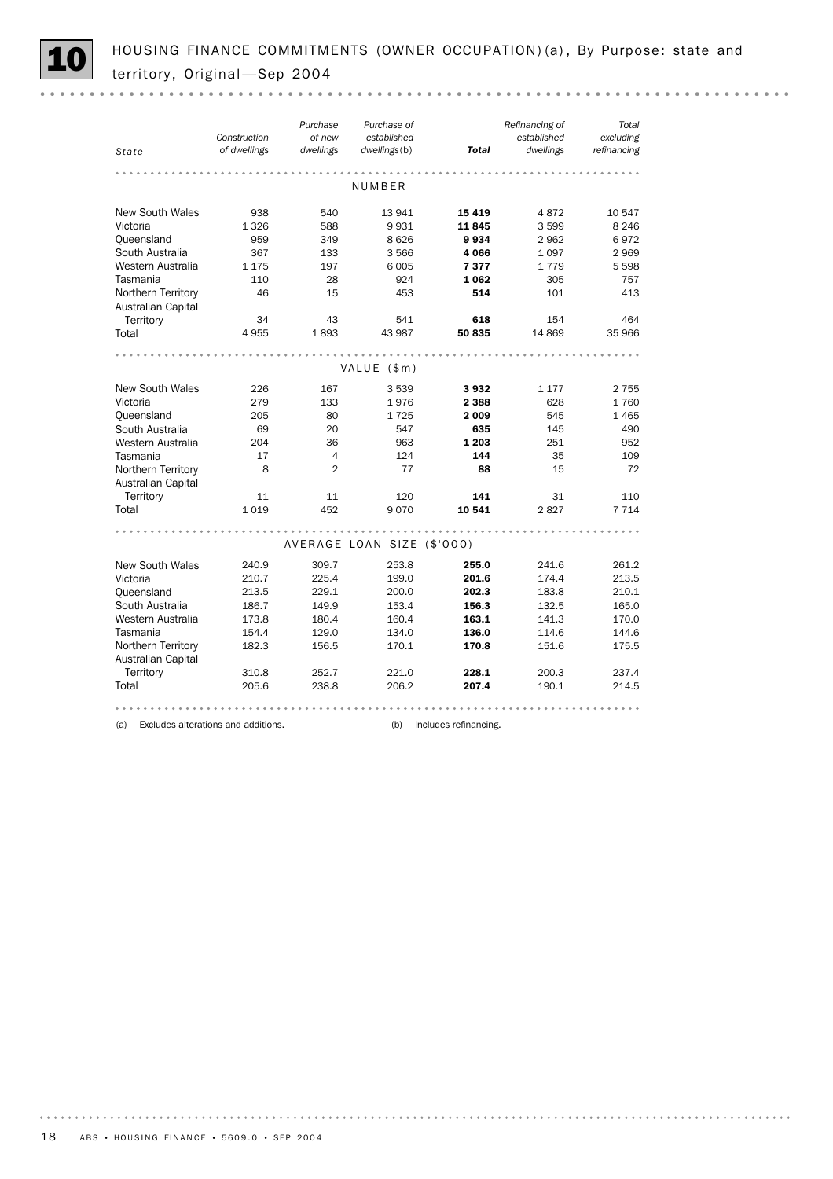HOUSING FINANCE COMMITMENTS (OWNER OCCUPATION) (a), By Purpose: state and territory, Original -Sep 2004

| State                                    | Construction<br>of dwellings | Purchase<br>of new<br>dwellings | Purchase of<br>established<br>dwellings(b) | <b>Total</b> | Refinancing of<br>established<br>dwellings | Total<br>excluding<br>refinancing |
|------------------------------------------|------------------------------|---------------------------------|--------------------------------------------|--------------|--------------------------------------------|-----------------------------------|
|                                          |                              |                                 | NUMBER                                     |              |                                            |                                   |
| <b>New South Wales</b>                   | 938                          | 540                             | 13 941                                     | 15 4 19      | 4872                                       | 10 547                            |
| Victoria                                 | 1326                         | 588                             | 9931                                       | 11845        | 3599                                       | 8 2 4 6                           |
| Queensland                               | 959                          | 349                             | 8626                                       | 9934         | 2962                                       | 6972                              |
| South Australia                          | 367                          | 133                             | 3566                                       | 4066         | 1097                                       | 2969                              |
| Western Australia                        | 1 1 7 5                      | 197                             | 6005                                       | 7377         | 1779                                       | 5 5 9 8                           |
| Tasmania                                 | 110                          | 28                              | 924                                        | 1062         | 305                                        | 757                               |
| Northern Territory                       | 46                           | 15                              | 453                                        | 514          | 101                                        | 413                               |
| Australian Capital                       |                              |                                 |                                            |              |                                            |                                   |
| Territory                                | 34                           | 43                              | 541                                        | 618          | 154                                        | 464                               |
| Total                                    | 4955                         | 1893                            | 43 987                                     | 50 835       | 14 869                                     | 35 966                            |
|                                          |                              |                                 |                                            |              |                                            |                                   |
|                                          |                              |                                 | VALUE (\$m)                                |              |                                            |                                   |
| <b>New South Wales</b>                   | 226                          | 167                             | 3539                                       | 3932         | 1 1 7 7                                    | 2 7 5 5                           |
| Victoria                                 | 279                          | 133                             | 1976                                       | 2 3 8 8      | 628                                        | 1760                              |
| Queensland                               | 205                          | 80                              | 1725                                       | 2009         | 545                                        | 1465                              |
| South Australia                          | 69                           | 20                              | 547                                        | 635          | 145                                        | 490                               |
| Western Australia                        | 204                          | 36                              | 963                                        | 1 203        | 251                                        | 952                               |
| Tasmania                                 | 17                           | $\overline{4}$                  | 124                                        | 144          | 35                                         | 109                               |
| Northern Territory                       | 8                            | $\overline{2}$                  | 77                                         | 88           | 15                                         | 72                                |
| Australian Capital                       |                              |                                 |                                            |              |                                            |                                   |
| Territory                                | 11                           | 11                              | 120                                        | 141          | 31                                         | 110                               |
| Total                                    | 1019                         | 452                             | 9070                                       | 10 541       | 2827                                       | 7 7 1 4                           |
|                                          |                              |                                 |                                            |              |                                            |                                   |
|                                          |                              |                                 | AVERAGE LOAN SIZE (\$'000)                 |              |                                            |                                   |
| New South Wales                          | 240.9                        | 309.7                           | 253.8                                      | 255.0        | 241.6                                      | 261.2                             |
| Victoria                                 | 210.7                        | 225.4                           | 199.0                                      | 201.6        | 174.4                                      | 213.5                             |
| Queensland                               | 213.5                        | 229.1                           | 200.0                                      | 202.3        | 183.8                                      | 210.1                             |
| South Australia                          | 186.7                        | 149.9                           | 153.4                                      | 156.3        | 132.5                                      | 165.0                             |
| Western Australia                        | 173.8                        | 180.4                           | 160.4                                      | 163.1        | 141.3                                      | 170.0                             |
| Tasmania                                 | 154.4                        | 129.0                           | 134.0                                      | 136.0        | 114.6                                      | 144.6                             |
| Northern Territory<br>Australian Capital | 182.3                        | 156.5                           | 170.1                                      | 170.8        | 151.6                                      | 175.5                             |
| Territory                                |                              | 252.7                           | 221.0                                      | 228.1        | 200.3                                      | 237.4                             |
| Total                                    | 310.8<br>205.6               | 238.8                           | 206.2                                      | 207.4        | 190.1                                      | 214.5                             |
|                                          |                              |                                 |                                            |              |                                            |                                   |
|                                          |                              |                                 |                                            |              |                                            |                                   |

(a) Excludes alterations and additions. (b) Includes refinancing.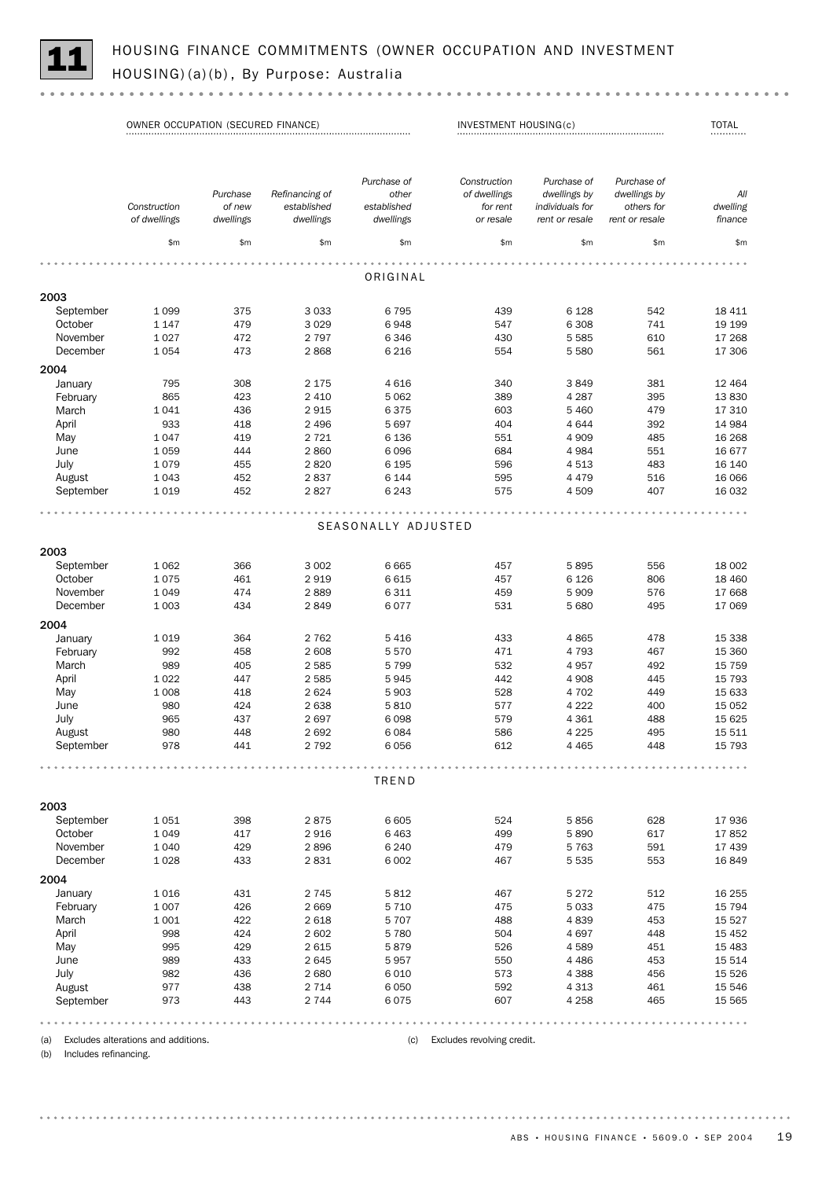

| Purchase of<br>Construction<br>Purchase of<br>Purchase of<br>Purchase<br>Refinancing of<br>other<br>of dwellings<br>dwellings by<br>dwellings by<br>Construction<br>of new<br>established<br>established<br>for rent<br>individuals for<br>others for<br>of dwellings<br>dwellings<br>dwellings<br>dwellings<br>or resale<br>rent or resale<br>rent or resale<br>\$m<br>\$m\$<br>\$m<br>\$m<br>\$m\$<br>\$m<br>\$m<br>ORIGINAL<br>2003<br>3 0 3 3<br>439<br>542<br>18 411<br>September<br>1 0 9 9<br>375<br>6 7 9 5<br>6 1 28<br>October<br>1 1 4 7<br>479<br>3029<br>6948<br>547<br>6 3 0 8<br>741<br>19 19 9<br>1 0 2 7<br>472<br>2 7 9 7<br>6 3 4 6<br>430<br>5 5 8 5<br>610<br>17 268<br>November<br>December<br>1054<br>473<br>2868<br>561<br>6 2 1 6<br>554<br>5 5 8 0<br>17 306<br>2004<br>January<br>795<br>308<br>340<br>381<br>2 1 7 5<br>4616<br>3849<br>12 4 64<br>865<br>423<br>2 4 1 0<br>5 0 6 2<br>389<br>4 2 8 7<br>395<br>13830<br>February<br>1041<br>436<br>2915<br>6375<br>603<br>479<br>March<br>5 4 6 0<br>17 310<br>April<br>933<br>418<br>2 4 9 6<br>5 6 9 7<br>404<br>4644<br>392<br>14 984<br>1047<br>419<br>2 7 2 1<br>6 1 3 6<br>551<br>485<br>May<br>4 9 0 9<br>16 268<br>2860<br>June<br>1059<br>444<br>6 0 9 6<br>684<br>4 9 8 4<br>551<br>16 677<br>1079<br>455<br>2820<br>6 1 9 5<br>596<br>483<br>July<br>4513<br>16 140<br>1 0 4 3<br>452<br>2837<br>6 1 4 4<br>595<br>4 4 7 9<br>516<br>August<br>16 066<br>1019<br>452<br>2827<br>6 2 4 3<br>575<br>4509<br>407<br>16 032<br>September<br>SEASONALLY ADJUSTED<br>2003<br>366<br>3 0 0 2<br>6 6 6 5<br>5895<br>556<br>September<br>1 0 6 2<br>457<br>18 002<br>October<br>1075<br>461<br>2919<br>6 6 1 5<br>457<br>6 1 2 6<br>806<br>18 460<br>November<br>1 0 4 9<br>474<br>2889<br>6 3 1 1<br>459<br>576<br>5909<br>17 668<br>1 0 0 3<br>434<br>2849<br>6 0 7 7<br>531<br>5 6 8 0<br>495<br>17 069<br>December<br>2004<br>364<br>2 7 6 2<br>433<br>1019<br>5416<br>4865<br>478<br>January<br>February<br>992<br>458<br>2 608<br>5570<br>471<br>4 7 9 3<br>467<br>989<br>405<br>2585<br>5 7 9 9<br>532<br>4957<br>492<br>March<br>April<br>447<br>2585<br>442<br>1 0 2 2<br>5945<br>4 9 0 8<br>445<br>May<br>1 0 0 8<br>418<br>2624<br>5 9 0 3<br>528<br>4 702<br>449<br>980<br>424<br>2638<br>5810<br>577<br>4 2 2 2<br>400<br>June<br>July<br>965<br>437<br>2697<br>6 0 9 8<br>579<br>4 3 6 1<br>488<br>586<br>980<br>448<br>2692<br>6.084<br>4 2 2 5<br>495<br>August<br>September<br>978<br>441<br>2 7 9 2<br>6 0 5 6<br>612<br>4 4 6 5<br>448<br>TREND<br>2003<br>September<br>1051<br>398<br>2875<br>6 6 0 5<br>5856<br>628<br>17 936<br>524<br>October<br>1 0 4 9<br>417<br>2916<br>6463<br>499<br>5890<br>617<br>17852<br>November<br>1 0 4 0<br>429<br>2896<br>6 2 4 0<br>479<br>591<br>5763<br>17 439<br>December<br>1028<br>433<br>2831<br>6 0 0 2<br>467<br>5 5 3 5<br>553<br>16 849<br>2004<br>January<br>1016<br>431<br>2 7 4 5<br>5812<br>467<br>5 2 7 2<br>512<br>1 0 0 7<br>426<br>2669<br>5 7 1 0<br>475<br>5033<br>475<br>February<br>March<br>1 0 0 1<br>422<br>2618<br>5 7 0 7<br>488<br>4839<br>453<br>998<br>424<br>2 602<br>5 7 8 0<br>504<br>4697<br>448<br>April<br>May<br>995<br>429<br>2615<br>5879<br>526<br>4589<br>451<br>June<br>989<br>433<br>2645<br>5957<br>550<br>4 4 8 6<br>453<br>982<br>436<br>2680<br>6 0 1 0<br>573<br>4 3 8 8<br>456<br>July<br>August<br>977<br>438<br>2 7 1 4<br>6 0 5 0<br>592<br>461<br>4 3 1 3<br>September<br>973<br>443<br>2 7 4 4<br>6075<br>607<br>4 2 5 8<br>465 | OWNER OCCUPATION (SECURED FINANCE) |  |  | INVESTMENT HOUSING(c) |  |  | <b>TOTAL</b>                                    |
|----------------------------------------------------------------------------------------------------------------------------------------------------------------------------------------------------------------------------------------------------------------------------------------------------------------------------------------------------------------------------------------------------------------------------------------------------------------------------------------------------------------------------------------------------------------------------------------------------------------------------------------------------------------------------------------------------------------------------------------------------------------------------------------------------------------------------------------------------------------------------------------------------------------------------------------------------------------------------------------------------------------------------------------------------------------------------------------------------------------------------------------------------------------------------------------------------------------------------------------------------------------------------------------------------------------------------------------------------------------------------------------------------------------------------------------------------------------------------------------------------------------------------------------------------------------------------------------------------------------------------------------------------------------------------------------------------------------------------------------------------------------------------------------------------------------------------------------------------------------------------------------------------------------------------------------------------------------------------------------------------------------------------------------------------------------------------------------------------------------------------------------------------------------------------------------------------------------------------------------------------------------------------------------------------------------------------------------------------------------------------------------------------------------------------------------------------------------------------------------------------------------------------------------------------------------------------------------------------------------------------------------------------------------------------------------------------------------------------------------------------------------------------------------------------------------------------------------------------------------------------------------------------------------------------------------------------------------------------------------------------------------------------------------------------------------------------------------------------------------------------------------------------------------------------------------------------------------------------------------------------------------------------------------------------------------------------------------------------------------------------------------------------------------------------------------------------------------------------------------------------------------------------|------------------------------------|--|--|-----------------------|--|--|-------------------------------------------------|
|                                                                                                                                                                                                                                                                                                                                                                                                                                                                                                                                                                                                                                                                                                                                                                                                                                                                                                                                                                                                                                                                                                                                                                                                                                                                                                                                                                                                                                                                                                                                                                                                                                                                                                                                                                                                                                                                                                                                                                                                                                                                                                                                                                                                                                                                                                                                                                                                                                                                                                                                                                                                                                                                                                                                                                                                                                                                                                                                                                                                                                                                                                                                                                                                                                                                                                                                                                                                                                                                                                                            |                                    |  |  |                       |  |  | All<br>dwelling<br>finance                      |
|                                                                                                                                                                                                                                                                                                                                                                                                                                                                                                                                                                                                                                                                                                                                                                                                                                                                                                                                                                                                                                                                                                                                                                                                                                                                                                                                                                                                                                                                                                                                                                                                                                                                                                                                                                                                                                                                                                                                                                                                                                                                                                                                                                                                                                                                                                                                                                                                                                                                                                                                                                                                                                                                                                                                                                                                                                                                                                                                                                                                                                                                                                                                                                                                                                                                                                                                                                                                                                                                                                                            |                                    |  |  |                       |  |  | \$m                                             |
|                                                                                                                                                                                                                                                                                                                                                                                                                                                                                                                                                                                                                                                                                                                                                                                                                                                                                                                                                                                                                                                                                                                                                                                                                                                                                                                                                                                                                                                                                                                                                                                                                                                                                                                                                                                                                                                                                                                                                                                                                                                                                                                                                                                                                                                                                                                                                                                                                                                                                                                                                                                                                                                                                                                                                                                                                                                                                                                                                                                                                                                                                                                                                                                                                                                                                                                                                                                                                                                                                                                            |                                    |  |  |                       |  |  |                                                 |
|                                                                                                                                                                                                                                                                                                                                                                                                                                                                                                                                                                                                                                                                                                                                                                                                                                                                                                                                                                                                                                                                                                                                                                                                                                                                                                                                                                                                                                                                                                                                                                                                                                                                                                                                                                                                                                                                                                                                                                                                                                                                                                                                                                                                                                                                                                                                                                                                                                                                                                                                                                                                                                                                                                                                                                                                                                                                                                                                                                                                                                                                                                                                                                                                                                                                                                                                                                                                                                                                                                                            |                                    |  |  |                       |  |  |                                                 |
|                                                                                                                                                                                                                                                                                                                                                                                                                                                                                                                                                                                                                                                                                                                                                                                                                                                                                                                                                                                                                                                                                                                                                                                                                                                                                                                                                                                                                                                                                                                                                                                                                                                                                                                                                                                                                                                                                                                                                                                                                                                                                                                                                                                                                                                                                                                                                                                                                                                                                                                                                                                                                                                                                                                                                                                                                                                                                                                                                                                                                                                                                                                                                                                                                                                                                                                                                                                                                                                                                                                            |                                    |  |  |                       |  |  |                                                 |
|                                                                                                                                                                                                                                                                                                                                                                                                                                                                                                                                                                                                                                                                                                                                                                                                                                                                                                                                                                                                                                                                                                                                                                                                                                                                                                                                                                                                                                                                                                                                                                                                                                                                                                                                                                                                                                                                                                                                                                                                                                                                                                                                                                                                                                                                                                                                                                                                                                                                                                                                                                                                                                                                                                                                                                                                                                                                                                                                                                                                                                                                                                                                                                                                                                                                                                                                                                                                                                                                                                                            |                                    |  |  |                       |  |  |                                                 |
|                                                                                                                                                                                                                                                                                                                                                                                                                                                                                                                                                                                                                                                                                                                                                                                                                                                                                                                                                                                                                                                                                                                                                                                                                                                                                                                                                                                                                                                                                                                                                                                                                                                                                                                                                                                                                                                                                                                                                                                                                                                                                                                                                                                                                                                                                                                                                                                                                                                                                                                                                                                                                                                                                                                                                                                                                                                                                                                                                                                                                                                                                                                                                                                                                                                                                                                                                                                                                                                                                                                            |                                    |  |  |                       |  |  |                                                 |
|                                                                                                                                                                                                                                                                                                                                                                                                                                                                                                                                                                                                                                                                                                                                                                                                                                                                                                                                                                                                                                                                                                                                                                                                                                                                                                                                                                                                                                                                                                                                                                                                                                                                                                                                                                                                                                                                                                                                                                                                                                                                                                                                                                                                                                                                                                                                                                                                                                                                                                                                                                                                                                                                                                                                                                                                                                                                                                                                                                                                                                                                                                                                                                                                                                                                                                                                                                                                                                                                                                                            |                                    |  |  |                       |  |  |                                                 |
|                                                                                                                                                                                                                                                                                                                                                                                                                                                                                                                                                                                                                                                                                                                                                                                                                                                                                                                                                                                                                                                                                                                                                                                                                                                                                                                                                                                                                                                                                                                                                                                                                                                                                                                                                                                                                                                                                                                                                                                                                                                                                                                                                                                                                                                                                                                                                                                                                                                                                                                                                                                                                                                                                                                                                                                                                                                                                                                                                                                                                                                                                                                                                                                                                                                                                                                                                                                                                                                                                                                            |                                    |  |  |                       |  |  |                                                 |
|                                                                                                                                                                                                                                                                                                                                                                                                                                                                                                                                                                                                                                                                                                                                                                                                                                                                                                                                                                                                                                                                                                                                                                                                                                                                                                                                                                                                                                                                                                                                                                                                                                                                                                                                                                                                                                                                                                                                                                                                                                                                                                                                                                                                                                                                                                                                                                                                                                                                                                                                                                                                                                                                                                                                                                                                                                                                                                                                                                                                                                                                                                                                                                                                                                                                                                                                                                                                                                                                                                                            |                                    |  |  |                       |  |  |                                                 |
|                                                                                                                                                                                                                                                                                                                                                                                                                                                                                                                                                                                                                                                                                                                                                                                                                                                                                                                                                                                                                                                                                                                                                                                                                                                                                                                                                                                                                                                                                                                                                                                                                                                                                                                                                                                                                                                                                                                                                                                                                                                                                                                                                                                                                                                                                                                                                                                                                                                                                                                                                                                                                                                                                                                                                                                                                                                                                                                                                                                                                                                                                                                                                                                                                                                                                                                                                                                                                                                                                                                            |                                    |  |  |                       |  |  |                                                 |
|                                                                                                                                                                                                                                                                                                                                                                                                                                                                                                                                                                                                                                                                                                                                                                                                                                                                                                                                                                                                                                                                                                                                                                                                                                                                                                                                                                                                                                                                                                                                                                                                                                                                                                                                                                                                                                                                                                                                                                                                                                                                                                                                                                                                                                                                                                                                                                                                                                                                                                                                                                                                                                                                                                                                                                                                                                                                                                                                                                                                                                                                                                                                                                                                                                                                                                                                                                                                                                                                                                                            |                                    |  |  |                       |  |  |                                                 |
|                                                                                                                                                                                                                                                                                                                                                                                                                                                                                                                                                                                                                                                                                                                                                                                                                                                                                                                                                                                                                                                                                                                                                                                                                                                                                                                                                                                                                                                                                                                                                                                                                                                                                                                                                                                                                                                                                                                                                                                                                                                                                                                                                                                                                                                                                                                                                                                                                                                                                                                                                                                                                                                                                                                                                                                                                                                                                                                                                                                                                                                                                                                                                                                                                                                                                                                                                                                                                                                                                                                            |                                    |  |  |                       |  |  |                                                 |
|                                                                                                                                                                                                                                                                                                                                                                                                                                                                                                                                                                                                                                                                                                                                                                                                                                                                                                                                                                                                                                                                                                                                                                                                                                                                                                                                                                                                                                                                                                                                                                                                                                                                                                                                                                                                                                                                                                                                                                                                                                                                                                                                                                                                                                                                                                                                                                                                                                                                                                                                                                                                                                                                                                                                                                                                                                                                                                                                                                                                                                                                                                                                                                                                                                                                                                                                                                                                                                                                                                                            |                                    |  |  |                       |  |  |                                                 |
|                                                                                                                                                                                                                                                                                                                                                                                                                                                                                                                                                                                                                                                                                                                                                                                                                                                                                                                                                                                                                                                                                                                                                                                                                                                                                                                                                                                                                                                                                                                                                                                                                                                                                                                                                                                                                                                                                                                                                                                                                                                                                                                                                                                                                                                                                                                                                                                                                                                                                                                                                                                                                                                                                                                                                                                                                                                                                                                                                                                                                                                                                                                                                                                                                                                                                                                                                                                                                                                                                                                            |                                    |  |  |                       |  |  |                                                 |
|                                                                                                                                                                                                                                                                                                                                                                                                                                                                                                                                                                                                                                                                                                                                                                                                                                                                                                                                                                                                                                                                                                                                                                                                                                                                                                                                                                                                                                                                                                                                                                                                                                                                                                                                                                                                                                                                                                                                                                                                                                                                                                                                                                                                                                                                                                                                                                                                                                                                                                                                                                                                                                                                                                                                                                                                                                                                                                                                                                                                                                                                                                                                                                                                                                                                                                                                                                                                                                                                                                                            |                                    |  |  |                       |  |  |                                                 |
|                                                                                                                                                                                                                                                                                                                                                                                                                                                                                                                                                                                                                                                                                                                                                                                                                                                                                                                                                                                                                                                                                                                                                                                                                                                                                                                                                                                                                                                                                                                                                                                                                                                                                                                                                                                                                                                                                                                                                                                                                                                                                                                                                                                                                                                                                                                                                                                                                                                                                                                                                                                                                                                                                                                                                                                                                                                                                                                                                                                                                                                                                                                                                                                                                                                                                                                                                                                                                                                                                                                            |                                    |  |  |                       |  |  |                                                 |
|                                                                                                                                                                                                                                                                                                                                                                                                                                                                                                                                                                                                                                                                                                                                                                                                                                                                                                                                                                                                                                                                                                                                                                                                                                                                                                                                                                                                                                                                                                                                                                                                                                                                                                                                                                                                                                                                                                                                                                                                                                                                                                                                                                                                                                                                                                                                                                                                                                                                                                                                                                                                                                                                                                                                                                                                                                                                                                                                                                                                                                                                                                                                                                                                                                                                                                                                                                                                                                                                                                                            |                                    |  |  |                       |  |  |                                                 |
|                                                                                                                                                                                                                                                                                                                                                                                                                                                                                                                                                                                                                                                                                                                                                                                                                                                                                                                                                                                                                                                                                                                                                                                                                                                                                                                                                                                                                                                                                                                                                                                                                                                                                                                                                                                                                                                                                                                                                                                                                                                                                                                                                                                                                                                                                                                                                                                                                                                                                                                                                                                                                                                                                                                                                                                                                                                                                                                                                                                                                                                                                                                                                                                                                                                                                                                                                                                                                                                                                                                            |                                    |  |  |                       |  |  |                                                 |
|                                                                                                                                                                                                                                                                                                                                                                                                                                                                                                                                                                                                                                                                                                                                                                                                                                                                                                                                                                                                                                                                                                                                                                                                                                                                                                                                                                                                                                                                                                                                                                                                                                                                                                                                                                                                                                                                                                                                                                                                                                                                                                                                                                                                                                                                                                                                                                                                                                                                                                                                                                                                                                                                                                                                                                                                                                                                                                                                                                                                                                                                                                                                                                                                                                                                                                                                                                                                                                                                                                                            |                                    |  |  |                       |  |  |                                                 |
|                                                                                                                                                                                                                                                                                                                                                                                                                                                                                                                                                                                                                                                                                                                                                                                                                                                                                                                                                                                                                                                                                                                                                                                                                                                                                                                                                                                                                                                                                                                                                                                                                                                                                                                                                                                                                                                                                                                                                                                                                                                                                                                                                                                                                                                                                                                                                                                                                                                                                                                                                                                                                                                                                                                                                                                                                                                                                                                                                                                                                                                                                                                                                                                                                                                                                                                                                                                                                                                                                                                            |                                    |  |  |                       |  |  |                                                 |
|                                                                                                                                                                                                                                                                                                                                                                                                                                                                                                                                                                                                                                                                                                                                                                                                                                                                                                                                                                                                                                                                                                                                                                                                                                                                                                                                                                                                                                                                                                                                                                                                                                                                                                                                                                                                                                                                                                                                                                                                                                                                                                                                                                                                                                                                                                                                                                                                                                                                                                                                                                                                                                                                                                                                                                                                                                                                                                                                                                                                                                                                                                                                                                                                                                                                                                                                                                                                                                                                                                                            |                                    |  |  |                       |  |  |                                                 |
|                                                                                                                                                                                                                                                                                                                                                                                                                                                                                                                                                                                                                                                                                                                                                                                                                                                                                                                                                                                                                                                                                                                                                                                                                                                                                                                                                                                                                                                                                                                                                                                                                                                                                                                                                                                                                                                                                                                                                                                                                                                                                                                                                                                                                                                                                                                                                                                                                                                                                                                                                                                                                                                                                                                                                                                                                                                                                                                                                                                                                                                                                                                                                                                                                                                                                                                                                                                                                                                                                                                            |                                    |  |  |                       |  |  |                                                 |
|                                                                                                                                                                                                                                                                                                                                                                                                                                                                                                                                                                                                                                                                                                                                                                                                                                                                                                                                                                                                                                                                                                                                                                                                                                                                                                                                                                                                                                                                                                                                                                                                                                                                                                                                                                                                                                                                                                                                                                                                                                                                                                                                                                                                                                                                                                                                                                                                                                                                                                                                                                                                                                                                                                                                                                                                                                                                                                                                                                                                                                                                                                                                                                                                                                                                                                                                                                                                                                                                                                                            |                                    |  |  |                       |  |  |                                                 |
|                                                                                                                                                                                                                                                                                                                                                                                                                                                                                                                                                                                                                                                                                                                                                                                                                                                                                                                                                                                                                                                                                                                                                                                                                                                                                                                                                                                                                                                                                                                                                                                                                                                                                                                                                                                                                                                                                                                                                                                                                                                                                                                                                                                                                                                                                                                                                                                                                                                                                                                                                                                                                                                                                                                                                                                                                                                                                                                                                                                                                                                                                                                                                                                                                                                                                                                                                                                                                                                                                                                            |                                    |  |  |                       |  |  |                                                 |
|                                                                                                                                                                                                                                                                                                                                                                                                                                                                                                                                                                                                                                                                                                                                                                                                                                                                                                                                                                                                                                                                                                                                                                                                                                                                                                                                                                                                                                                                                                                                                                                                                                                                                                                                                                                                                                                                                                                                                                                                                                                                                                                                                                                                                                                                                                                                                                                                                                                                                                                                                                                                                                                                                                                                                                                                                                                                                                                                                                                                                                                                                                                                                                                                                                                                                                                                                                                                                                                                                                                            |                                    |  |  |                       |  |  |                                                 |
|                                                                                                                                                                                                                                                                                                                                                                                                                                                                                                                                                                                                                                                                                                                                                                                                                                                                                                                                                                                                                                                                                                                                                                                                                                                                                                                                                                                                                                                                                                                                                                                                                                                                                                                                                                                                                                                                                                                                                                                                                                                                                                                                                                                                                                                                                                                                                                                                                                                                                                                                                                                                                                                                                                                                                                                                                                                                                                                                                                                                                                                                                                                                                                                                                                                                                                                                                                                                                                                                                                                            |                                    |  |  |                       |  |  |                                                 |
|                                                                                                                                                                                                                                                                                                                                                                                                                                                                                                                                                                                                                                                                                                                                                                                                                                                                                                                                                                                                                                                                                                                                                                                                                                                                                                                                                                                                                                                                                                                                                                                                                                                                                                                                                                                                                                                                                                                                                                                                                                                                                                                                                                                                                                                                                                                                                                                                                                                                                                                                                                                                                                                                                                                                                                                                                                                                                                                                                                                                                                                                                                                                                                                                                                                                                                                                                                                                                                                                                                                            |                                    |  |  |                       |  |  | 15 338                                          |
|                                                                                                                                                                                                                                                                                                                                                                                                                                                                                                                                                                                                                                                                                                                                                                                                                                                                                                                                                                                                                                                                                                                                                                                                                                                                                                                                                                                                                                                                                                                                                                                                                                                                                                                                                                                                                                                                                                                                                                                                                                                                                                                                                                                                                                                                                                                                                                                                                                                                                                                                                                                                                                                                                                                                                                                                                                                                                                                                                                                                                                                                                                                                                                                                                                                                                                                                                                                                                                                                                                                            |                                    |  |  |                       |  |  | 15 360                                          |
|                                                                                                                                                                                                                                                                                                                                                                                                                                                                                                                                                                                                                                                                                                                                                                                                                                                                                                                                                                                                                                                                                                                                                                                                                                                                                                                                                                                                                                                                                                                                                                                                                                                                                                                                                                                                                                                                                                                                                                                                                                                                                                                                                                                                                                                                                                                                                                                                                                                                                                                                                                                                                                                                                                                                                                                                                                                                                                                                                                                                                                                                                                                                                                                                                                                                                                                                                                                                                                                                                                                            |                                    |  |  |                       |  |  | 15 7 5 9                                        |
|                                                                                                                                                                                                                                                                                                                                                                                                                                                                                                                                                                                                                                                                                                                                                                                                                                                                                                                                                                                                                                                                                                                                                                                                                                                                                                                                                                                                                                                                                                                                                                                                                                                                                                                                                                                                                                                                                                                                                                                                                                                                                                                                                                                                                                                                                                                                                                                                                                                                                                                                                                                                                                                                                                                                                                                                                                                                                                                                                                                                                                                                                                                                                                                                                                                                                                                                                                                                                                                                                                                            |                                    |  |  |                       |  |  | 15 793                                          |
|                                                                                                                                                                                                                                                                                                                                                                                                                                                                                                                                                                                                                                                                                                                                                                                                                                                                                                                                                                                                                                                                                                                                                                                                                                                                                                                                                                                                                                                                                                                                                                                                                                                                                                                                                                                                                                                                                                                                                                                                                                                                                                                                                                                                                                                                                                                                                                                                                                                                                                                                                                                                                                                                                                                                                                                                                                                                                                                                                                                                                                                                                                                                                                                                                                                                                                                                                                                                                                                                                                                            |                                    |  |  |                       |  |  | 15 633                                          |
|                                                                                                                                                                                                                                                                                                                                                                                                                                                                                                                                                                                                                                                                                                                                                                                                                                                                                                                                                                                                                                                                                                                                                                                                                                                                                                                                                                                                                                                                                                                                                                                                                                                                                                                                                                                                                                                                                                                                                                                                                                                                                                                                                                                                                                                                                                                                                                                                                                                                                                                                                                                                                                                                                                                                                                                                                                                                                                                                                                                                                                                                                                                                                                                                                                                                                                                                                                                                                                                                                                                            |                                    |  |  |                       |  |  | 15 052                                          |
|                                                                                                                                                                                                                                                                                                                                                                                                                                                                                                                                                                                                                                                                                                                                                                                                                                                                                                                                                                                                                                                                                                                                                                                                                                                                                                                                                                                                                                                                                                                                                                                                                                                                                                                                                                                                                                                                                                                                                                                                                                                                                                                                                                                                                                                                                                                                                                                                                                                                                                                                                                                                                                                                                                                                                                                                                                                                                                                                                                                                                                                                                                                                                                                                                                                                                                                                                                                                                                                                                                                            |                                    |  |  |                       |  |  | 15 625                                          |
|                                                                                                                                                                                                                                                                                                                                                                                                                                                                                                                                                                                                                                                                                                                                                                                                                                                                                                                                                                                                                                                                                                                                                                                                                                                                                                                                                                                                                                                                                                                                                                                                                                                                                                                                                                                                                                                                                                                                                                                                                                                                                                                                                                                                                                                                                                                                                                                                                                                                                                                                                                                                                                                                                                                                                                                                                                                                                                                                                                                                                                                                                                                                                                                                                                                                                                                                                                                                                                                                                                                            |                                    |  |  |                       |  |  | 15 511                                          |
|                                                                                                                                                                                                                                                                                                                                                                                                                                                                                                                                                                                                                                                                                                                                                                                                                                                                                                                                                                                                                                                                                                                                                                                                                                                                                                                                                                                                                                                                                                                                                                                                                                                                                                                                                                                                                                                                                                                                                                                                                                                                                                                                                                                                                                                                                                                                                                                                                                                                                                                                                                                                                                                                                                                                                                                                                                                                                                                                                                                                                                                                                                                                                                                                                                                                                                                                                                                                                                                                                                                            |                                    |  |  |                       |  |  | 15 793                                          |
|                                                                                                                                                                                                                                                                                                                                                                                                                                                                                                                                                                                                                                                                                                                                                                                                                                                                                                                                                                                                                                                                                                                                                                                                                                                                                                                                                                                                                                                                                                                                                                                                                                                                                                                                                                                                                                                                                                                                                                                                                                                                                                                                                                                                                                                                                                                                                                                                                                                                                                                                                                                                                                                                                                                                                                                                                                                                                                                                                                                                                                                                                                                                                                                                                                                                                                                                                                                                                                                                                                                            |                                    |  |  |                       |  |  | $\alpha \cdot \alpha \cdot \alpha \cdot \alpha$ |
|                                                                                                                                                                                                                                                                                                                                                                                                                                                                                                                                                                                                                                                                                                                                                                                                                                                                                                                                                                                                                                                                                                                                                                                                                                                                                                                                                                                                                                                                                                                                                                                                                                                                                                                                                                                                                                                                                                                                                                                                                                                                                                                                                                                                                                                                                                                                                                                                                                                                                                                                                                                                                                                                                                                                                                                                                                                                                                                                                                                                                                                                                                                                                                                                                                                                                                                                                                                                                                                                                                                            |                                    |  |  |                       |  |  |                                                 |
|                                                                                                                                                                                                                                                                                                                                                                                                                                                                                                                                                                                                                                                                                                                                                                                                                                                                                                                                                                                                                                                                                                                                                                                                                                                                                                                                                                                                                                                                                                                                                                                                                                                                                                                                                                                                                                                                                                                                                                                                                                                                                                                                                                                                                                                                                                                                                                                                                                                                                                                                                                                                                                                                                                                                                                                                                                                                                                                                                                                                                                                                                                                                                                                                                                                                                                                                                                                                                                                                                                                            |                                    |  |  |                       |  |  |                                                 |
|                                                                                                                                                                                                                                                                                                                                                                                                                                                                                                                                                                                                                                                                                                                                                                                                                                                                                                                                                                                                                                                                                                                                                                                                                                                                                                                                                                                                                                                                                                                                                                                                                                                                                                                                                                                                                                                                                                                                                                                                                                                                                                                                                                                                                                                                                                                                                                                                                                                                                                                                                                                                                                                                                                                                                                                                                                                                                                                                                                                                                                                                                                                                                                                                                                                                                                                                                                                                                                                                                                                            |                                    |  |  |                       |  |  |                                                 |
|                                                                                                                                                                                                                                                                                                                                                                                                                                                                                                                                                                                                                                                                                                                                                                                                                                                                                                                                                                                                                                                                                                                                                                                                                                                                                                                                                                                                                                                                                                                                                                                                                                                                                                                                                                                                                                                                                                                                                                                                                                                                                                                                                                                                                                                                                                                                                                                                                                                                                                                                                                                                                                                                                                                                                                                                                                                                                                                                                                                                                                                                                                                                                                                                                                                                                                                                                                                                                                                                                                                            |                                    |  |  |                       |  |  |                                                 |
|                                                                                                                                                                                                                                                                                                                                                                                                                                                                                                                                                                                                                                                                                                                                                                                                                                                                                                                                                                                                                                                                                                                                                                                                                                                                                                                                                                                                                                                                                                                                                                                                                                                                                                                                                                                                                                                                                                                                                                                                                                                                                                                                                                                                                                                                                                                                                                                                                                                                                                                                                                                                                                                                                                                                                                                                                                                                                                                                                                                                                                                                                                                                                                                                                                                                                                                                                                                                                                                                                                                            |                                    |  |  |                       |  |  |                                                 |
|                                                                                                                                                                                                                                                                                                                                                                                                                                                                                                                                                                                                                                                                                                                                                                                                                                                                                                                                                                                                                                                                                                                                                                                                                                                                                                                                                                                                                                                                                                                                                                                                                                                                                                                                                                                                                                                                                                                                                                                                                                                                                                                                                                                                                                                                                                                                                                                                                                                                                                                                                                                                                                                                                                                                                                                                                                                                                                                                                                                                                                                                                                                                                                                                                                                                                                                                                                                                                                                                                                                            |                                    |  |  |                       |  |  |                                                 |
|                                                                                                                                                                                                                                                                                                                                                                                                                                                                                                                                                                                                                                                                                                                                                                                                                                                                                                                                                                                                                                                                                                                                                                                                                                                                                                                                                                                                                                                                                                                                                                                                                                                                                                                                                                                                                                                                                                                                                                                                                                                                                                                                                                                                                                                                                                                                                                                                                                                                                                                                                                                                                                                                                                                                                                                                                                                                                                                                                                                                                                                                                                                                                                                                                                                                                                                                                                                                                                                                                                                            |                                    |  |  |                       |  |  |                                                 |
|                                                                                                                                                                                                                                                                                                                                                                                                                                                                                                                                                                                                                                                                                                                                                                                                                                                                                                                                                                                                                                                                                                                                                                                                                                                                                                                                                                                                                                                                                                                                                                                                                                                                                                                                                                                                                                                                                                                                                                                                                                                                                                                                                                                                                                                                                                                                                                                                                                                                                                                                                                                                                                                                                                                                                                                                                                                                                                                                                                                                                                                                                                                                                                                                                                                                                                                                                                                                                                                                                                                            |                                    |  |  |                       |  |  | 16 255                                          |
|                                                                                                                                                                                                                                                                                                                                                                                                                                                                                                                                                                                                                                                                                                                                                                                                                                                                                                                                                                                                                                                                                                                                                                                                                                                                                                                                                                                                                                                                                                                                                                                                                                                                                                                                                                                                                                                                                                                                                                                                                                                                                                                                                                                                                                                                                                                                                                                                                                                                                                                                                                                                                                                                                                                                                                                                                                                                                                                                                                                                                                                                                                                                                                                                                                                                                                                                                                                                                                                                                                                            |                                    |  |  |                       |  |  | 15 794                                          |
|                                                                                                                                                                                                                                                                                                                                                                                                                                                                                                                                                                                                                                                                                                                                                                                                                                                                                                                                                                                                                                                                                                                                                                                                                                                                                                                                                                                                                                                                                                                                                                                                                                                                                                                                                                                                                                                                                                                                                                                                                                                                                                                                                                                                                                                                                                                                                                                                                                                                                                                                                                                                                                                                                                                                                                                                                                                                                                                                                                                                                                                                                                                                                                                                                                                                                                                                                                                                                                                                                                                            |                                    |  |  |                       |  |  | 15 5 27                                         |
|                                                                                                                                                                                                                                                                                                                                                                                                                                                                                                                                                                                                                                                                                                                                                                                                                                                                                                                                                                                                                                                                                                                                                                                                                                                                                                                                                                                                                                                                                                                                                                                                                                                                                                                                                                                                                                                                                                                                                                                                                                                                                                                                                                                                                                                                                                                                                                                                                                                                                                                                                                                                                                                                                                                                                                                                                                                                                                                                                                                                                                                                                                                                                                                                                                                                                                                                                                                                                                                                                                                            |                                    |  |  |                       |  |  | 15 4 52                                         |
|                                                                                                                                                                                                                                                                                                                                                                                                                                                                                                                                                                                                                                                                                                                                                                                                                                                                                                                                                                                                                                                                                                                                                                                                                                                                                                                                                                                                                                                                                                                                                                                                                                                                                                                                                                                                                                                                                                                                                                                                                                                                                                                                                                                                                                                                                                                                                                                                                                                                                                                                                                                                                                                                                                                                                                                                                                                                                                                                                                                                                                                                                                                                                                                                                                                                                                                                                                                                                                                                                                                            |                                    |  |  |                       |  |  | 15 4 83                                         |
|                                                                                                                                                                                                                                                                                                                                                                                                                                                                                                                                                                                                                                                                                                                                                                                                                                                                                                                                                                                                                                                                                                                                                                                                                                                                                                                                                                                                                                                                                                                                                                                                                                                                                                                                                                                                                                                                                                                                                                                                                                                                                                                                                                                                                                                                                                                                                                                                                                                                                                                                                                                                                                                                                                                                                                                                                                                                                                                                                                                                                                                                                                                                                                                                                                                                                                                                                                                                                                                                                                                            |                                    |  |  |                       |  |  | 15 514                                          |
|                                                                                                                                                                                                                                                                                                                                                                                                                                                                                                                                                                                                                                                                                                                                                                                                                                                                                                                                                                                                                                                                                                                                                                                                                                                                                                                                                                                                                                                                                                                                                                                                                                                                                                                                                                                                                                                                                                                                                                                                                                                                                                                                                                                                                                                                                                                                                                                                                                                                                                                                                                                                                                                                                                                                                                                                                                                                                                                                                                                                                                                                                                                                                                                                                                                                                                                                                                                                                                                                                                                            |                                    |  |  |                       |  |  | 15 5 26                                         |
|                                                                                                                                                                                                                                                                                                                                                                                                                                                                                                                                                                                                                                                                                                                                                                                                                                                                                                                                                                                                                                                                                                                                                                                                                                                                                                                                                                                                                                                                                                                                                                                                                                                                                                                                                                                                                                                                                                                                                                                                                                                                                                                                                                                                                                                                                                                                                                                                                                                                                                                                                                                                                                                                                                                                                                                                                                                                                                                                                                                                                                                                                                                                                                                                                                                                                                                                                                                                                                                                                                                            |                                    |  |  |                       |  |  | 15 546                                          |
|                                                                                                                                                                                                                                                                                                                                                                                                                                                                                                                                                                                                                                                                                                                                                                                                                                                                                                                                                                                                                                                                                                                                                                                                                                                                                                                                                                                                                                                                                                                                                                                                                                                                                                                                                                                                                                                                                                                                                                                                                                                                                                                                                                                                                                                                                                                                                                                                                                                                                                                                                                                                                                                                                                                                                                                                                                                                                                                                                                                                                                                                                                                                                                                                                                                                                                                                                                                                                                                                                                                            |                                    |  |  |                       |  |  | 15 5 65                                         |

(a) Excludes alterations and additions. (c) Excludes revolving credit.

(b) Includes refinancing.

ABS • HOUSING FINANCE • 5609.0 • SEP 2004 19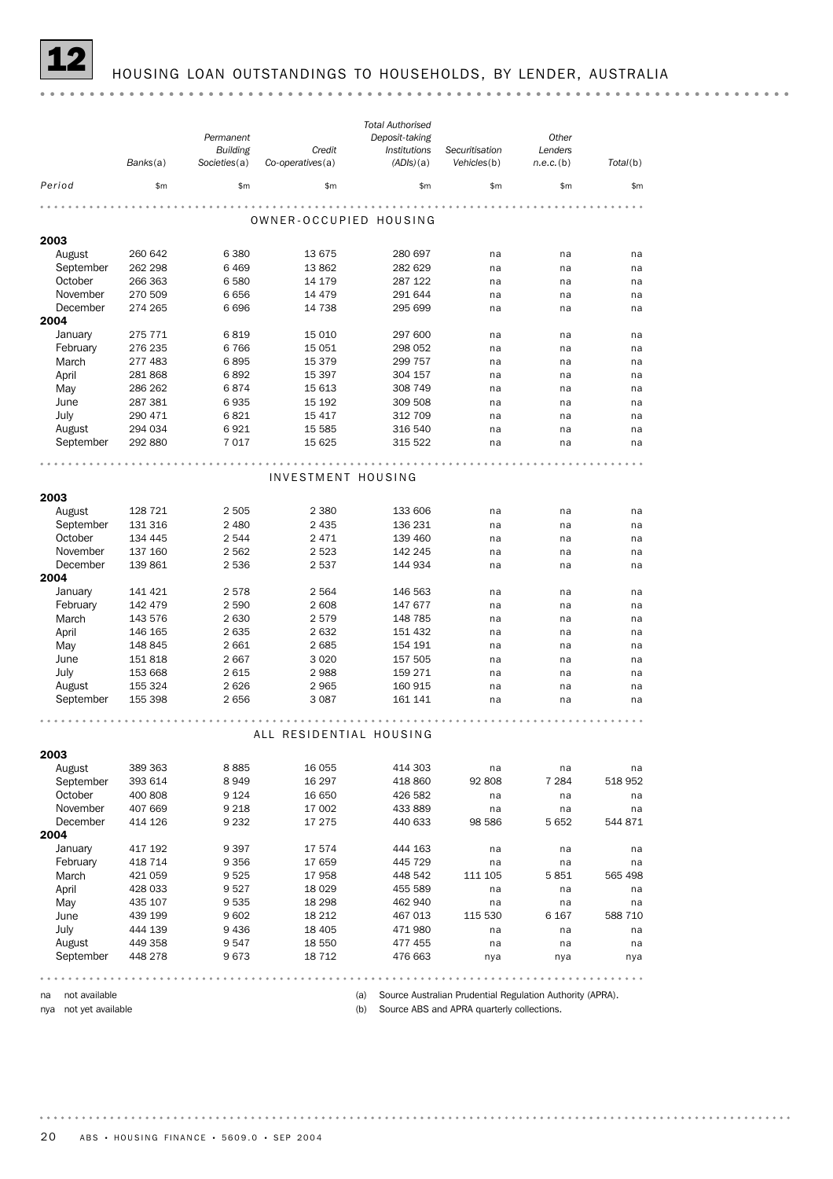# 12 HOUSING LOAN OUTSTANDINGS TO HOUSEHOLDS, BY LENDER, AUSTRALIA

|                      |                    | Permanent          |                         | <b>Total Authorised</b><br>Deposit-taking |                | Other        |          |
|----------------------|--------------------|--------------------|-------------------------|-------------------------------------------|----------------|--------------|----------|
|                      |                    | <b>Building</b>    | Credit                  | Institutions                              | Securitisation | Lenders      |          |
|                      | Banks(a)           | Societies(a)       | $Co$ -operatives $(a)$  | (ADIs)(a)                                 | Vehicles(b)    | $n.e.c.$ (b) | Total(b) |
| Period               | \$m                | \$m\$              | \$m                     | \$m                                       | \$m\$          | \$m          | \$m      |
|                      |                    |                    |                         |                                           |                |              |          |
|                      |                    |                    | OWNER-OCCUPIED HOUSING  |                                           |                |              |          |
| 2003                 |                    |                    |                         |                                           |                |              |          |
| August               | 260 642            | 6 3 8 0            | 13 675                  | 280 697                                   | na             | na           | na       |
| September            | 262 298            | 6469               | 13 862                  | 282 629                                   | na             | na           | na       |
| October              | 266 363            | 6580               | 14 179                  | 287 122                                   | na             | na           | na       |
| November             | 270 509            | 6656               | 14 4 79                 | 291 644                                   | na             | na           | na       |
| December             | 274 265            | 6696               | 14 738                  | 295 699                                   | na             | na           | na       |
| 2004                 |                    |                    |                         |                                           |                |              |          |
| January              | 275 771            | 6819               | 15 010                  | 297 600                                   | na             | na           | na       |
| February             | 276 235            | 6766               | 15 051                  | 298 052                                   | na             | na           | na       |
| March                | 277 483            | 6895               | 15 379                  | 299 757                                   | na             | na           | na       |
| April                | 281 868            | 6892               | 15 3 97                 | 304 157                                   | na             | na           | na       |
| May                  | 286 262            | 6874               | 15 613                  | 308 749                                   | na             | na           | na       |
| June                 | 287 381            | 6935               | 15 192                  | 309 508                                   | na             | na           | na       |
| July                 | 290 471            | 6821               | 15 4 17                 | 312 709                                   | na             | na           | na       |
| August               | 294 034            | 6921               | 15 5 85                 | 316 540                                   | na             | na           | na       |
| September            | 292 880            | 7017               | 15 625                  | 315 522                                   | na             | na           | na       |
|                      |                    |                    |                         |                                           |                |              |          |
|                      |                    |                    | INVESTMENT HOUSING      |                                           |                |              |          |
| 2003                 |                    |                    |                         |                                           |                |              |          |
|                      |                    |                    |                         |                                           |                |              |          |
| August               | 128 721<br>131 316 | 2 5 0 5<br>2 4 8 0 | 2 3 8 0<br>2 4 3 5      | 133 606<br>136 231                        | na             | na           | na       |
| September<br>October | 134 445            | 2 5 4 4            | 2471                    | 139 460                                   | na<br>na       | na<br>na     | na<br>na |
| November             | 137 160            | 2 5 6 2            | 2 5 2 3                 | 142 245                                   | na             | na           | na       |
| December             | 139 861            | 2 5 3 6            | 2537                    | 144 934                                   | na             | na           | na       |
| 2004                 |                    |                    |                         |                                           |                |              |          |
| January              | 141 421            | 2578               | 2 5 6 4                 | 146 563                                   | na             | na           | na       |
| February             | 142 479            | 2 5 9 0            | 2 608                   | 147 677                                   | na             | na           | na       |
| March                | 143 576            | 2 6 3 0            | 2579                    | 148 785                                   | na             | na           | na       |
| April                | 146 165            | 2635               | 2632                    | 151 432                                   | na             | na           | na       |
| May                  | 148 845            | 2 6 6 1            | 2685                    | 154 191                                   | na             | na           | na       |
| June                 | 151 818            | 2667               | 3 0 2 0                 | 157 505                                   | na             | na           | na       |
| July                 | 153 668            | 2615               | 2988                    | 159 271                                   | na             | na           | na       |
| August               | 155 324            | 2626               | 2965                    | 160 915                                   | na             | na           | na       |
| September            | 155 398            | 2656               | 3 0 8 7                 | 161 141                                   | na             | na           | na       |
|                      |                    |                    |                         |                                           |                |              |          |
|                      |                    |                    | ALL RESIDENTIAL HOUSING |                                           |                |              |          |
|                      |                    |                    |                         |                                           |                |              |          |
| 2003                 |                    |                    |                         |                                           |                |              |          |
| August               | 389 363            | 8885               | 16 0 55                 | 414 303                                   | na             | na           | na       |
| September            | 393 614            | 8949               | 16 297                  | 418 860                                   | 92 808         | 7 2 8 4      | 518 952  |
| October              | 400 808            | 9 1 2 4            | 16 650                  | 426 582                                   | na             | na           | na       |
| November<br>December | 407 669            | 9 2 1 8            | 17 002                  | 433 889                                   | na             | na           | na       |
| 2004                 | 414 126            | 9 2 3 2            | 17 275                  | 440 633                                   | 98 586         | 5 6 5 2      | 544 871  |
| January              | 417 192            | 9397               | 17574                   | 444 163                                   | na             | na           | na       |
| February             | 418 714            | 9 3 5 6            | 17 659                  | 445 729                                   | na             | na           | na       |
| March                | 421 059            | 9525               | 17958                   | 448 542                                   | 111 105        | 5851         | 565 498  |
| April                | 428 033            | 9527               | 18 0 29                 | 455 589                                   | na             | na           | na       |
| May                  | 435 107            | 9535               | 18 2 98                 | 462 940                                   | na             | na           | na       |
| June                 | 439 199            | 9602               | 18 2 12                 | 467 013                                   | 115 530        | 6 1 6 7      | 588 710  |
| July                 | 444 139            | 9436               | 18 4 05                 | 471980                                    | na             | na           | na       |
| August               | 449 358            | 9547               | 18 550                  | 477 455                                   | na             | na           | na       |
| September            | 448 278            | 9673               | 18 7 12                 | 476 663                                   | nya            | nya          | nya      |
|                      |                    |                    |                         |                                           |                |              |          |

na not available

nya not yet available

(a) Source Australian Prudential Regulation Authority (APRA).

(b) Source ABS and APRA quarterly collections.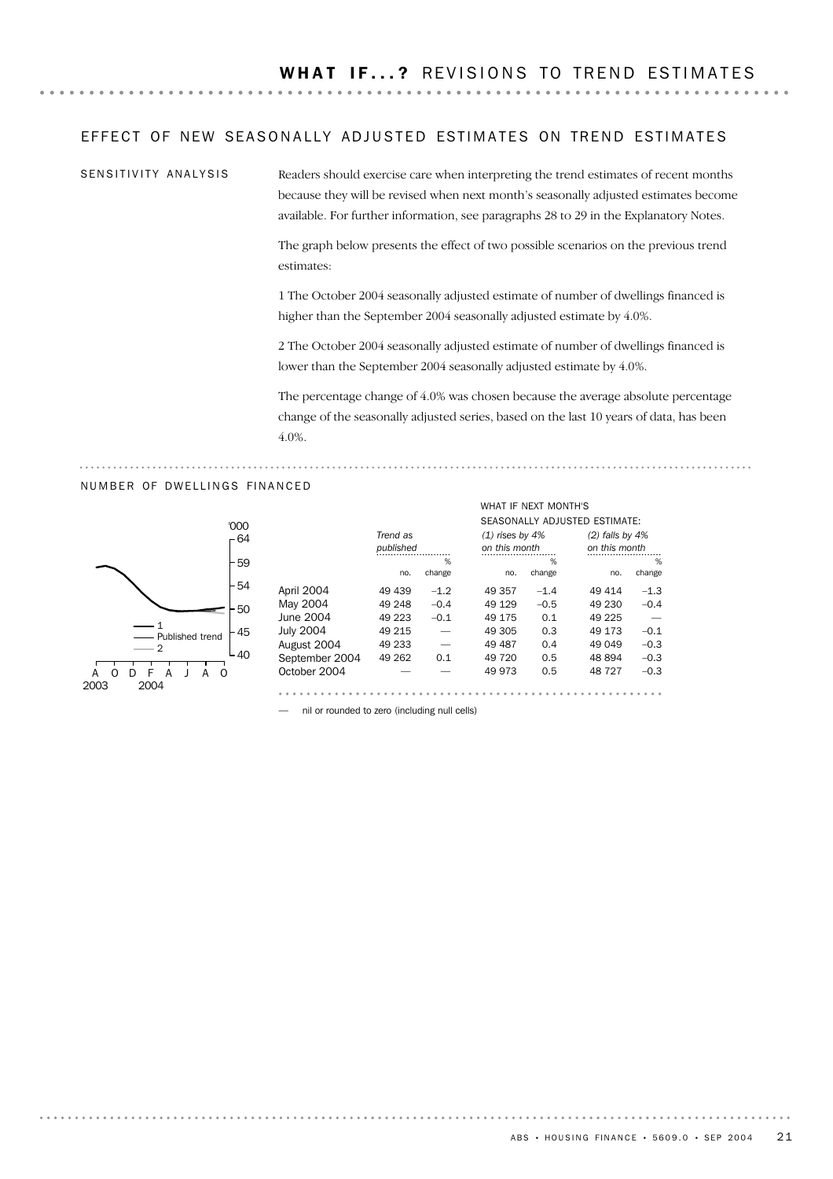### EFFECT OF NEW SEASONALLY ADJUSTED ESTIMATES ON TREND ESTIMATES

SENSITIVITY ANALYSIS

Readers should exercise care when interpreting the trend estimates of recent months because they will be revised when next month's seasonally adjusted estimates become available. For further information, see paragraphs 28 to 29 in the Explanatory Notes.

The graph below presents the effect of two possible scenarios on the previous trend estimates:

1 The October 2004 seasonally adjusted estimate of number of dwellings financed is higher than the September 2004 seasonally adjusted estimate by 4.0%.

2 The October 2004 seasonally adjusted estimate of number of dwellings financed is lower than the September 2004 seasonally adjusted estimate by 4.0%.

The percentage change of 4.0% was chosen because the average absolute percentage change of the seasonally adjusted series, based on the last 10 years of data, has been 4.0%.

WHAT IF NEXT MONTH'S

### NUMBER OF DWELLINGS FINANCED



|                  |           |        |                   |        | SEASONALLY ADJUSTED ESTIMATE: |        |
|------------------|-----------|--------|-------------------|--------|-------------------------------|--------|
|                  | Trend as  |        | $(1)$ rises by 4% |        | $(2)$ falls by 4%             |        |
|                  | published |        | on this month     |        | on this month                 |        |
|                  |           | %      |                   | %      |                               | %      |
|                  | no.       | change | no.               | change | no.                           | change |
| April 2004       | 49 439    | $-1.2$ | 49 357            | $-1.4$ | 49 414                        | $-1.3$ |
| May 2004         | 49 248    | $-0.4$ | 49 1 29           | $-0.5$ | 49 230                        | $-0.4$ |
| June 2004        | 49 223    | $-0.1$ | 49 175            | 0.1    | 49 225                        |        |
| <b>July 2004</b> | 49 215    |        | 49 305            | 0.3    | 49 173                        | $-0.1$ |
| August 2004      | 49 233    |        | 49 487            | 0.4    | 49 049                        | $-0.3$ |
| September 2004   | 49 262    | 0.1    | 49 720            | 0.5    | 48 894                        | $-0.3$ |
| October 2004     |           |        | 49 973            | 0.5    | 48727                         | $-0.3$ |
|                  |           |        |                   |        |                               |        |

— nil or rounded to zero (including null cells)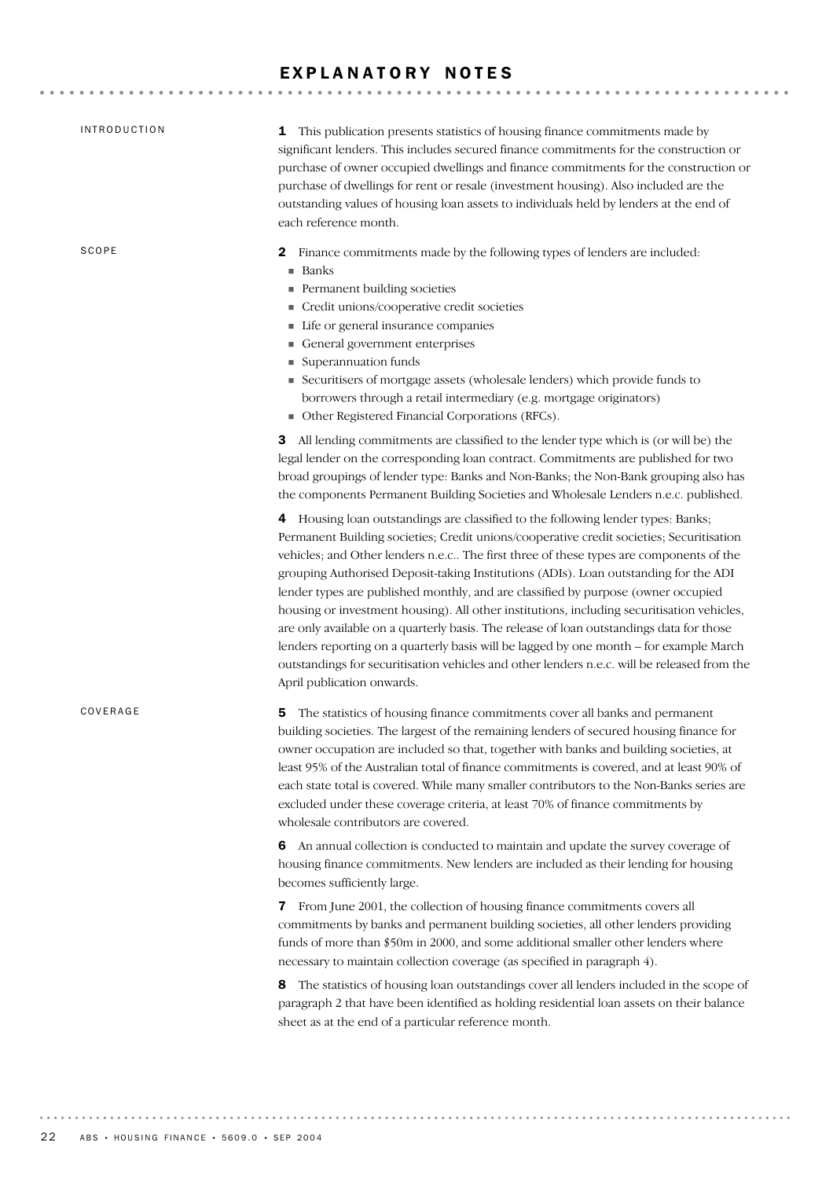# EXPLANATORY NOTES

| <i><b>INTRODUCTION</b></i> | 1 This publication presents statistics of housing finance commitments made by<br>significant lenders. This includes secured finance commitments for the construction or<br>purchase of owner occupied dwellings and finance commitments for the construction or<br>purchase of dwellings for rent or resale (investment housing). Also included are the<br>outstanding values of housing loan assets to individuals held by lenders at the end of<br>each reference month.                                                                                                                                                                                                                                                                                                                                                                                           |
|----------------------------|----------------------------------------------------------------------------------------------------------------------------------------------------------------------------------------------------------------------------------------------------------------------------------------------------------------------------------------------------------------------------------------------------------------------------------------------------------------------------------------------------------------------------------------------------------------------------------------------------------------------------------------------------------------------------------------------------------------------------------------------------------------------------------------------------------------------------------------------------------------------|
| SCOPE                      | Finance commitments made by the following types of lenders are included:<br>2<br>■ Banks<br>Permanent building societies<br>Credit unions/cooperative credit societies<br>Life or general insurance companies<br>General government enterprises<br>Superannuation funds<br>Securitisers of mortgage assets (wholesale lenders) which provide funds to<br>borrowers through a retail intermediary (e.g. mortgage originators)<br>• Other Registered Financial Corporations (RFCs).                                                                                                                                                                                                                                                                                                                                                                                    |
|                            | All lending commitments are classified to the lender type which is (or will be) the<br>3.<br>legal lender on the corresponding loan contract. Commitments are published for two<br>broad groupings of lender type: Banks and Non-Banks; the Non-Bank grouping also has<br>the components Permanent Building Societies and Wholesale Lenders n.e.c. published.                                                                                                                                                                                                                                                                                                                                                                                                                                                                                                        |
|                            | 4 Housing loan outstandings are classified to the following lender types: Banks;<br>Permanent Building societies; Credit unions/cooperative credit societies; Securitisation<br>vehicles; and Other lenders n.e.c The first three of these types are components of the<br>grouping Authorised Deposit-taking Institutions (ADIs). Loan outstanding for the ADI<br>lender types are published monthly, and are classified by purpose (owner occupied<br>housing or investment housing). All other institutions, including securitisation vehicles,<br>are only available on a quarterly basis. The release of loan outstandings data for those<br>lenders reporting on a quarterly basis will be lagged by one month - for example March<br>outstandings for securitisation vehicles and other lenders n.e.c. will be released from the<br>April publication onwards. |
| COVERAGE                   | The statistics of housing finance commitments cover all banks and permanent<br>5<br>building societies. The largest of the remaining lenders of secured housing finance for<br>owner occupation are included so that, together with banks and building societies, at<br>least 95% of the Australian total of finance commitments is covered, and at least 90% of<br>each state total is covered. While many smaller contributors to the Non-Banks series are<br>excluded under these coverage criteria, at least 70% of finance commitments by<br>wholesale contributors are covered.                                                                                                                                                                                                                                                                                |
|                            | 6 An annual collection is conducted to maintain and update the survey coverage of<br>housing finance commitments. New lenders are included as their lending for housing<br>becomes sufficiently large.                                                                                                                                                                                                                                                                                                                                                                                                                                                                                                                                                                                                                                                               |
|                            | 7 From June 2001, the collection of housing finance commitments covers all<br>commitments by banks and permanent building societies, all other lenders providing<br>funds of more than \$50m in 2000, and some additional smaller other lenders where<br>necessary to maintain collection coverage (as specified in paragraph 4).                                                                                                                                                                                                                                                                                                                                                                                                                                                                                                                                    |
|                            | The statistics of housing loan outstandings cover all lenders included in the scope of<br>8<br>paragraph 2 that have been identified as holding residential loan assets on their balance<br>sheet as at the end of a particular reference month.                                                                                                                                                                                                                                                                                                                                                                                                                                                                                                                                                                                                                     |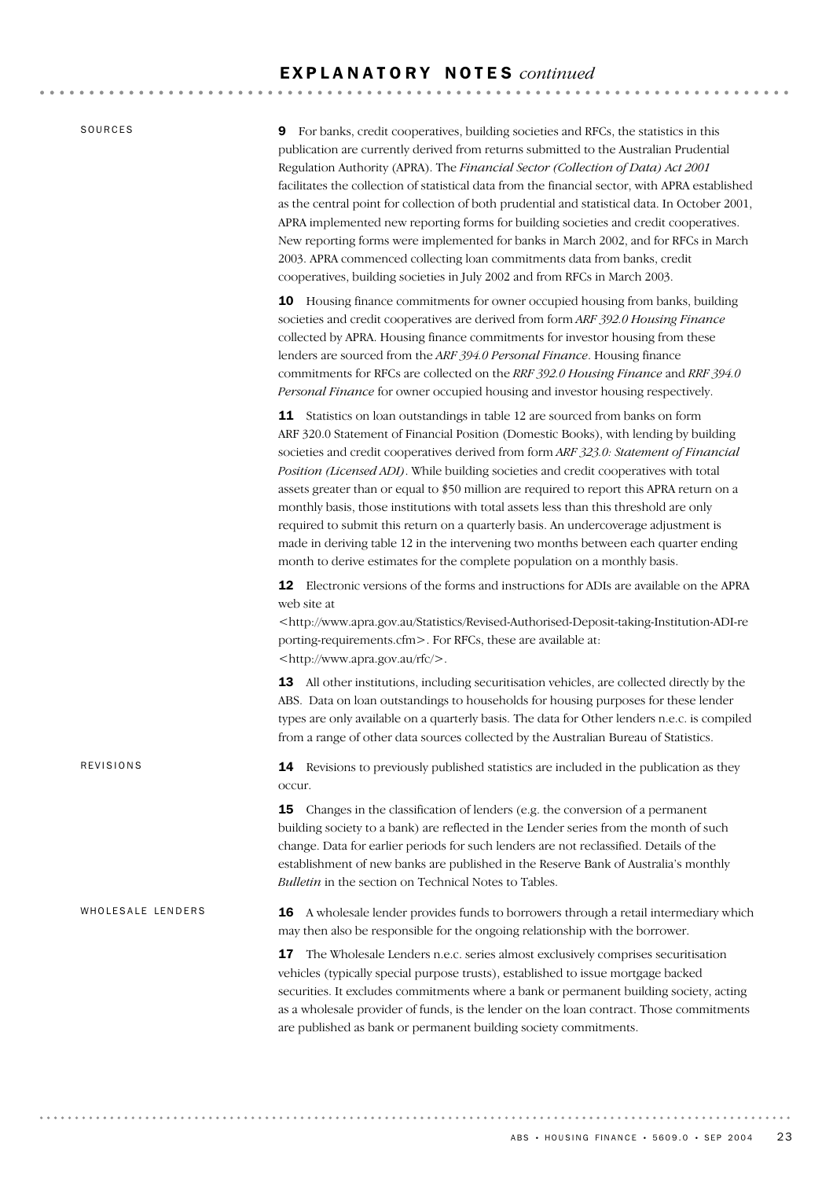### E X P L A N A T O R Y N O T E S *continued*

SOURCES

REVISIONS

9 For banks, credit cooperatives, building societies and RFCs, the statistics in this publication are currently derived from returns submitted to the Australian Prudential Regulation Authority (APRA). The *Financial Sector (Collection of Data) Act 2001* facilitates the collection of statistical data from the financial sector, with APRA established as the central point for collection of both prudential and statistical data. In October 2001, APRA implemented new reporting forms for building societies and credit cooperatives. New reporting forms were implemented for banks in March 2002, and for RFCs in March 2003. APRA commenced collecting loan commitments data from banks, credit cooperatives, building societies in July 2002 and from RFCs in March 2003.

10 Housing finance commitments for owner occupied housing from banks, building societies and credit cooperatives are derived from form *ARF 392.0 Housing Finance* collected by APRA. Housing finance commitments for investor housing from these lenders are sourced from the *ARF 394.0 Personal Finance*. Housing finance commitments for RFCs are collected on the *RRF 392.0 Housing Finance* and *RRF 394.0 Personal Finance* for owner occupied housing and investor housing respectively.

11 Statistics on loan outstandings in table 12 are sourced from banks on form ARF 320.0 Statement of Financial Position (Domestic Books), with lending by building societies and credit cooperatives derived from form *ARF 323.0: Statement of Financial Position (Licensed ADI)*. While building societies and credit cooperatives with total assets greater than or equal to \$50 million are required to report this APRA return on a monthly basis, those institutions with total assets less than this threshold are only required to submit this return on a quarterly basis. An undercoverage adjustment is made in deriving table 12 in the intervening two months between each quarter ending month to derive estimates for the complete population on a monthly basis.

12 Electronic versions of the forms and instructions for ADIs are available on the APRA web site at

<http://www.apra.gov.au/Statistics/Revised-Authorised-Deposit-taking-Institution-ADI-re porting-requirements.cfm>. For RFCs, these are available at: <http://www.apra.gov.au/rfc/>.

13 All other institutions, including securitisation vehicles, are collected directly by the ABS. Data on loan outstandings to households for housing purposes for these lender types are only available on a quarterly basis. The data for Other lenders n.e.c. is compiled from a range of other data sources collected by the Australian Bureau of Statistics.

14 Revisions to previously published statistics are included in the publication as they occur.

**15** Changes in the classification of lenders (e.g. the conversion of a permanent building society to a bank) are reflected in the Lender series from the month of such change. Data for earlier periods for such lenders are not reclassified. Details of the establishment of new banks are published in the Reserve Bank of Australia's monthly *Bulletin* in the section on Technical Notes to Tables.

16 A wholesale lender provides funds to borrowers through a retail intermediary which may then also be responsible for the ongoing relationship with the borrower. WHOLESALE LENDERS

> 17 The Wholesale Lenders n.e.c. series almost exclusively comprises securitisation vehicles (typically special purpose trusts), established to issue mortgage backed securities. It excludes commitments where a bank or permanent building society, acting as a wholesale provider of funds, is the lender on the loan contract. Those commitments are published as bank or permanent building society commitments.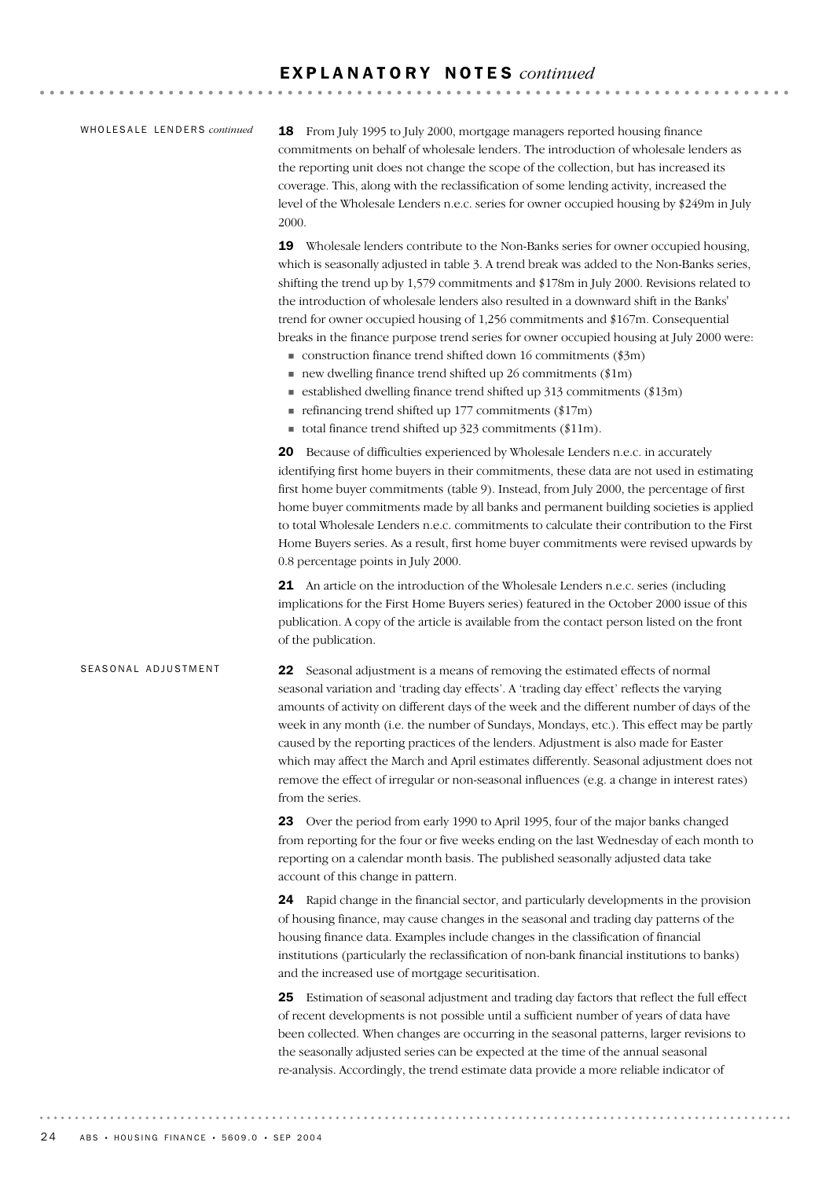### E X P L A N A T O R Y N O T E S *continued*

### WHOLESALE LENDERS *continued*

18 From July 1995 to July 2000, mortgage managers reported housing finance commitments on behalf of wholesale lenders. The introduction of wholesale lenders as the reporting unit does not change the scope of the collection, but has increased its coverage. This, along with the reclassification of some lending activity, increased the level of the Wholesale Lenders n.e.c. series for owner occupied housing by \$249m in July 2000.

19 Wholesale lenders contribute to the Non-Banks series for owner occupied housing, which is seasonally adjusted in table 3. A trend break was added to the Non-Banks series, shifting the trend up by 1,579 commitments and \$178m in July 2000. Revisions related to the introduction of wholesale lenders also resulted in a downward shift in the Banks' trend for owner occupied housing of 1,256 commitments and \$167m. Consequential breaks in the finance purpose trend series for owner occupied housing at July 2000 were:

- $\blacksquare$  construction finance trend shifted down 16 commitments (\$3m)
- $\blacksquare$  new dwelling finance trend shifted up 26 commitments (\$1m)
- $\blacksquare$  established dwelling finance trend shifted up 313 commitments (\$13m)
- $\blacksquare$  refinancing trend shifted up 177 commitments (\$17m)
- total finance trend shifted up  $323$  commitments (\$11m).

20 Because of difficulties experienced by Wholesale Lenders n.e.c. in accurately identifying first home buyers in their commitments, these data are not used in estimating first home buyer commitments (table 9). Instead, from July 2000, the percentage of first home buyer commitments made by all banks and permanent building societies is applied to total Wholesale Lenders n.e.c. commitments to calculate their contribution to the First Home Buyers series. As a result, first home buyer commitments were revised upwards by 0.8 percentage points in July 2000.

21 An article on the introduction of the Wholesale Lenders n.e.c. series (including implications for the First Home Buyers series) featured in the October 2000 issue of this publication. A copy of the article is available from the contact person listed on the front of the publication.

### SEASONAL ADJUSTMENT

22 Seasonal adjustment is a means of removing the estimated effects of normal seasonal variation and 'trading day effects'. A 'trading day effect' reflects the varying amounts of activity on different days of the week and the different number of days of the week in any month (i.e. the number of Sundays, Mondays, etc.). This effect may be partly caused by the reporting practices of the lenders. Adjustment is also made for Easter which may affect the March and April estimates differently. Seasonal adjustment does not remove the effect of irregular or non-seasonal influences (e.g. a change in interest rates) from the series.

23 Over the period from early 1990 to April 1995, four of the major banks changed from reporting for the four or five weeks ending on the last Wednesday of each month to reporting on a calendar month basis. The published seasonally adjusted data take account of this change in pattern.

24 Rapid change in the financial sector, and particularly developments in the provision of housing finance, may cause changes in the seasonal and trading day patterns of the housing finance data. Examples include changes in the classification of financial institutions (particularly the reclassification of non-bank financial institutions to banks) and the increased use of mortgage securitisation.

25 Estimation of seasonal adjustment and trading day factors that reflect the full effect of recent developments is not possible until a sufficient number of years of data have been collected. When changes are occurring in the seasonal patterns, larger revisions to the seasonally adjusted series can be expected at the time of the annual seasonal re-analysis. Accordingly, the trend estimate data provide a more reliable indicator of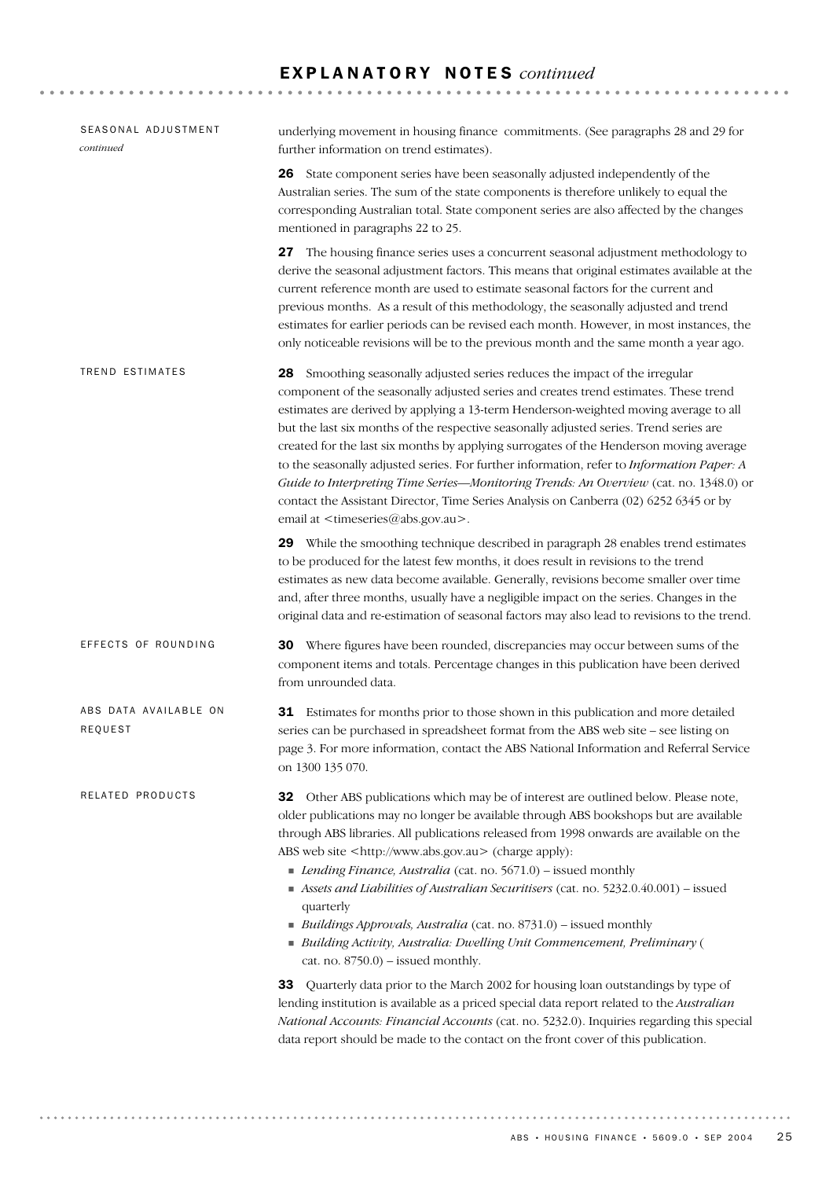# E X P L A N A T O R Y N O T E S *continued*

| SEASONAL ADJUSTMENT<br>continued | underlying movement in housing finance commitments. (See paragraphs 28 and 29 for<br>further information on trend estimates).                                                                                                                                                                                                                                                                                                                                                                                                                                                                                                                                                                                                                                                               |
|----------------------------------|---------------------------------------------------------------------------------------------------------------------------------------------------------------------------------------------------------------------------------------------------------------------------------------------------------------------------------------------------------------------------------------------------------------------------------------------------------------------------------------------------------------------------------------------------------------------------------------------------------------------------------------------------------------------------------------------------------------------------------------------------------------------------------------------|
|                                  | 26 State component series have been seasonally adjusted independently of the<br>Australian series. The sum of the state components is therefore unlikely to equal the<br>corresponding Australian total. State component series are also affected by the changes<br>mentioned in paragraphs 22 to 25.                                                                                                                                                                                                                                                                                                                                                                                                                                                                                       |
|                                  | 27 The housing finance series uses a concurrent seasonal adjustment methodology to<br>derive the seasonal adjustment factors. This means that original estimates available at the<br>current reference month are used to estimate seasonal factors for the current and<br>previous months. As a result of this methodology, the seasonally adjusted and trend<br>estimates for earlier periods can be revised each month. However, in most instances, the<br>only noticeable revisions will be to the previous month and the same month a year ago.                                                                                                                                                                                                                                         |
| TREND ESTIMATES                  | 28 Smoothing seasonally adjusted series reduces the impact of the irregular<br>component of the seasonally adjusted series and creates trend estimates. These trend<br>estimates are derived by applying a 13-term Henderson-weighted moving average to all<br>but the last six months of the respective seasonally adjusted series. Trend series are<br>created for the last six months by applying surrogates of the Henderson moving average<br>to the seasonally adjusted series. For further information, refer to Information Paper: A<br>Guide to Interpreting Time Series-Monitoring Trends: An Overview (cat. no. 1348.0) or<br>contact the Assistant Director, Time Series Analysis on Canberra (02) 6252 6345 or by<br>email at <timeseries@abs.gov.au>.</timeseries@abs.gov.au> |
|                                  | 29 While the smoothing technique described in paragraph 28 enables trend estimates<br>to be produced for the latest few months, it does result in revisions to the trend<br>estimates as new data become available. Generally, revisions become smaller over time<br>and, after three months, usually have a negligible impact on the series. Changes in the<br>original data and re-estimation of seasonal factors may also lead to revisions to the trend.                                                                                                                                                                                                                                                                                                                                |
| EFFECTS OF ROUNDING              | <b>30</b> Where figures have been rounded, discrepancies may occur between sums of the<br>component items and totals. Percentage changes in this publication have been derived<br>from unrounded data.                                                                                                                                                                                                                                                                                                                                                                                                                                                                                                                                                                                      |
| ABS DATA AVAILABLE ON<br>REQUEST | 31 Estimates for months prior to those shown in this publication and more detailed<br>series can be purchased in spreadsheet format from the ABS web site - see listing on<br>page 3. For more information, contact the ABS National Information and Referral Service<br>on 1300 135 070.                                                                                                                                                                                                                                                                                                                                                                                                                                                                                                   |
| RELATED PRODUCTS                 | 32 Other ABS publications which may be of interest are outlined below. Please note,<br>older publications may no longer be available through ABS bookshops but are available<br>through ABS libraries. All publications released from 1998 onwards are available on the<br>ABS web site <http: www.abs.gov.au=""> (charge apply):<br/>Lending Finance, Australia (cat. no. 5671.0) - issued monthly<br/>Assets and Liabilities of Australian Securitisers (cat. no. 5232.0.40.001) - issued<br/>quarterly<br/>Buildings Approvals, Australia (cat. no. 8731.0) – issued monthly<br/>Building Activity, Australia: Dwelling Unit Commencement, Preliminary (<br/>cat. no. <math>8750.0</math>) – issued monthly.</http:>                                                                     |
|                                  | 33<br>Quarterly data prior to the March 2002 for housing loan outstandings by type of<br>lending institution is available as a priced special data report related to the Australian<br>National Accounts: Financial Accounts (cat. no. 5232.0). Inquiries regarding this special<br>data report should be made to the contact on the front cover of this publication.                                                                                                                                                                                                                                                                                                                                                                                                                       |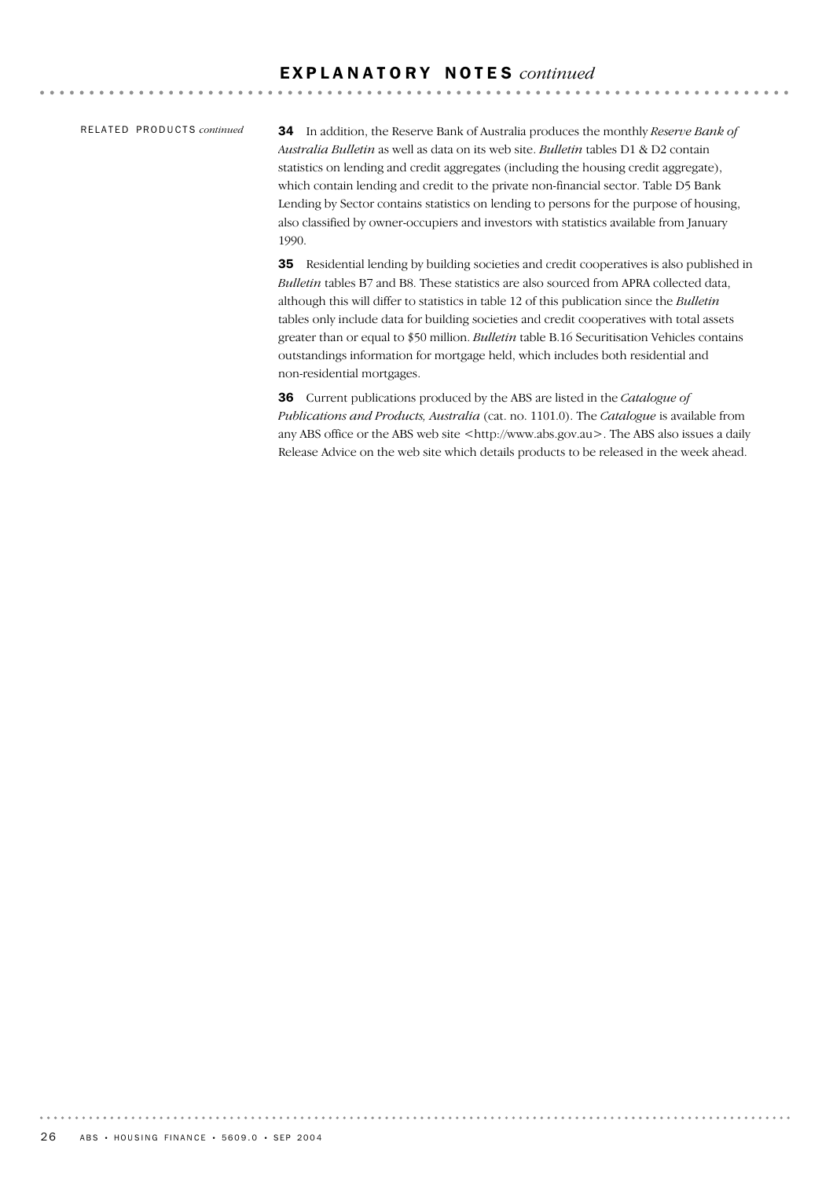### RE L A T E D PR O D U C T S *continued*

34 In addition, the Reserve Bank of Australia produces the monthly *Reserve Bank of Australia Bulletin* as well as data on its web site. *Bulletin* tables D1 & D2 contain statistics on lending and credit aggregates (including the housing credit aggregate), which contain lending and credit to the private non-financial sector. Table D5 Bank Lending by Sector contains statistics on lending to persons for the purpose of housing, also classified by owner-occupiers and investors with statistics available from January 1990.

35 Residential lending by building societies and credit cooperatives is also published in *Bulletin* tables B7 and B8. These statistics are also sourced from APRA collected data, although this will differ to statistics in table 12 of this publication since the *Bulletin* tables only include data for building societies and credit cooperatives with total assets greater than or equal to \$50 million. *Bulletin* table B.16 Securitisation Vehicles contains outstandings information for mortgage held, which includes both residential and non-residential mortgages.

36 Current publications produced by the ABS are listed in the *Catalogue of Publications and Products, Australia* (cat. no. 1101.0). The *Catalogue* is available from any ABS office or the ABS web site <http://www.abs.gov.au>. The ABS also issues a daily Release Advice on the web site which details products to be released in the week ahead.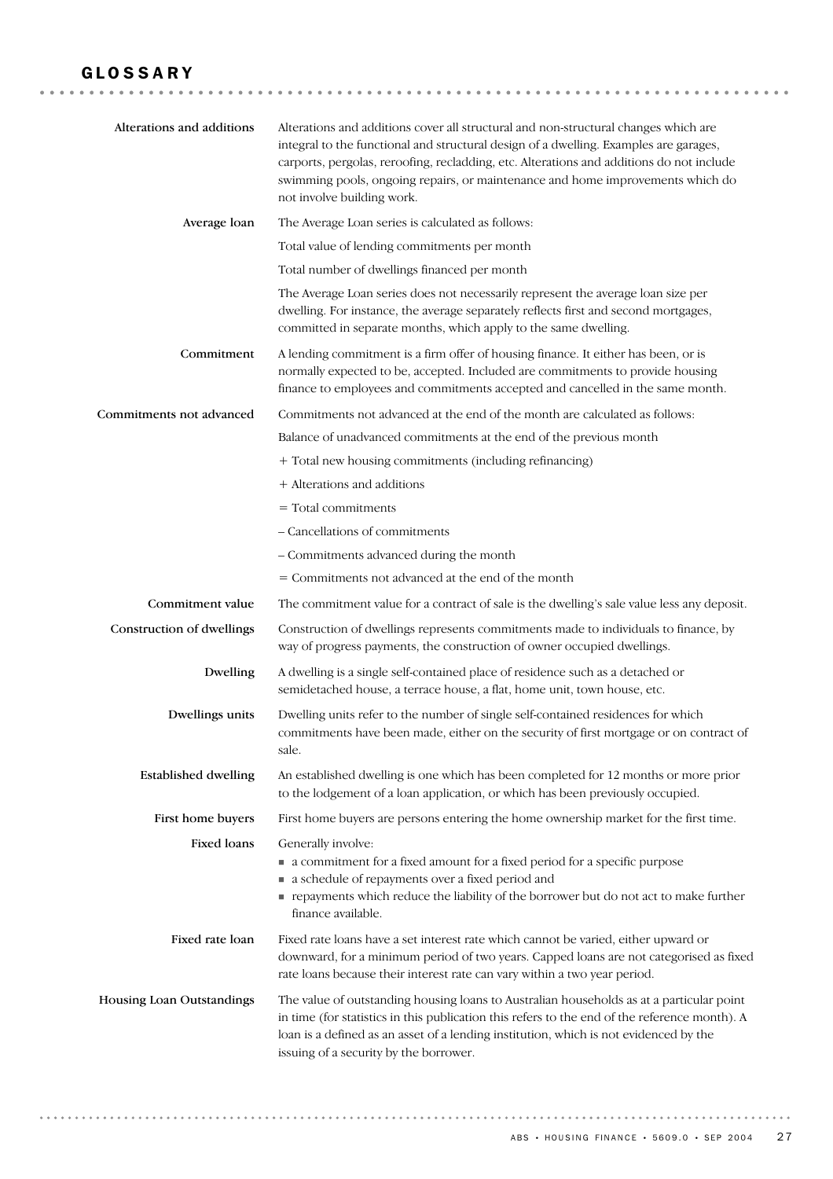# GLOSSARY

| Alterations and additions   | Alterations and additions cover all structural and non-structural changes which are<br>integral to the functional and structural design of a dwelling. Examples are garages,<br>carports, pergolas, reroofing, recladding, etc. Alterations and additions do not include<br>swimming pools, ongoing repairs, or maintenance and home improvements which do<br>not involve building work. |
|-----------------------------|------------------------------------------------------------------------------------------------------------------------------------------------------------------------------------------------------------------------------------------------------------------------------------------------------------------------------------------------------------------------------------------|
| Average loan                | The Average Loan series is calculated as follows:                                                                                                                                                                                                                                                                                                                                        |
|                             | Total value of lending commitments per month                                                                                                                                                                                                                                                                                                                                             |
|                             | Total number of dwellings financed per month                                                                                                                                                                                                                                                                                                                                             |
|                             | The Average Loan series does not necessarily represent the average loan size per<br>dwelling. For instance, the average separately reflects first and second mortgages,<br>committed in separate months, which apply to the same dwelling.                                                                                                                                               |
| Commitment                  | A lending commitment is a firm offer of housing finance. It either has been, or is<br>normally expected to be, accepted. Included are commitments to provide housing<br>finance to employees and commitments accepted and cancelled in the same month.                                                                                                                                   |
| Commitments not advanced    | Commitments not advanced at the end of the month are calculated as follows:                                                                                                                                                                                                                                                                                                              |
|                             | Balance of unadvanced commitments at the end of the previous month                                                                                                                                                                                                                                                                                                                       |
|                             | + Total new housing commitments (including refinancing)                                                                                                                                                                                                                                                                                                                                  |
|                             | + Alterations and additions                                                                                                                                                                                                                                                                                                                                                              |
|                             | $=$ Total commitments                                                                                                                                                                                                                                                                                                                                                                    |
|                             | - Cancellations of commitments                                                                                                                                                                                                                                                                                                                                                           |
|                             | - Commitments advanced during the month                                                                                                                                                                                                                                                                                                                                                  |
|                             | = Commitments not advanced at the end of the month                                                                                                                                                                                                                                                                                                                                       |
| Commitment value            | The commitment value for a contract of sale is the dwelling's sale value less any deposit.                                                                                                                                                                                                                                                                                               |
| Construction of dwellings   | Construction of dwellings represents commitments made to individuals to finance, by<br>way of progress payments, the construction of owner occupied dwellings.                                                                                                                                                                                                                           |
| Dwelling                    | A dwelling is a single self-contained place of residence such as a detached or<br>semidetached house, a terrace house, a flat, home unit, town house, etc.                                                                                                                                                                                                                               |
| Dwellings units             | Dwelling units refer to the number of single self-contained residences for which<br>commitments have been made, either on the security of first mortgage or on contract of<br>sale.                                                                                                                                                                                                      |
| <b>Established dwelling</b> | An established dwelling is one which has been completed for 12 months or more prior<br>to the lodgement of a loan application, or which has been previously occupied.                                                                                                                                                                                                                    |
| First home buyers           | First home buyers are persons entering the home ownership market for the first time.                                                                                                                                                                                                                                                                                                     |
| <b>Fixed loans</b>          | Generally involve:<br>• a commitment for a fixed amount for a fixed period for a specific purpose<br>• a schedule of repayments over a fixed period and<br>payments which reduce the liability of the borrower but do not act to make further<br>finance available.                                                                                                                      |
| Fixed rate loan             | Fixed rate loans have a set interest rate which cannot be varied, either upward or<br>downward, for a minimum period of two years. Capped loans are not categorised as fixed<br>rate loans because their interest rate can vary within a two year period.                                                                                                                                |
| Housing Loan Outstandings   | The value of outstanding housing loans to Australian households as at a particular point<br>in time (for statistics in this publication this refers to the end of the reference month). A<br>loan is a defined as an asset of a lending institution, which is not evidenced by the<br>issuing of a security by the borrower.                                                             |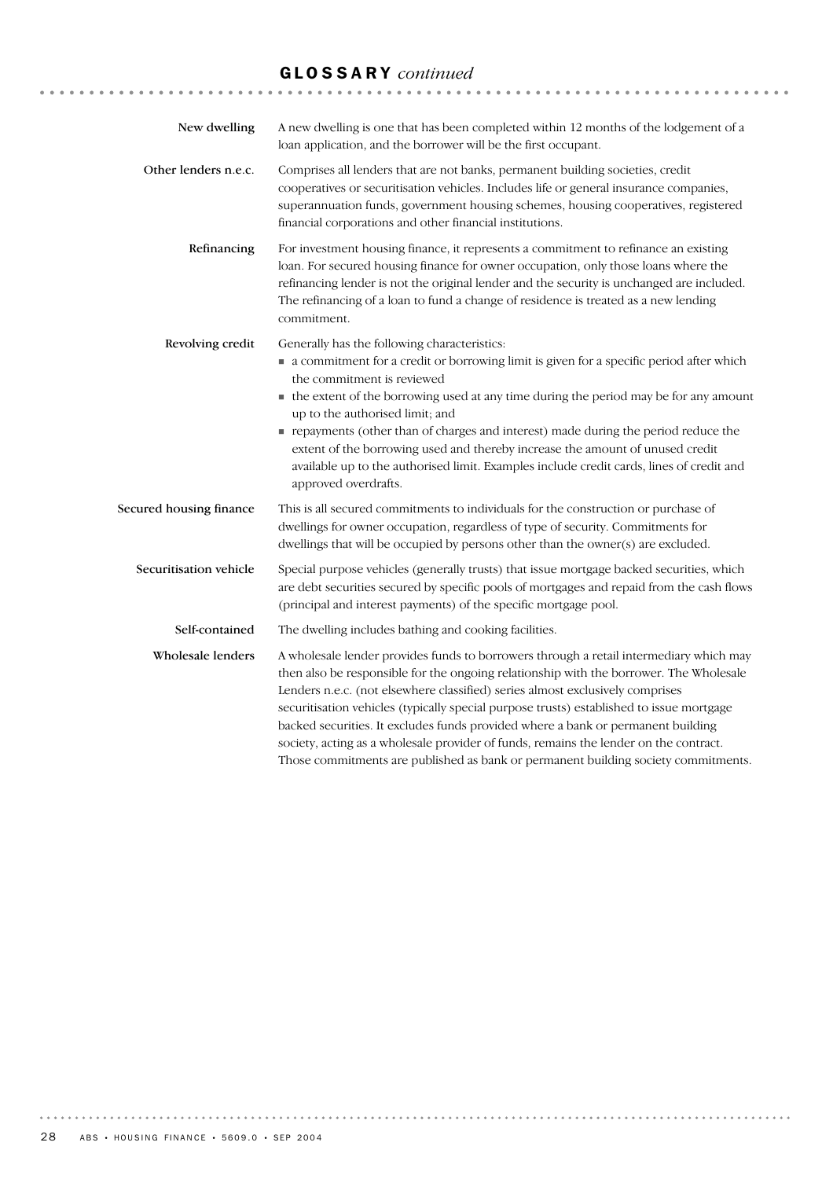# GLOSSARY *continued*

| New dwelling            | A new dwelling is one that has been completed within 12 months of the lodgement of a<br>loan application, and the borrower will be the first occupant.                                                                                                                                                                                                                                                                                                                                                                                                                                                                           |
|-------------------------|----------------------------------------------------------------------------------------------------------------------------------------------------------------------------------------------------------------------------------------------------------------------------------------------------------------------------------------------------------------------------------------------------------------------------------------------------------------------------------------------------------------------------------------------------------------------------------------------------------------------------------|
| Other lenders n.e.c.    | Comprises all lenders that are not banks, permanent building societies, credit<br>cooperatives or securitisation vehicles. Includes life or general insurance companies,<br>superannuation funds, government housing schemes, housing cooperatives, registered<br>financial corporations and other financial institutions.                                                                                                                                                                                                                                                                                                       |
| Refinancing             | For investment housing finance, it represents a commitment to refinance an existing<br>loan. For secured housing finance for owner occupation, only those loans where the<br>refinancing lender is not the original lender and the security is unchanged are included.<br>The refinancing of a loan to fund a change of residence is treated as a new lending<br>commitment.                                                                                                                                                                                                                                                     |
| Revolving credit        | Generally has the following characteristics:<br>• a commitment for a credit or borrowing limit is given for a specific period after which<br>the commitment is reviewed<br>• the extent of the borrowing used at any time during the period may be for any amount<br>up to the authorised limit; and<br>repayments (other than of charges and interest) made during the period reduce the<br>extent of the borrowing used and thereby increase the amount of unused credit<br>available up to the authorised limit. Examples include credit cards, lines of credit and<br>approved overdrafts.                                   |
| Secured housing finance | This is all secured commitments to individuals for the construction or purchase of<br>dwellings for owner occupation, regardless of type of security. Commitments for<br>dwellings that will be occupied by persons other than the owner(s) are excluded.                                                                                                                                                                                                                                                                                                                                                                        |
| Securitisation vehicle  | Special purpose vehicles (generally trusts) that issue mortgage backed securities, which<br>are debt securities secured by specific pools of mortgages and repaid from the cash flows<br>(principal and interest payments) of the specific mortgage pool.                                                                                                                                                                                                                                                                                                                                                                        |
| Self-contained          | The dwelling includes bathing and cooking facilities.                                                                                                                                                                                                                                                                                                                                                                                                                                                                                                                                                                            |
| Wholesale lenders       | A wholesale lender provides funds to borrowers through a retail intermediary which may<br>then also be responsible for the ongoing relationship with the borrower. The Wholesale<br>Lenders n.e.c. (not elsewhere classified) series almost exclusively comprises<br>securitisation vehicles (typically special purpose trusts) established to issue mortgage<br>backed securities. It excludes funds provided where a bank or permanent building<br>society, acting as a wholesale provider of funds, remains the lender on the contract.<br>Those commitments are published as bank or permanent building society commitments. |